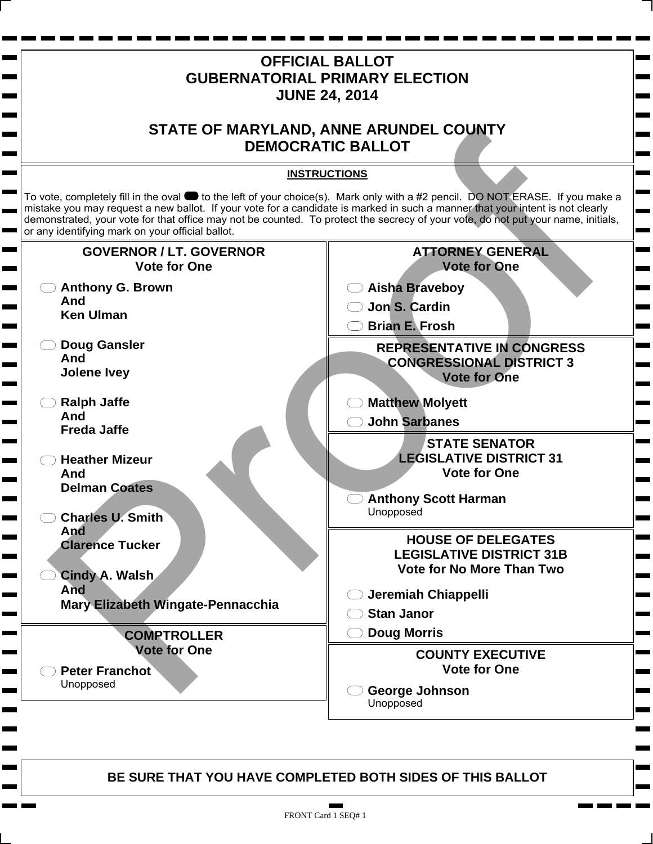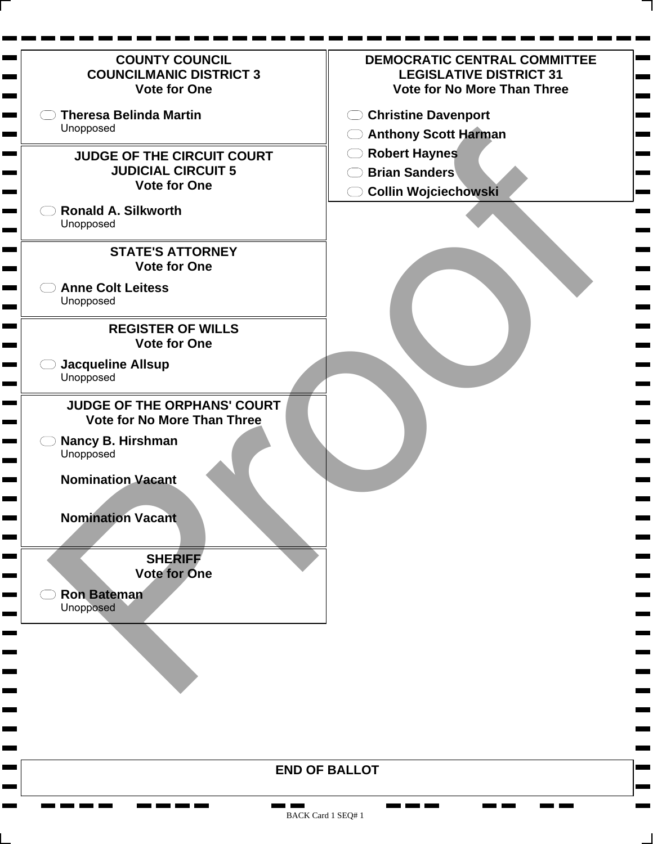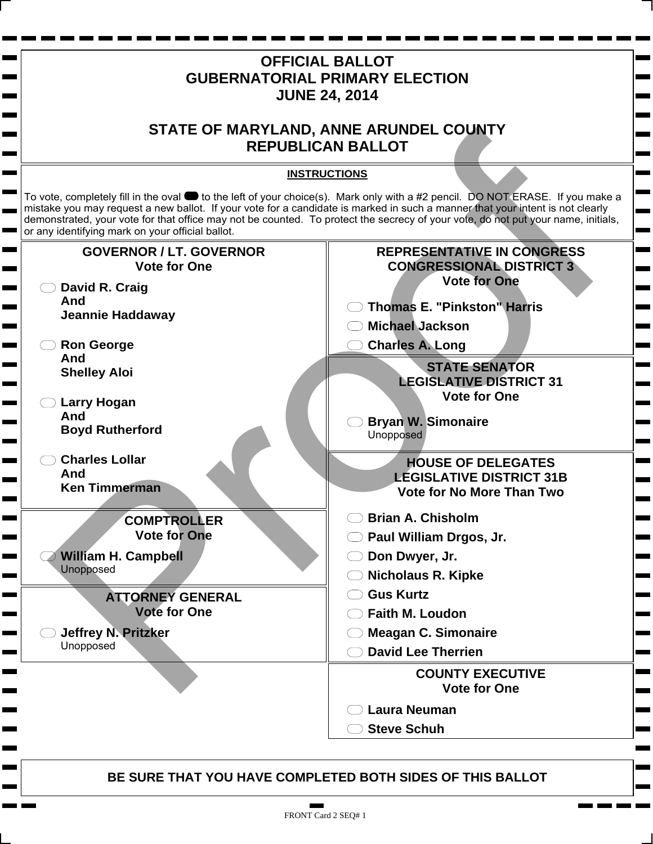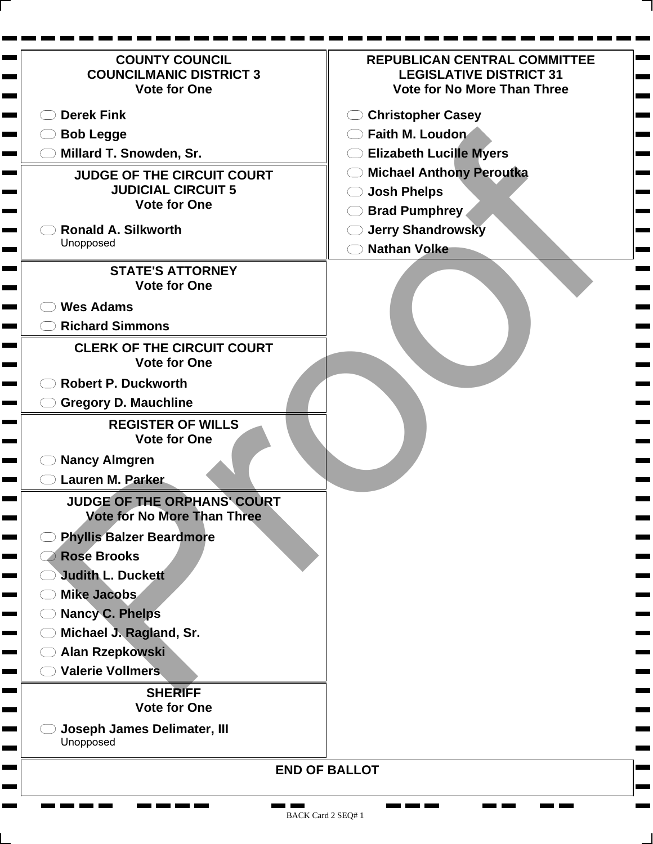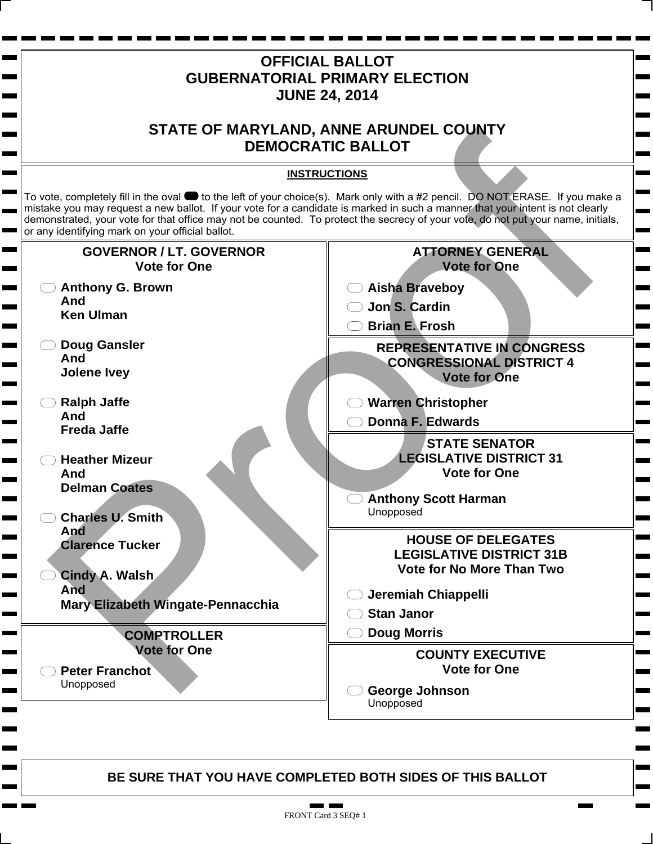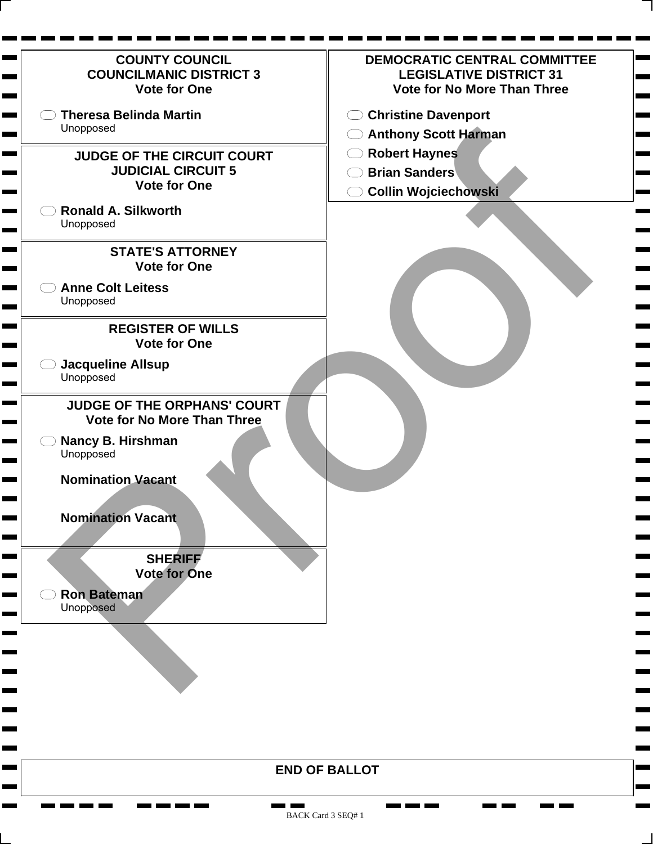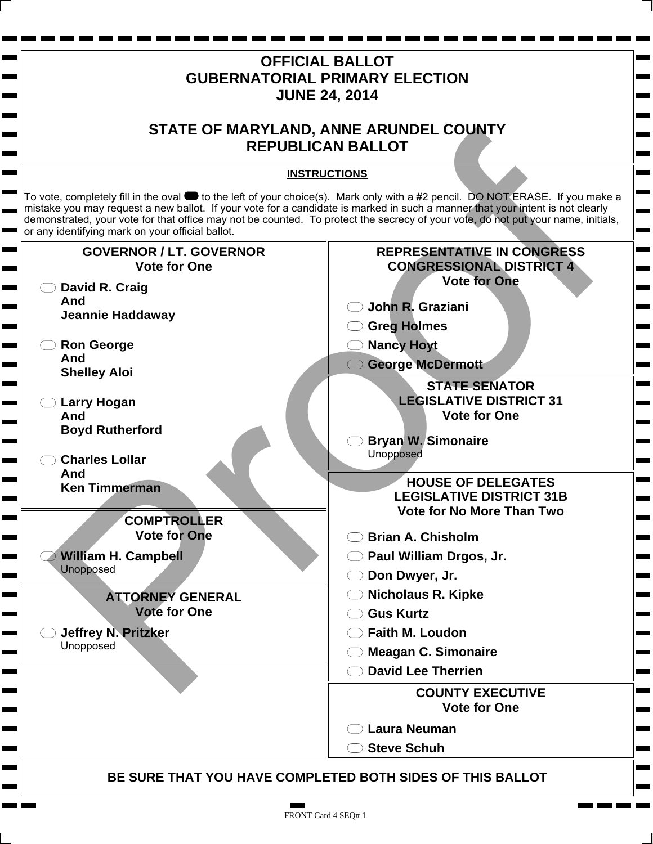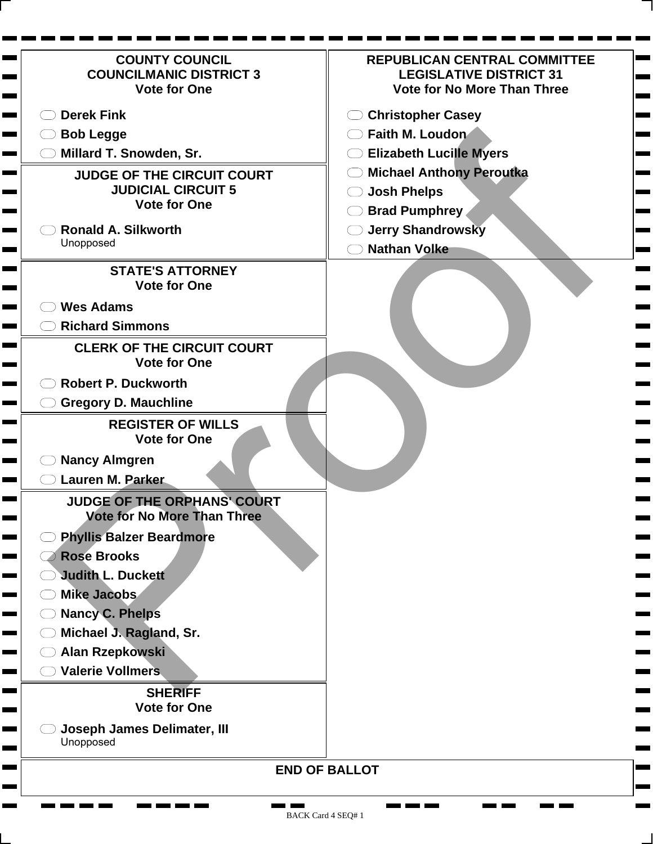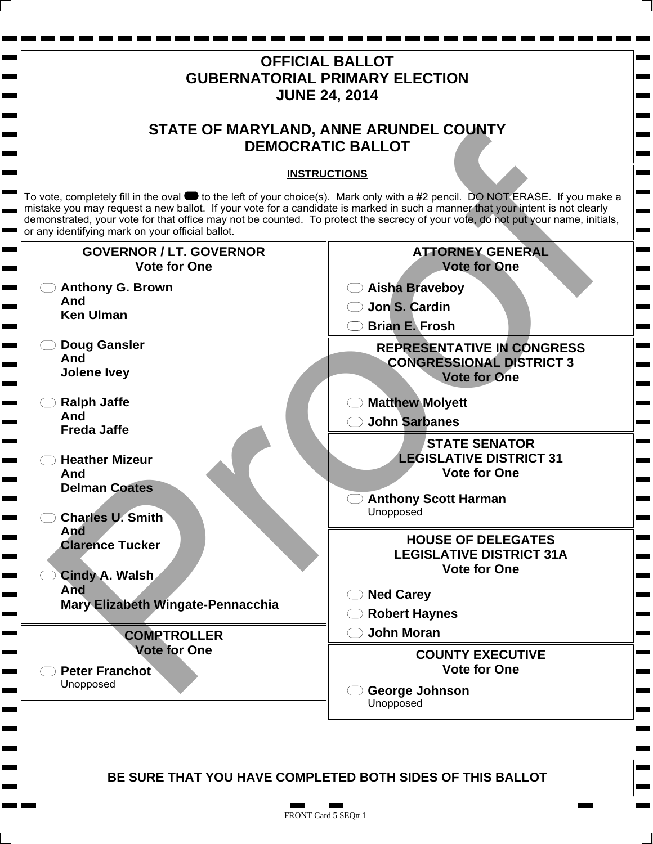

## FRONT Card 5 SEQ# 1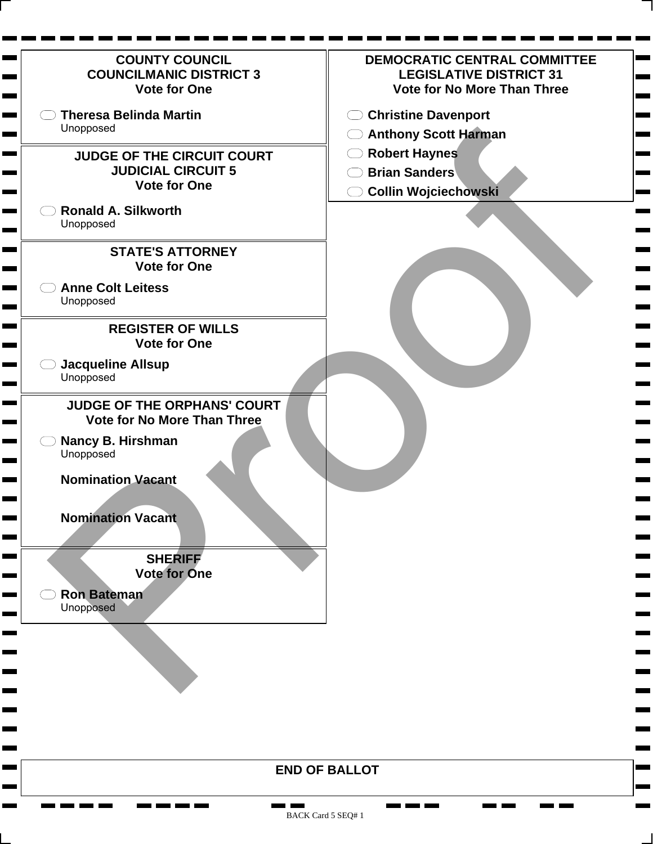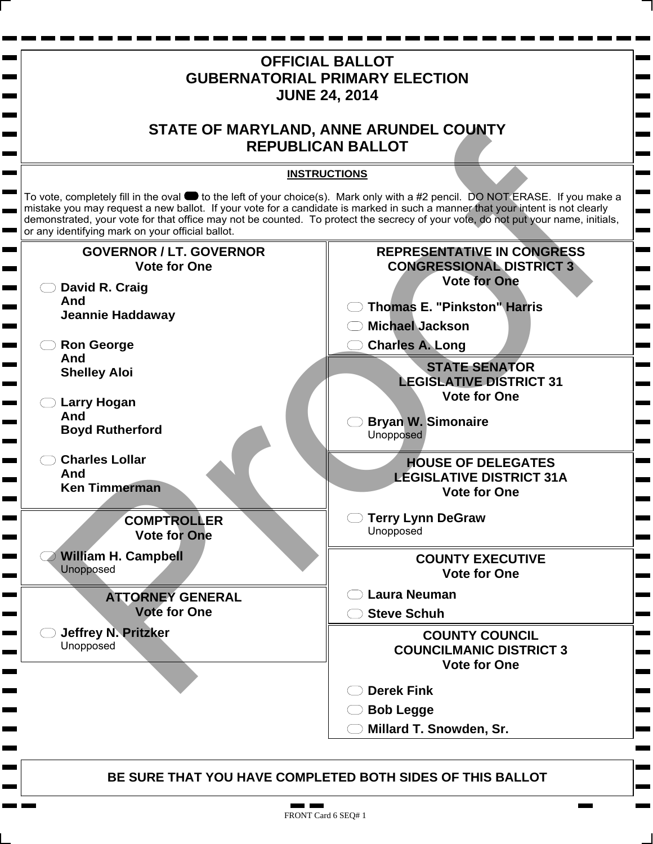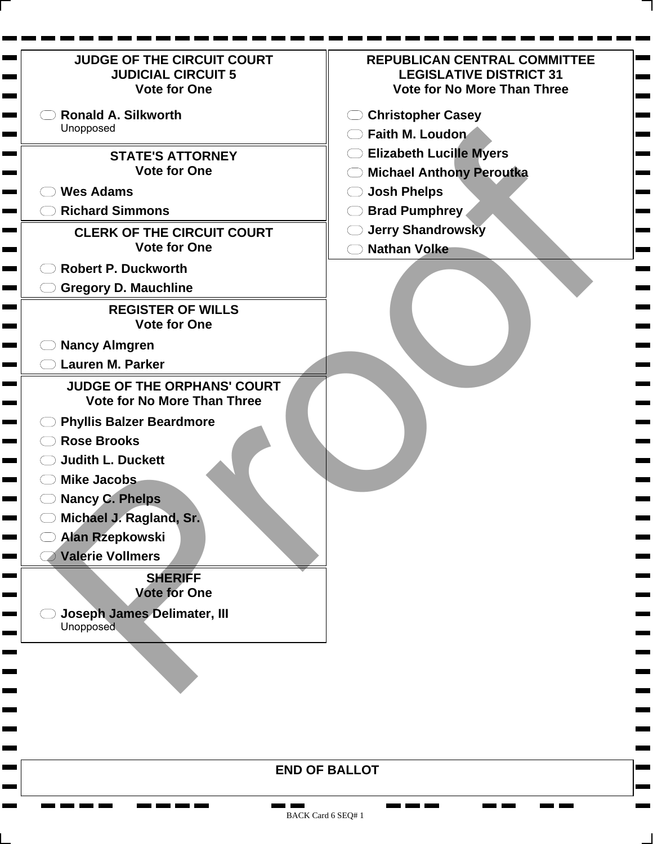| <b>REPUBLICAN CENTRAL COMMITTEE</b><br><b>LEGISLATIVE DISTRICT 31</b><br><b>Vote for No More Than Three</b> |
|-------------------------------------------------------------------------------------------------------------|
|                                                                                                             |
|                                                                                                             |
|                                                                                                             |
| <b>Christopher Casey</b>                                                                                    |
| Faith M. Loudon                                                                                             |
| <b>Elizabeth Lucille Myers</b>                                                                              |
| <b>Michael Anthony Peroutka</b>                                                                             |
| <b>Josh Phelps</b>                                                                                          |
| <b>Brad Pumphrey</b>                                                                                        |
| <b>Jerry Shandrowsky</b>                                                                                    |
| <b>Nathan Volke</b>                                                                                         |
|                                                                                                             |
|                                                                                                             |
|                                                                                                             |
|                                                                                                             |
|                                                                                                             |
|                                                                                                             |
|                                                                                                             |
|                                                                                                             |
|                                                                                                             |
|                                                                                                             |
|                                                                                                             |
|                                                                                                             |
|                                                                                                             |
|                                                                                                             |
|                                                                                                             |
|                                                                                                             |
|                                                                                                             |
|                                                                                                             |
|                                                                                                             |
|                                                                                                             |
|                                                                                                             |
|                                                                                                             |
|                                                                                                             |
|                                                                                                             |
|                                                                                                             |
|                                                                                                             |

**END OF BALLOT**

<u>na ma</u> ma

٠ **The Second**  **COMPUTE COMPUTE**  ٠

 $\mathbf{r}$ 

Ē ь ٠

г

**CONTRACTOR** 

**The Common** 

**Contract**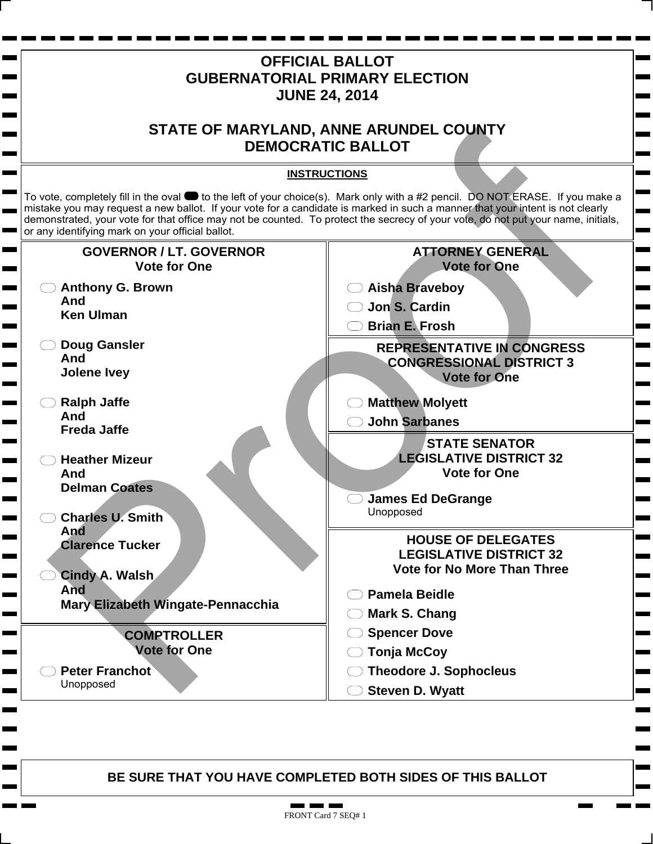

. .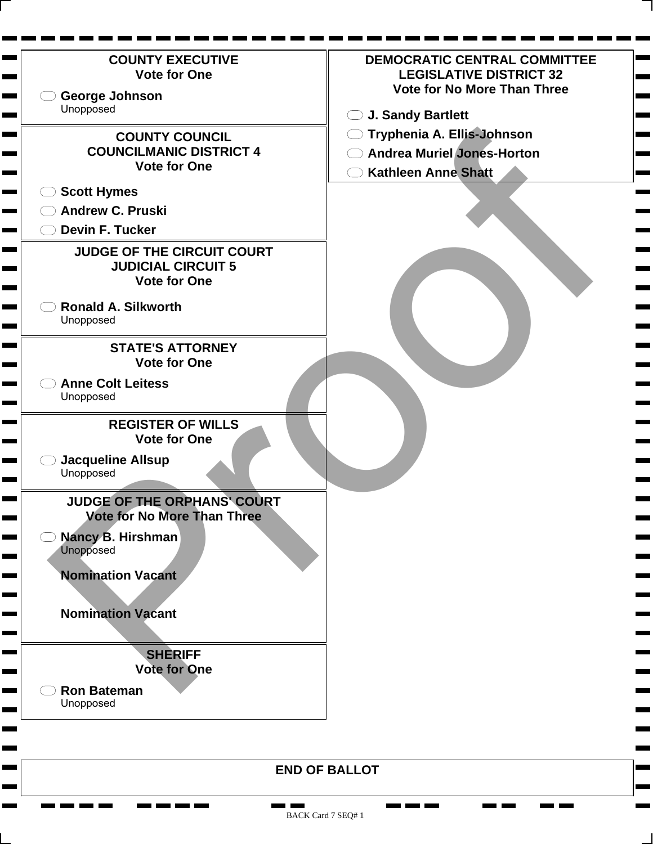

BACK Card 7 SEQ# 1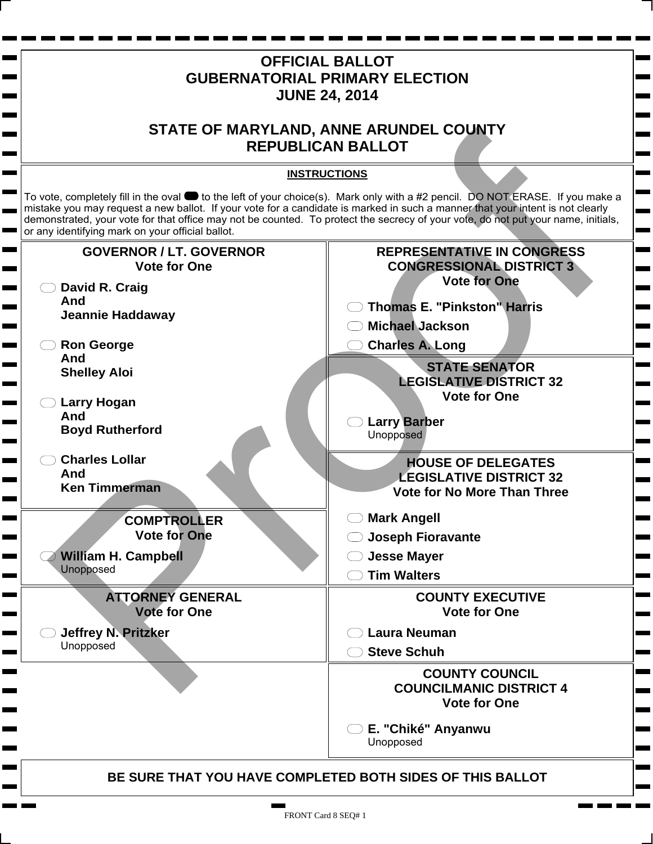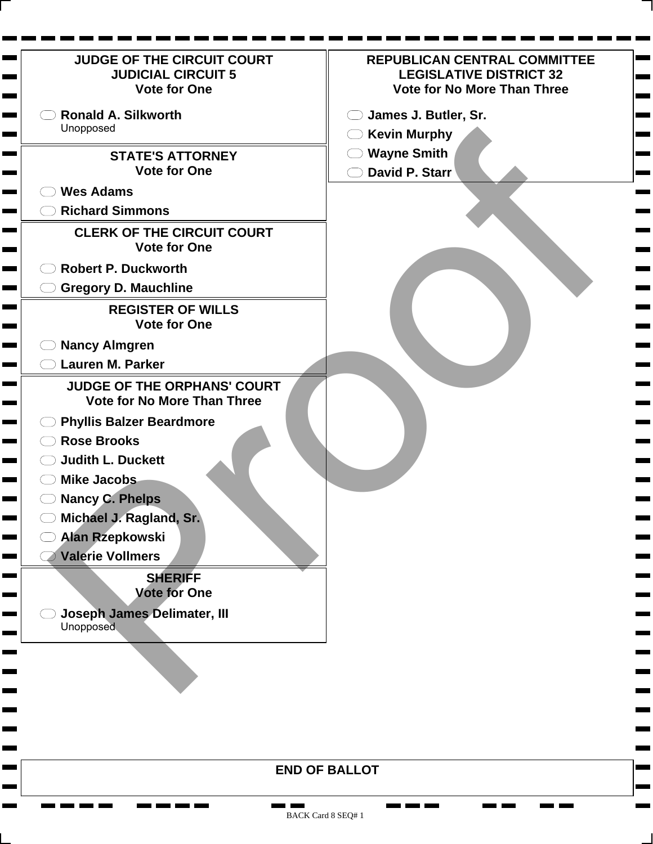| <b>JUDGE OF THE CIRCUIT COURT</b><br><b>JUDICIAL CIRCUIT 5</b><br><b>Vote for One</b>                                                                                                                                                                                                                                                                                                     | <b>REPUBLICAN CENTRAL COMMITTEE</b><br><b>LEGISLATIVE DISTRICT 32</b><br><b>Vote for No More Than Three</b> |
|-------------------------------------------------------------------------------------------------------------------------------------------------------------------------------------------------------------------------------------------------------------------------------------------------------------------------------------------------------------------------------------------|-------------------------------------------------------------------------------------------------------------|
| <b>Ronald A. Silkworth</b>                                                                                                                                                                                                                                                                                                                                                                | James J. Butler, Sr.                                                                                        |
| Unopposed                                                                                                                                                                                                                                                                                                                                                                                 | $\bigcirc$ Kevin Murphy                                                                                     |
| <b>STATE'S ATTORNEY</b><br><b>Vote for One</b>                                                                                                                                                                                                                                                                                                                                            | $\bigcirc$ Wayne Smith<br>David P. Starr                                                                    |
| <b>Wes Adams</b>                                                                                                                                                                                                                                                                                                                                                                          |                                                                                                             |
| <b>Richard Simmons</b>                                                                                                                                                                                                                                                                                                                                                                    |                                                                                                             |
| <b>CLERK OF THE CIRCUIT COURT</b><br><b>Vote for One</b>                                                                                                                                                                                                                                                                                                                                  |                                                                                                             |
| <b>Robert P. Duckworth</b>                                                                                                                                                                                                                                                                                                                                                                |                                                                                                             |
| <b>Gregory D. Mauchline</b>                                                                                                                                                                                                                                                                                                                                                               |                                                                                                             |
| <b>REGISTER OF WILLS</b><br><b>Vote for One</b>                                                                                                                                                                                                                                                                                                                                           |                                                                                                             |
| <b>Nancy Almgren</b>                                                                                                                                                                                                                                                                                                                                                                      |                                                                                                             |
| <b>Lauren M. Parker</b>                                                                                                                                                                                                                                                                                                                                                                   |                                                                                                             |
| <b>JUDGE OF THE ORPHANS' COURT</b><br><b>Vote for No More Than Three</b><br><b>Phyllis Balzer Beardmore</b><br><b>Rose Brooks</b><br><b>Judith L. Duckett</b><br><b>Mike Jacobs</b><br><b>Nancy C. Phelps</b><br>Michael J. Ragland, Sr.<br>Alan Rzepkowski<br><b>Valerie Vollmers</b><br><b>SHERIFF</b><br><b>Vote for One</b><br><b>Joseph James Delimater, III</b><br><b>Unopposed</b> |                                                                                                             |
| <b>END OF BALLOT</b>                                                                                                                                                                                                                                                                                                                                                                      |                                                                                                             |

 $\mathbf{r}$ 

**The Second** 

 $\blacksquare$ **The Co Contract**   $\mathbf{r}$  and  $\mathbf{r}$  and  $\mathbf{r}$ 

٠ **The Second**  **Contract Contract**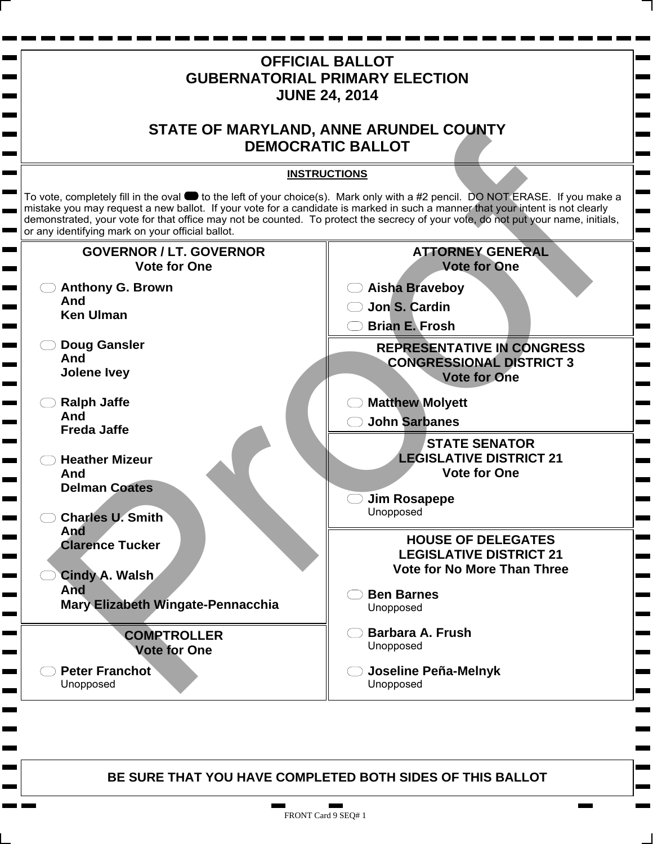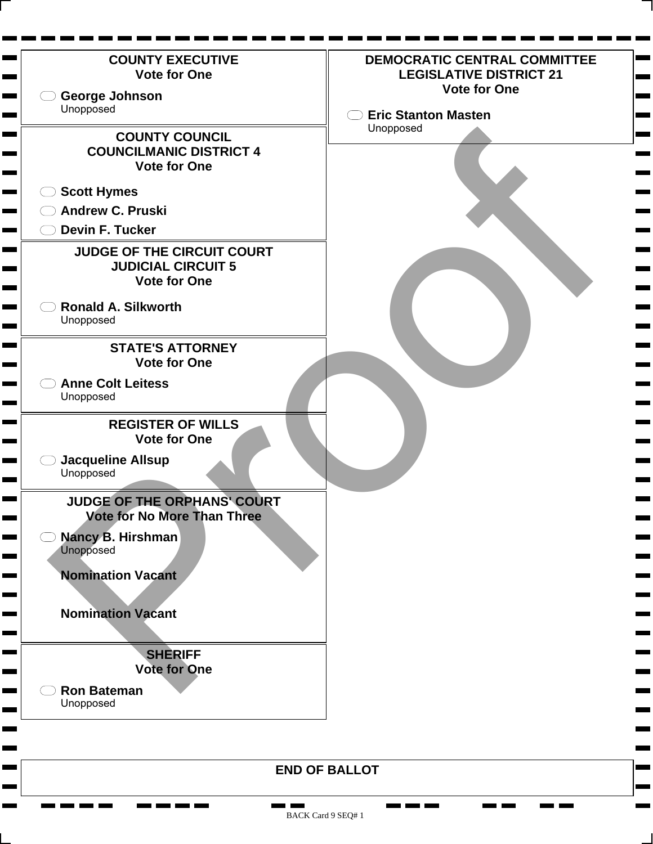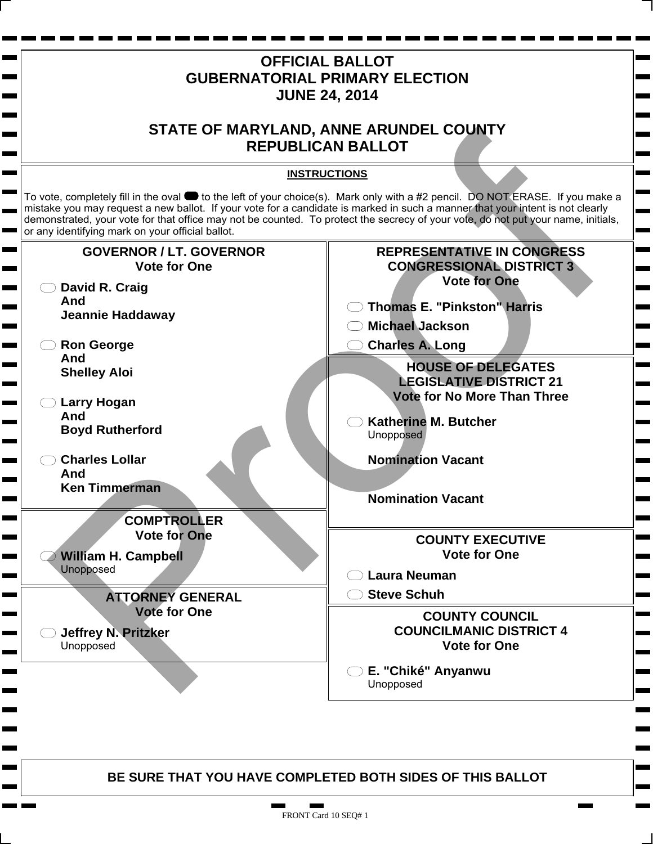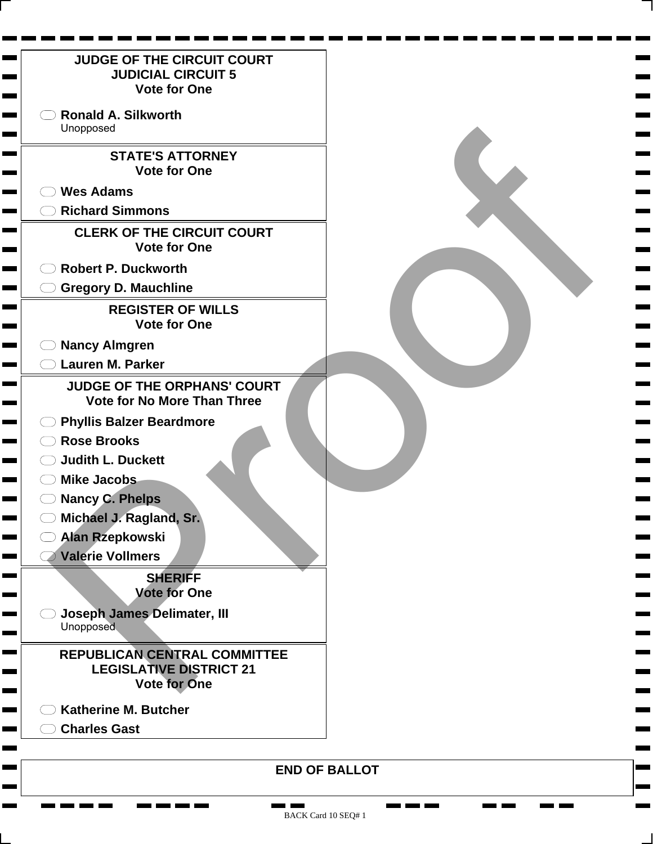| <b>JUDGE OF THE CIRCUIT COURT</b><br><b>JUDICIAL CIRCUIT 5</b><br><b>Vote for One</b>                                                                                                                                                                                                                                                                                                                                                                                                                                    |  |
|--------------------------------------------------------------------------------------------------------------------------------------------------------------------------------------------------------------------------------------------------------------------------------------------------------------------------------------------------------------------------------------------------------------------------------------------------------------------------------------------------------------------------|--|
| <b>Ronald A. Silkworth</b><br>Unopposed                                                                                                                                                                                                                                                                                                                                                                                                                                                                                  |  |
| <b>STATE'S ATTORNEY</b><br><b>Vote for One</b>                                                                                                                                                                                                                                                                                                                                                                                                                                                                           |  |
| <b>Wes Adams</b>                                                                                                                                                                                                                                                                                                                                                                                                                                                                                                         |  |
| <b>Richard Simmons</b>                                                                                                                                                                                                                                                                                                                                                                                                                                                                                                   |  |
| <b>CLERK OF THE CIRCUIT COURT</b><br><b>Vote for One</b>                                                                                                                                                                                                                                                                                                                                                                                                                                                                 |  |
| <b>Robert P. Duckworth</b>                                                                                                                                                                                                                                                                                                                                                                                                                                                                                               |  |
| <b>Gregory D. Mauchline</b>                                                                                                                                                                                                                                                                                                                                                                                                                                                                                              |  |
| <b>REGISTER OF WILLS</b><br><b>Vote for One</b>                                                                                                                                                                                                                                                                                                                                                                                                                                                                          |  |
| <b>Nancy Almgren</b>                                                                                                                                                                                                                                                                                                                                                                                                                                                                                                     |  |
| <b>Lauren M. Parker</b>                                                                                                                                                                                                                                                                                                                                                                                                                                                                                                  |  |
| <b>JUDGE OF THE ORPHANS' COURT</b><br><b>Vote for No More Than Three</b><br><b>Phyllis Balzer Beardmore</b><br><b>Rose Brooks</b><br><b>Judith L. Duckett</b><br><b>Mike Jacobs</b><br><b>Nancy C. Phelps</b><br>Michael J. Ragland, Sr.<br><b>Alan Rzepkowski</b><br><b>Valerie Vollmers</b><br><b>SHERIFF</b><br><b>Vote for One</b><br><b>Joseph James Delimater, III</b><br><b>Unopposed</b><br><b>REPUBLICAN CENTRAL COMMITTEE</b><br><b>LEGISLATIVE DISTRICT 21</b><br>Vote for One<br><b>Katherine M. Butcher</b> |  |
| <b>Charles Gast</b>                                                                                                                                                                                                                                                                                                                                                                                                                                                                                                      |  |
|                                                                                                                                                                                                                                                                                                                                                                                                                                                                                                                          |  |

<u>the first term</u>

Ħ. **The Second**  **COMPUTE COMPUTE** 

**CONTRACTOR** 

a an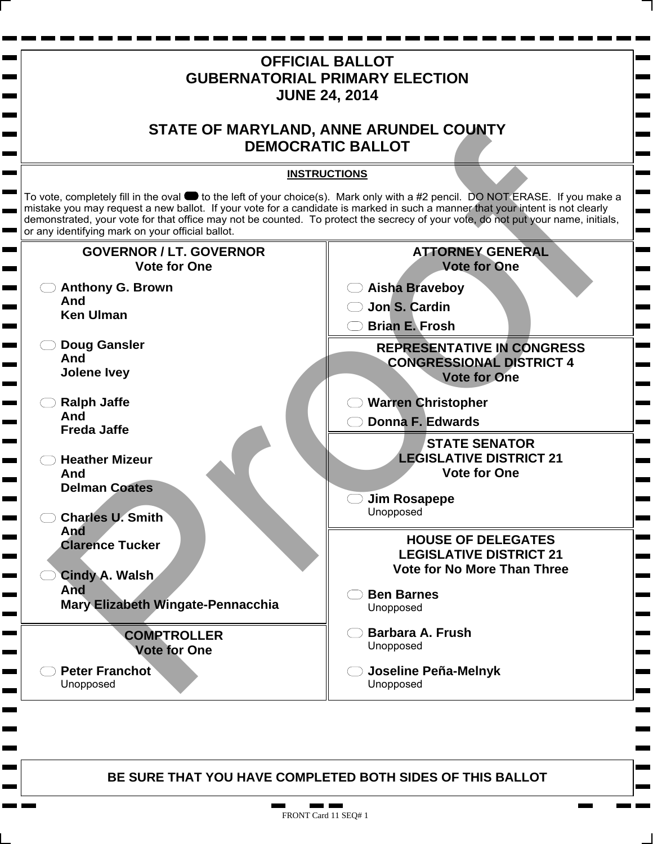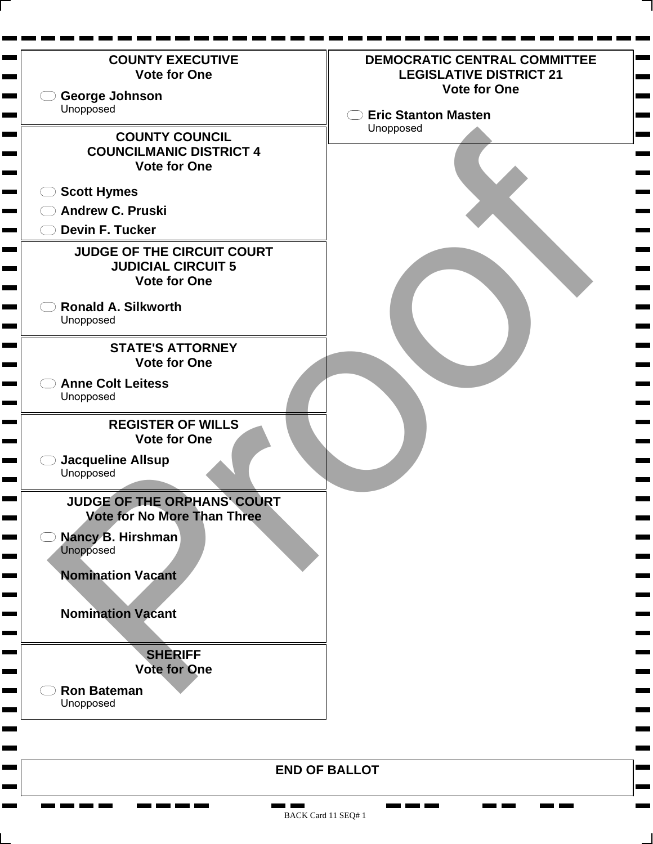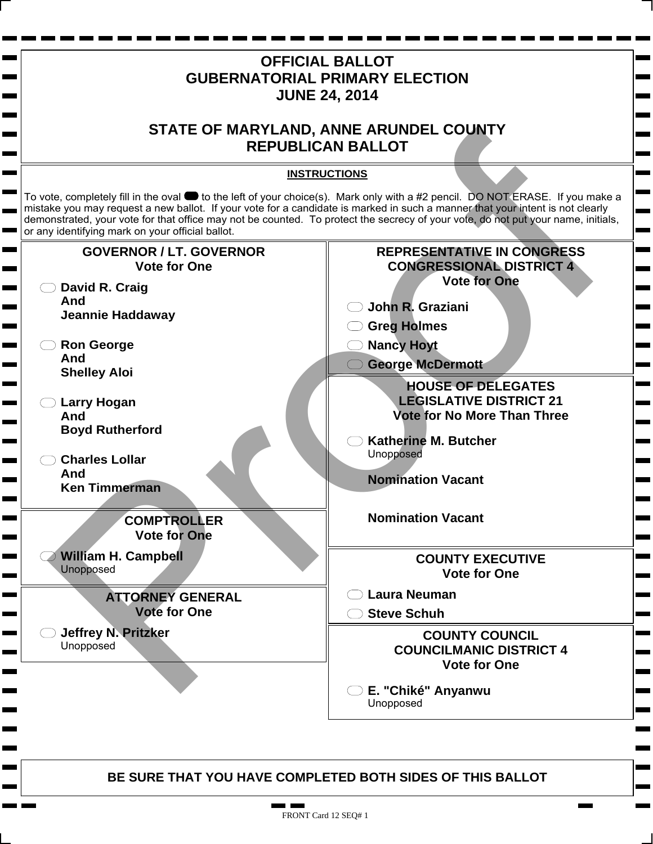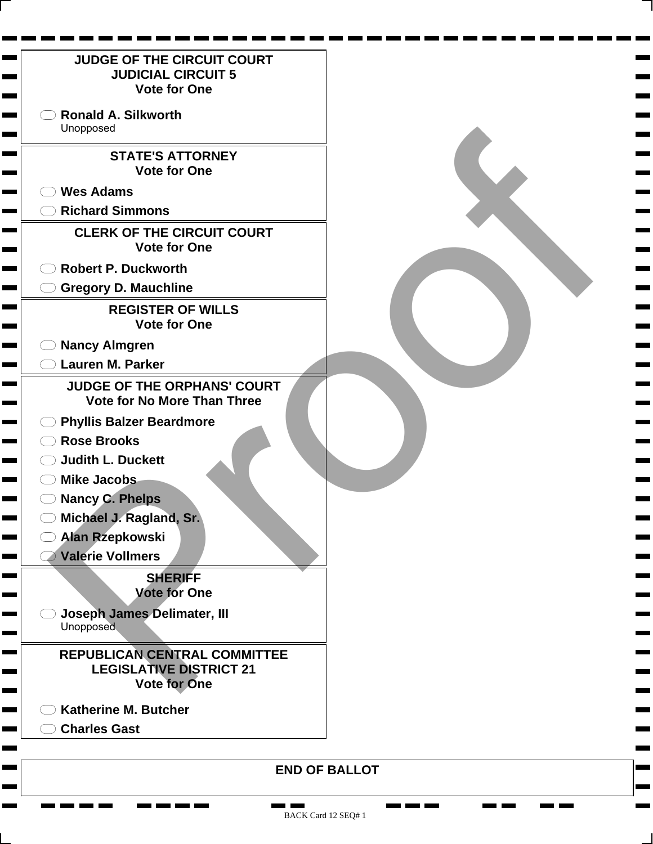| <b>JUDGE OF THE CIRCUIT COURT</b><br><b>JUDICIAL CIRCUIT 5</b><br><b>Vote for One</b>                                                                                                                                                                                                                                                                                                                                                                                                                             |  |
|-------------------------------------------------------------------------------------------------------------------------------------------------------------------------------------------------------------------------------------------------------------------------------------------------------------------------------------------------------------------------------------------------------------------------------------------------------------------------------------------------------------------|--|
| <b>Ronald A. Silkworth</b><br>Unopposed                                                                                                                                                                                                                                                                                                                                                                                                                                                                           |  |
| <b>STATE'S ATTORNEY</b><br><b>Vote for One</b>                                                                                                                                                                                                                                                                                                                                                                                                                                                                    |  |
| <b>Wes Adams</b>                                                                                                                                                                                                                                                                                                                                                                                                                                                                                                  |  |
| <b>Richard Simmons</b>                                                                                                                                                                                                                                                                                                                                                                                                                                                                                            |  |
| <b>CLERK OF THE CIRCUIT COURT</b><br><b>Vote for One</b>                                                                                                                                                                                                                                                                                                                                                                                                                                                          |  |
| <b>Robert P. Duckworth</b>                                                                                                                                                                                                                                                                                                                                                                                                                                                                                        |  |
| <b>Gregory D. Mauchline</b>                                                                                                                                                                                                                                                                                                                                                                                                                                                                                       |  |
| <b>REGISTER OF WILLS</b><br><b>Vote for One</b>                                                                                                                                                                                                                                                                                                                                                                                                                                                                   |  |
| <b>Nancy Almgren</b>                                                                                                                                                                                                                                                                                                                                                                                                                                                                                              |  |
| <b>Lauren M. Parker</b>                                                                                                                                                                                                                                                                                                                                                                                                                                                                                           |  |
| <b>JUDGE OF THE ORPHANS' COURT</b><br><b>Vote for No More Than Three</b><br><b>Phyllis Balzer Beardmore</b><br><b>Rose Brooks</b><br><b>Judith L. Duckett</b><br><b>Mike Jacobs</b><br><b>Nancy C. Phelps</b><br>Michael J. Ragland, Sr.<br><b>Alan Rzepkowski</b><br><b>Valerie Vollmers</b><br><b>SHERIFF</b><br><b>Vote for One</b><br>Joseph James Delimater, III<br><b>Unopposed</b><br>REPUBLICAN CENTRAL COMMITTEE<br><b>LEGISLATIVE DISTRICT 21</b><br><b>Vote for One</b><br><b>Katherine M. Butcher</b> |  |
| <b>Charles Gast</b>                                                                                                                                                                                                                                                                                                                                                                                                                                                                                               |  |
|                                                                                                                                                                                                                                                                                                                                                                                                                                                                                                                   |  |

**CONTRACTOR** 

a an

<u>na ma</u> ma

Ħ. **The Second**  **COMPUTE COMPUTE**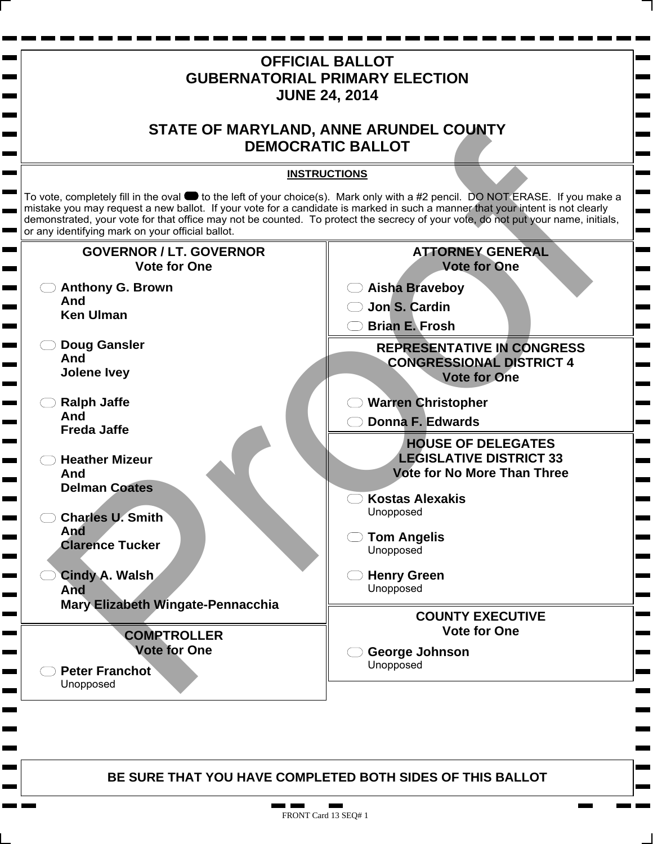

1 F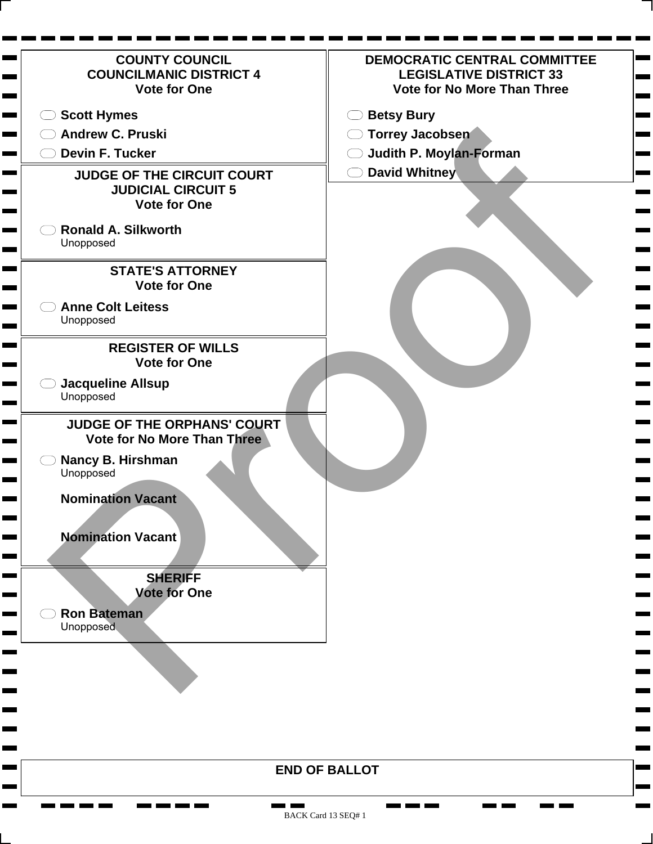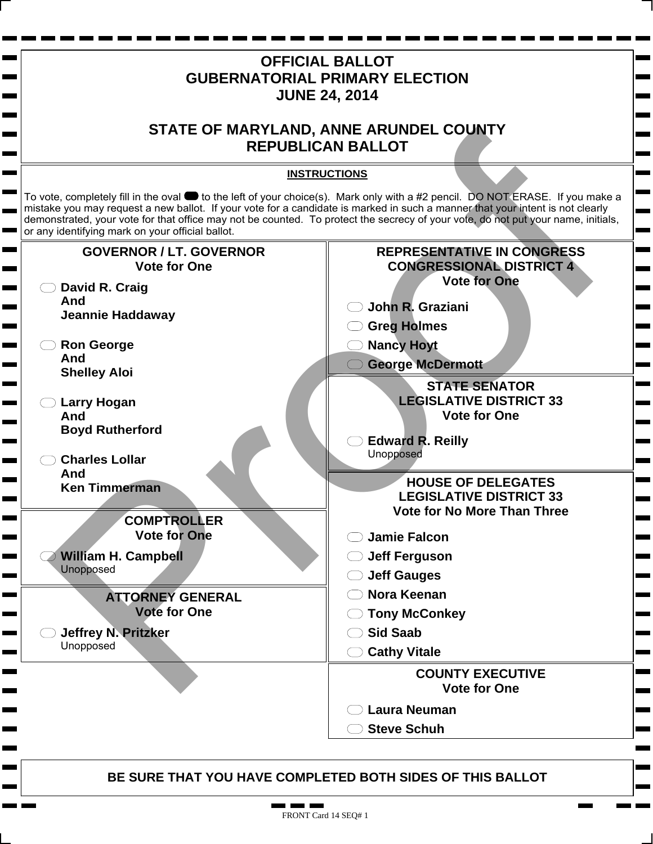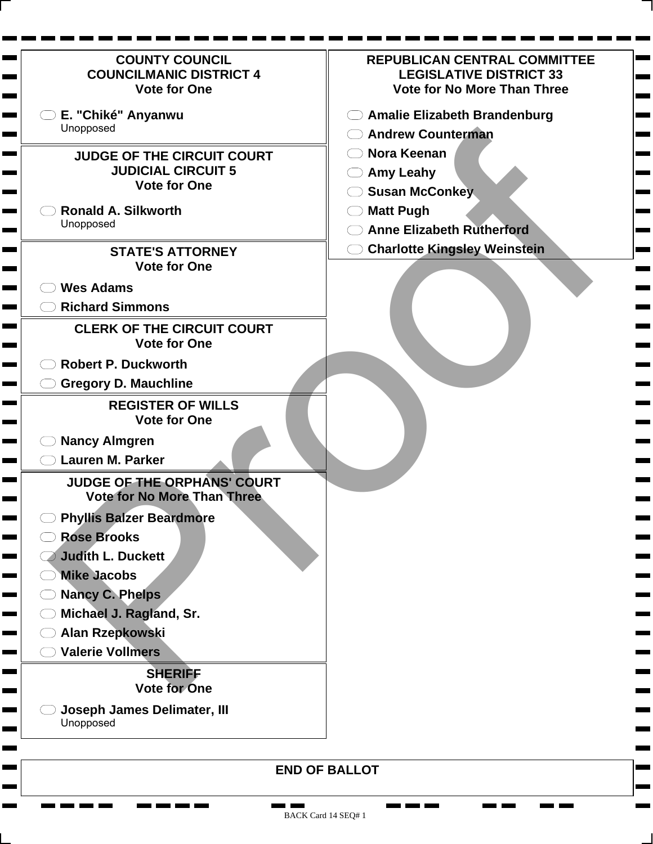| <b>COUNTY COUNCIL</b><br><b>COUNCILMANIC DISTRICT 4</b><br><b>Vote for One</b> | <b>REPUBLICAN CENTRAL COMMITTEE</b><br><b>LEGISLATIVE DISTRICT 33</b><br><b>Vote for No More Than Three</b> |
|--------------------------------------------------------------------------------|-------------------------------------------------------------------------------------------------------------|
| E. "Chiké" Anyanwu                                                             | <b>Amalie Elizabeth Brandenburg</b>                                                                         |
| Unopposed                                                                      | <b>Andrew Counterman</b>                                                                                    |
| <b>JUDGE OF THE CIRCUIT COURT</b>                                              | Nora Keenan                                                                                                 |
| <b>JUDICIAL CIRCUIT 5</b>                                                      | <b>Amy Leahy</b>                                                                                            |
| <b>Vote for One</b>                                                            | <b>Susan McConkey</b>                                                                                       |
| <b>Ronald A. Silkworth</b>                                                     | <b>Matt Pugh</b>                                                                                            |
| Unopposed                                                                      | <b>Anne Elizabeth Rutherford</b>                                                                            |
| <b>STATE'S ATTORNEY</b>                                                        | <b>Charlotte Kingsley Weinstein</b>                                                                         |
| <b>Vote for One</b>                                                            |                                                                                                             |
| <b>Wes Adams</b>                                                               |                                                                                                             |
| <b>Richard Simmons</b>                                                         |                                                                                                             |
| <b>CLERK OF THE CIRCUIT COURT</b><br><b>Vote for One</b>                       |                                                                                                             |
| <b>Robert P. Duckworth</b>                                                     |                                                                                                             |
| <b>Gregory D. Mauchline</b>                                                    |                                                                                                             |
| <b>REGISTER OF WILLS</b><br><b>Vote for One</b>                                |                                                                                                             |
| <b>Nancy Almgren</b>                                                           |                                                                                                             |
| <b>Lauren M. Parker</b>                                                        |                                                                                                             |
| JUDGE OF THE ORPHANS' COURT<br><b>Vote for No More Than Three</b>              |                                                                                                             |
| <b>Phyllis Balzer Beardmore</b>                                                |                                                                                                             |
| <b>Rose Brooks</b>                                                             |                                                                                                             |
| <b>Judith L. Duckett</b>                                                       |                                                                                                             |
| <b>Mike Jacobs</b>                                                             |                                                                                                             |
| <b>Nancy C. Phelps</b>                                                         |                                                                                                             |
| Michael J. Ragland, Sr.                                                        |                                                                                                             |
| Alan Rzepkowski                                                                |                                                                                                             |
| <b>Valerie Vollmers</b>                                                        |                                                                                                             |
| <b>SHERIFF</b><br><b>Vote for One</b>                                          |                                                                                                             |
| <b>Joseph James Delimater, III</b><br>Unopposed                                |                                                                                                             |
|                                                                                | <b>END OF BALLOT</b>                                                                                        |

۰

۰

٠

٠

**CONTRACTOR** 

<u>na ma</u> ma

**COMPUTE** 

**College** 

Н ٠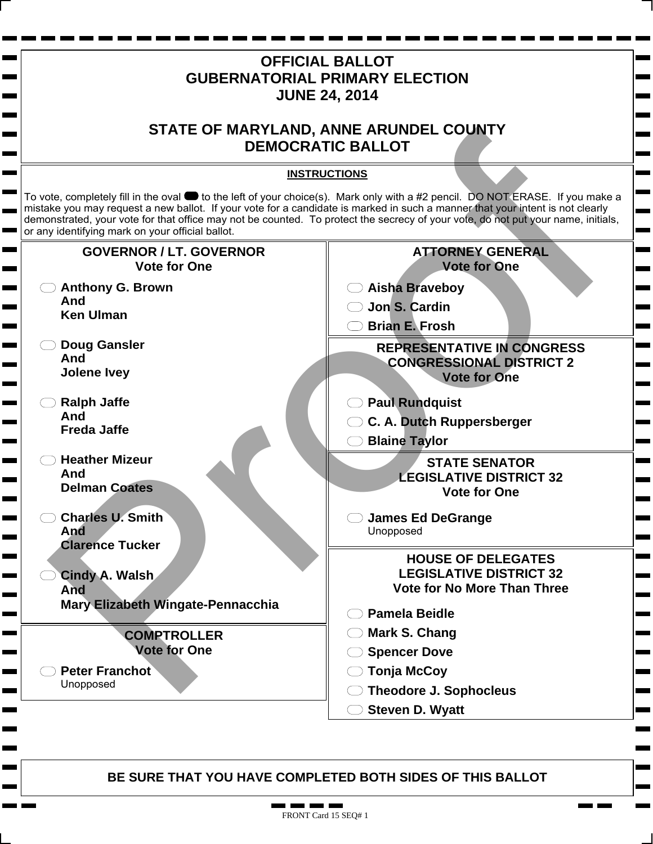

T F п.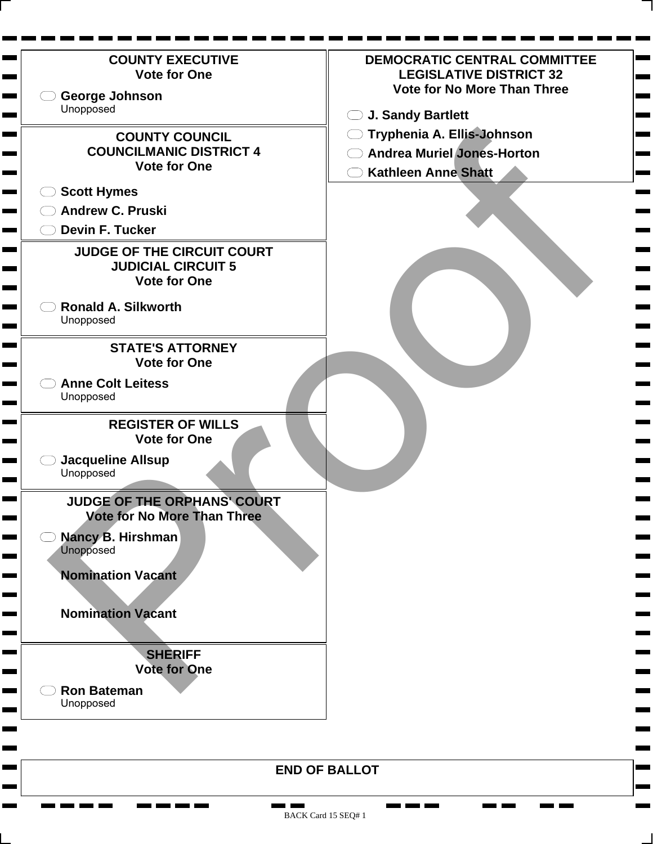

BACK Card 15 SEQ# 1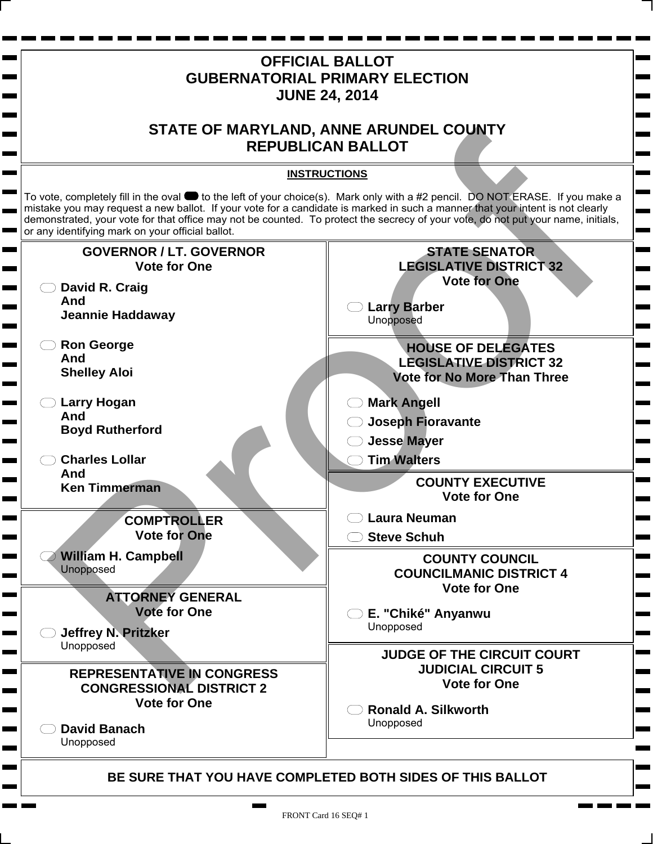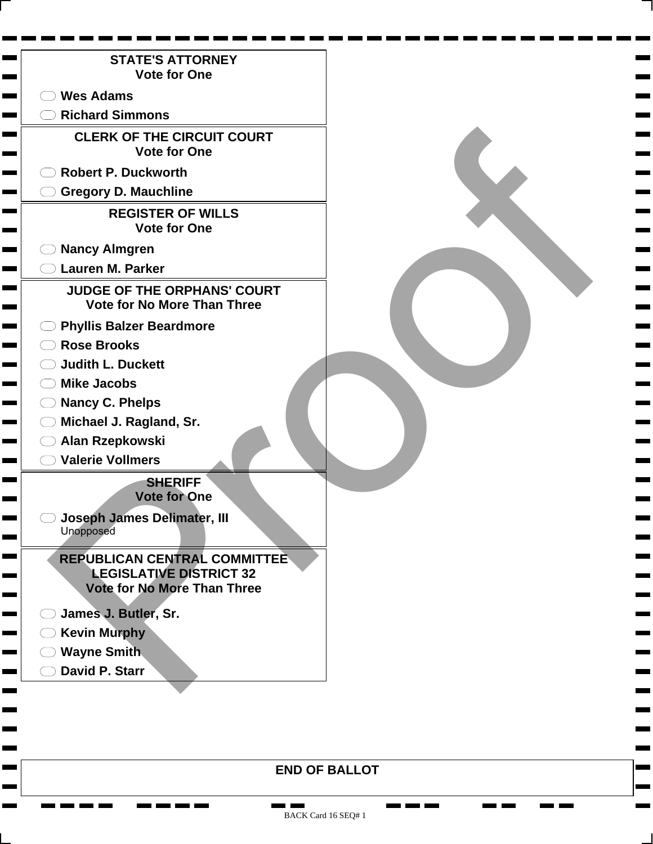

**END OF BALLOT**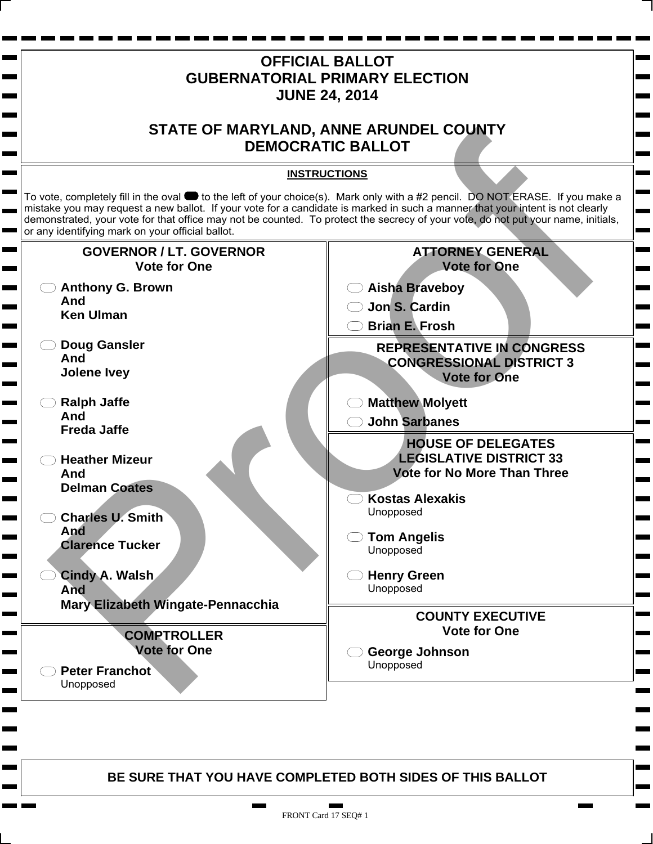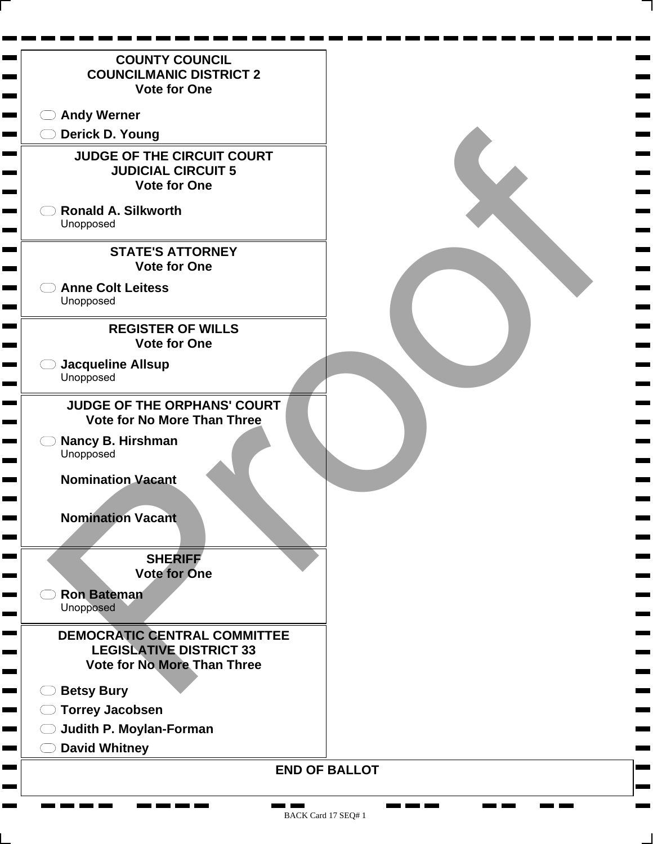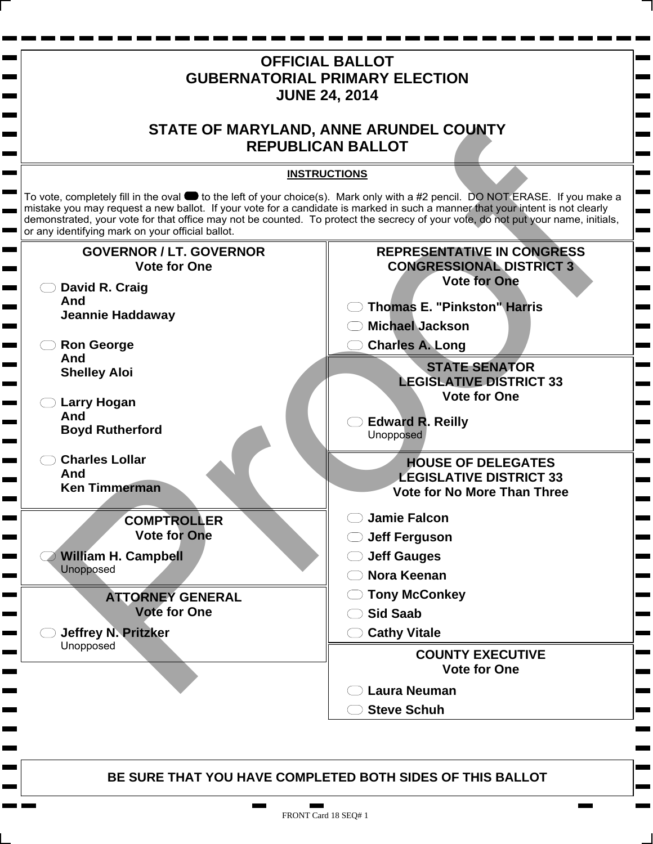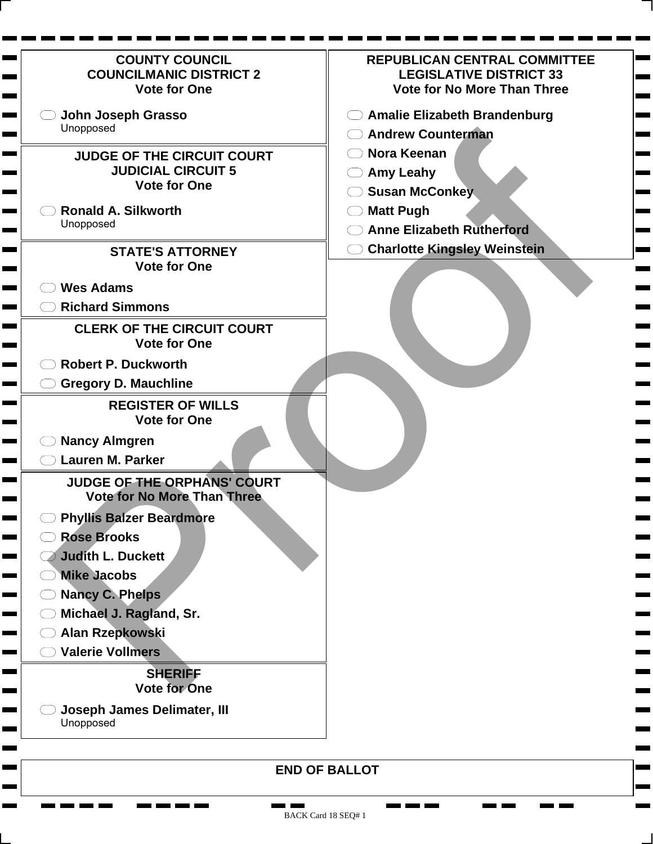| <b>COUNTY COUNCIL</b><br><b>COUNCILMANIC DISTRICT 2</b><br><b>Vote for One</b>                                                                                                                                                                                                     | <b>REPUBLICAN CENTRAL COMMITTEE</b><br><b>LEGISLATIVE DISTRICT 33</b><br><b>Vote for No More Than Three</b>             |
|------------------------------------------------------------------------------------------------------------------------------------------------------------------------------------------------------------------------------------------------------------------------------------|-------------------------------------------------------------------------------------------------------------------------|
| John Joseph Grasso<br>Unopposed                                                                                                                                                                                                                                                    | <b>Amalie Elizabeth Brandenburg</b><br><b>Andrew Counterman</b>                                                         |
| <b>JUDGE OF THE CIRCUIT COURT</b><br><b>JUDICIAL CIRCUIT 5</b><br><b>Vote for One</b><br><b>Ronald A. Silkworth</b><br>Unopposed                                                                                                                                                   | <b>Nora Keenan</b><br><b>Amy Leahy</b><br><b>Susan McConkey</b><br><b>Matt Pugh</b><br><b>Anne Elizabeth Rutherford</b> |
| <b>STATE'S ATTORNEY</b><br><b>Vote for One</b>                                                                                                                                                                                                                                     | <b>Charlotte Kingsley Weinstein</b>                                                                                     |
| <b>Wes Adams</b><br><b>Richard Simmons</b><br><b>CLERK OF THE CIRCUIT COURT</b><br><b>Vote for One</b>                                                                                                                                                                             |                                                                                                                         |
| <b>Robert P. Duckworth</b><br><b>Gregory D. Mauchline</b>                                                                                                                                                                                                                          |                                                                                                                         |
| <b>REGISTER OF WILLS</b><br><b>Vote for One</b><br><b>Nancy Almgren</b><br><b>Lauren M. Parker</b>                                                                                                                                                                                 |                                                                                                                         |
| JUDGE OF THE ORPHANS' COURT<br><b>Vote for No More Than Three</b>                                                                                                                                                                                                                  |                                                                                                                         |
| <b>Phyllis Balzer Beardmore</b><br><b>Rose Brooks</b><br><b>Judith L. Duckett</b><br><b>Mike Jacobs</b><br><b>Nancy C. Phelps</b><br>Michael J. Ragland, Sr.<br>Alan Rzepkowski<br><b>Valerie Vollmers</b><br><b>SHERIFF</b><br><b>Vote for One</b><br>Joseph James Delimater, III |                                                                                                                         |
| Unopposed                                                                                                                                                                                                                                                                          |                                                                                                                         |

**CONTRACTOR** 

Ħ. **The Second**  ٠

 $\mathbf{r}$  and  $\mathbf{r}$  and  $\mathbf{r}$ 

Ħ. **The Second**  **Contract Contract** 

**College** 

**The Second** 

**STATE**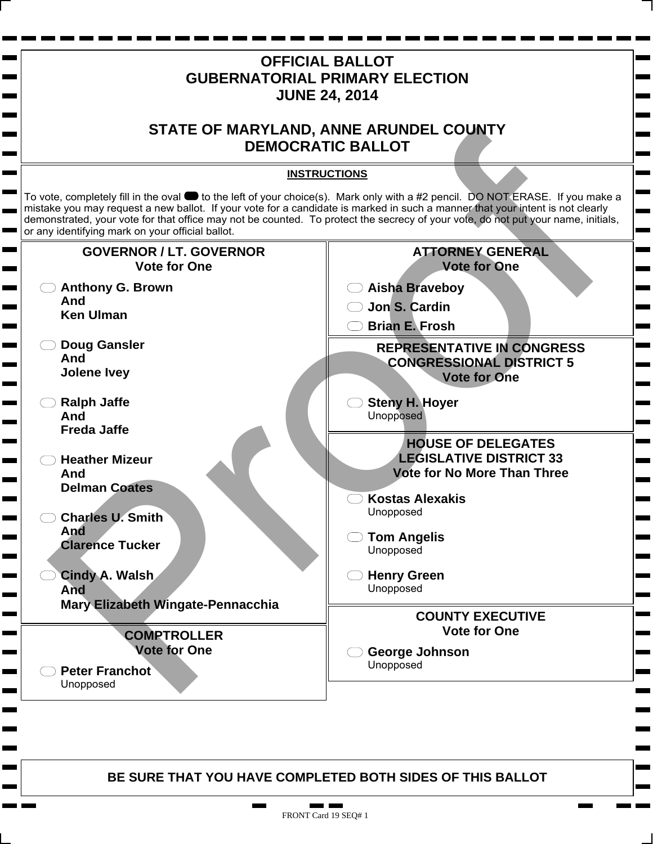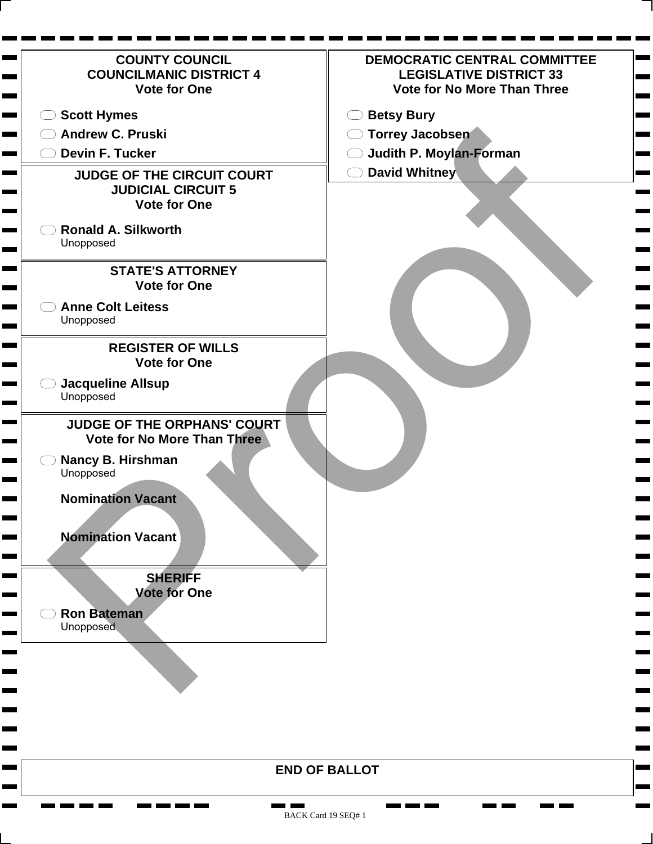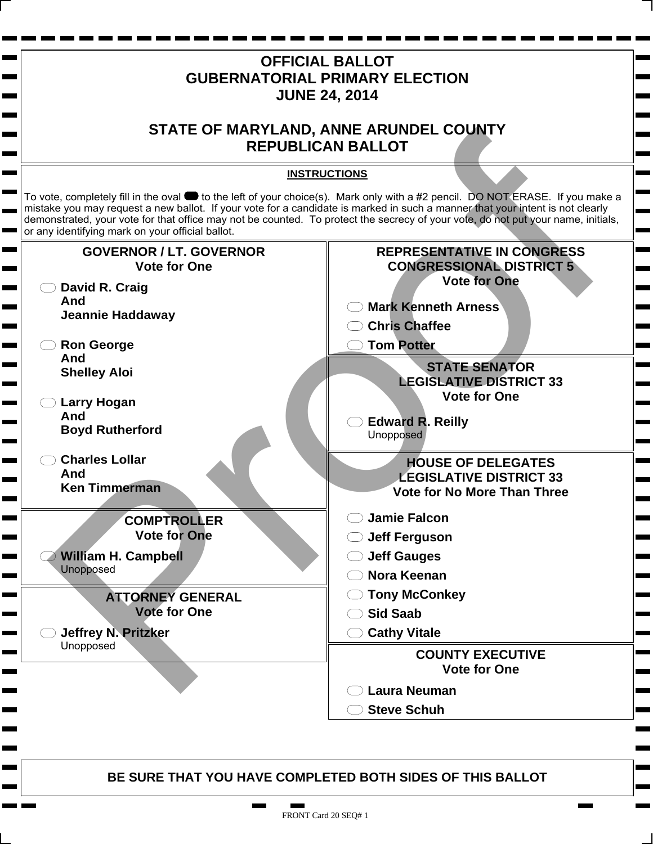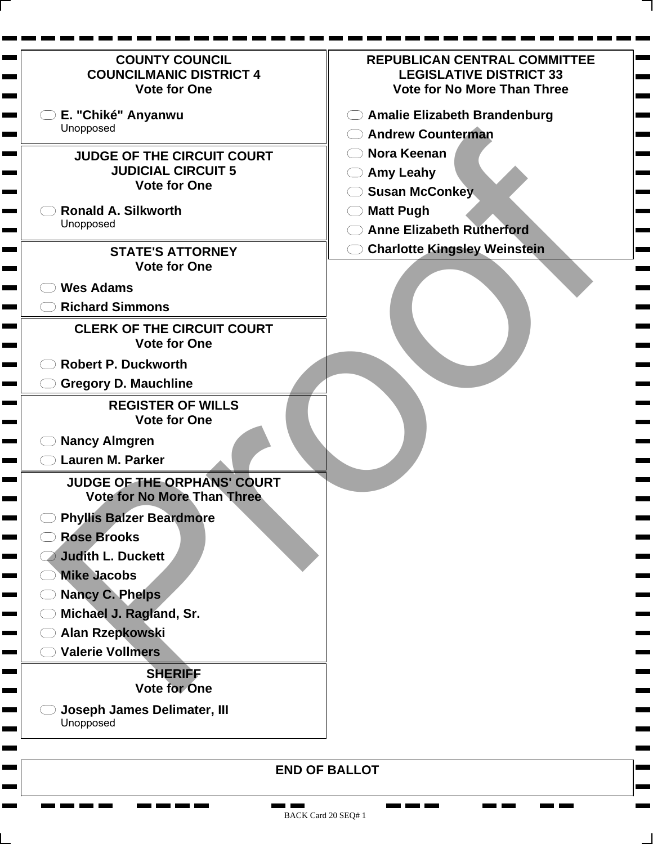| <b>COUNTY COUNCIL</b><br><b>COUNCILMANIC DISTRICT 4</b><br><b>Vote for One</b> | <b>REPUBLICAN CENTRAL COMMITTEE</b><br><b>LEGISLATIVE DISTRICT 33</b><br><b>Vote for No More Than Three</b> |
|--------------------------------------------------------------------------------|-------------------------------------------------------------------------------------------------------------|
| E. "Chiké" Anyanwu                                                             | <b>Amalie Elizabeth Brandenburg</b>                                                                         |
| Unopposed                                                                      | <b>Andrew Counterman</b>                                                                                    |
| <b>JUDGE OF THE CIRCUIT COURT</b>                                              | <b>Nora Keenan</b>                                                                                          |
| <b>JUDICIAL CIRCUIT 5</b>                                                      | <b>Amy Leahy</b>                                                                                            |
| <b>Vote for One</b>                                                            | <b>Susan McConkey</b>                                                                                       |
| <b>Ronald A. Silkworth</b>                                                     | <b>Matt Pugh</b>                                                                                            |
| Unopposed                                                                      | <b>Anne Elizabeth Rutherford</b>                                                                            |
| <b>STATE'S ATTORNEY</b>                                                        | <b>Charlotte Kingsley Weinstein</b>                                                                         |
| <b>Vote for One</b>                                                            |                                                                                                             |
| <b>Wes Adams</b>                                                               |                                                                                                             |
| <b>Richard Simmons</b>                                                         |                                                                                                             |
| <b>CLERK OF THE CIRCUIT COURT</b><br><b>Vote for One</b>                       |                                                                                                             |
| <b>Robert P. Duckworth</b>                                                     |                                                                                                             |
| <b>Gregory D. Mauchline</b>                                                    |                                                                                                             |
| <b>REGISTER OF WILLS</b><br><b>Vote for One</b>                                |                                                                                                             |
| <b>Nancy Almgren</b>                                                           |                                                                                                             |
| <b>Lauren M. Parker</b>                                                        |                                                                                                             |
| JUDGE OF THE ORPHANS' COURT<br><b>Vote for No More Than Three</b>              |                                                                                                             |
| <b>Phyllis Balzer Beardmore</b>                                                |                                                                                                             |
| <b>Rose Brooks</b>                                                             |                                                                                                             |
| <b>Judith L. Duckett</b>                                                       |                                                                                                             |
| <b>Mike Jacobs</b>                                                             |                                                                                                             |
| <b>Nancy C. Phelps</b>                                                         |                                                                                                             |
| Michael J. Ragland, Sr.                                                        |                                                                                                             |
| Alan Rzepkowski                                                                |                                                                                                             |
| <b>Valerie Vollmers</b>                                                        |                                                                                                             |
| <b>SHERIFF</b><br><b>Vote for One</b>                                          |                                                                                                             |
| <b>Joseph James Delimater, III</b><br>Unopposed                                |                                                                                                             |
|                                                                                | <b>END OF BALLOT</b>                                                                                        |

۰

٠

Ξ

**CONTRACTOR** 

<u>na ma</u> ma

**COMPUTE** 

**College** 

Н ٠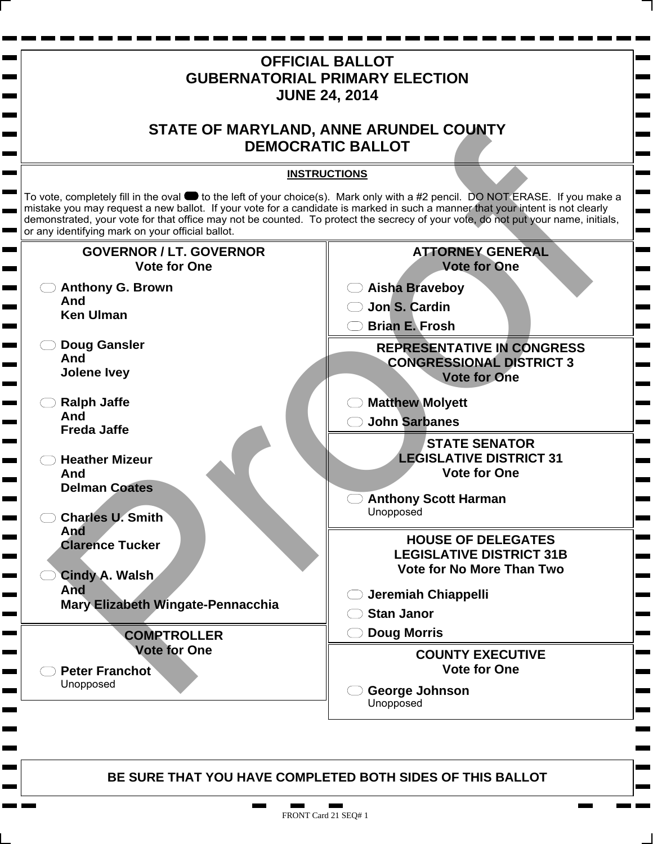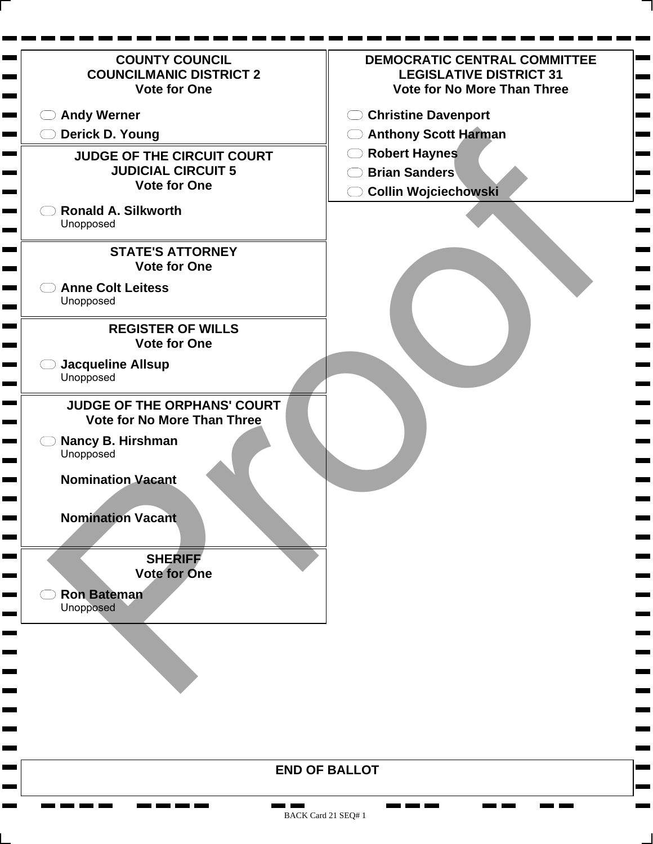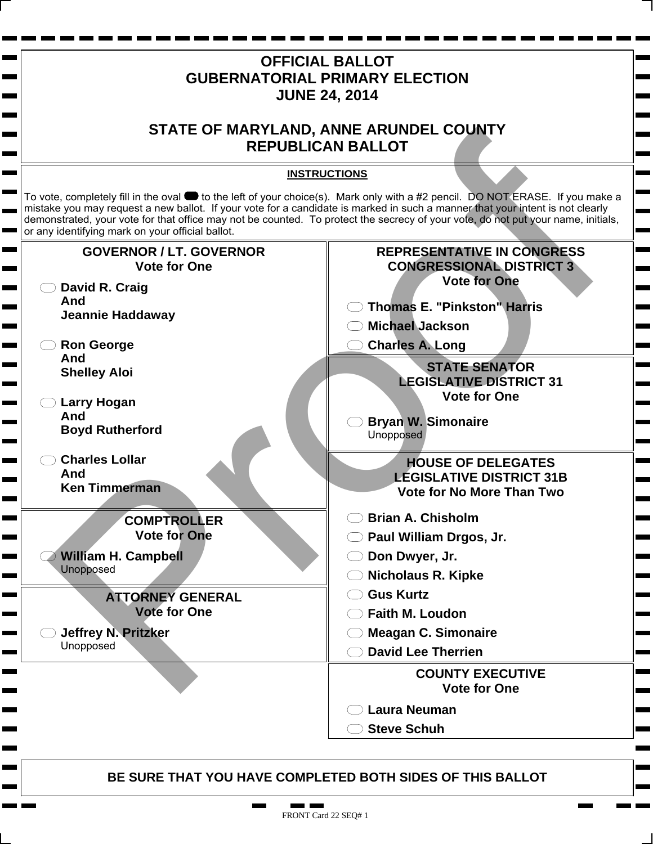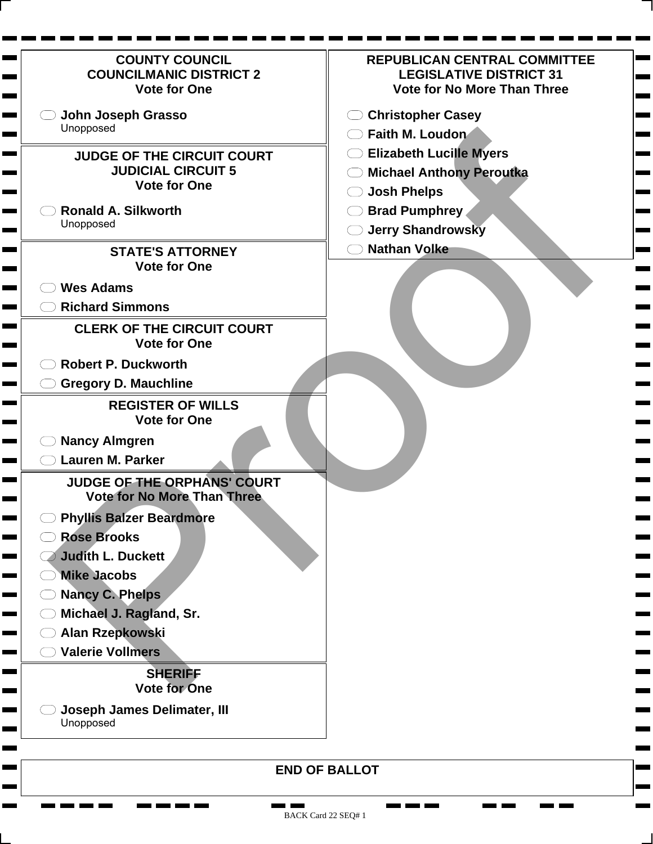| <b>COUNTY COUNCIL</b><br><b>COUNCILMANIC DISTRICT 2</b><br><b>Vote for One</b> | <b>REPUBLICAN CENTRAL COMMITTEE</b><br><b>LEGISLATIVE DISTRICT 31</b><br><b>Vote for No More Than Three</b> |
|--------------------------------------------------------------------------------|-------------------------------------------------------------------------------------------------------------|
| John Joseph Grasso                                                             | <b>Christopher Casey</b>                                                                                    |
| Unopposed                                                                      | Faith M. Loudon                                                                                             |
| <b>JUDGE OF THE CIRCUIT COURT</b>                                              | <b>Elizabeth Lucille Myers</b>                                                                              |
| <b>JUDICIAL CIRCUIT 5</b>                                                      | <b>Michael Anthony Peroutka</b>                                                                             |
| <b>Vote for One</b>                                                            | <b>Josh Phelps</b>                                                                                          |
| <b>Ronald A. Silkworth</b>                                                     | <b>Brad Pumphrey</b>                                                                                        |
| Unopposed                                                                      | <b>Jerry Shandrowsky</b>                                                                                    |
| <b>STATE'S ATTORNEY</b>                                                        | <b>Nathan Volke</b>                                                                                         |
| <b>Vote for One</b>                                                            |                                                                                                             |
| <b>Wes Adams</b>                                                               |                                                                                                             |
| <b>Richard Simmons</b>                                                         |                                                                                                             |
| <b>CLERK OF THE CIRCUIT COURT</b>                                              |                                                                                                             |
| <b>Vote for One</b>                                                            |                                                                                                             |
| <b>Robert P. Duckworth</b>                                                     |                                                                                                             |
| <b>Gregory D. Mauchline</b>                                                    |                                                                                                             |
| <b>REGISTER OF WILLS</b><br><b>Vote for One</b>                                |                                                                                                             |
| <b>Nancy Almgren</b>                                                           |                                                                                                             |
| Lauren M. Parker                                                               |                                                                                                             |
| JUDGE OF THE ORPHANS' COURT<br><b>Vote for No More Than Three</b>              |                                                                                                             |
| <b>Phyllis Balzer Beardmore</b>                                                |                                                                                                             |
| <b>Rose Brooks</b>                                                             |                                                                                                             |
| Judith L. Duckett<br><u> a serie de la p</u>                                   |                                                                                                             |
| <b>Mike Jacobs</b>                                                             |                                                                                                             |
| <b>Nancy C. Phelps</b>                                                         |                                                                                                             |
| Michael J. Ragland, Sr.                                                        |                                                                                                             |
| Alan Rzepkowski                                                                |                                                                                                             |
| <b>Valerie Vollmers</b>                                                        |                                                                                                             |
| <b>SHERIFF</b><br><b>Vote for One</b>                                          |                                                                                                             |
| <b>Joseph James Delimater, III</b><br>Unopposed                                |                                                                                                             |
|                                                                                | <b>END OF BALLOT</b>                                                                                        |

**The Second** 

<u>the first term</u>

**CONTRACTOR**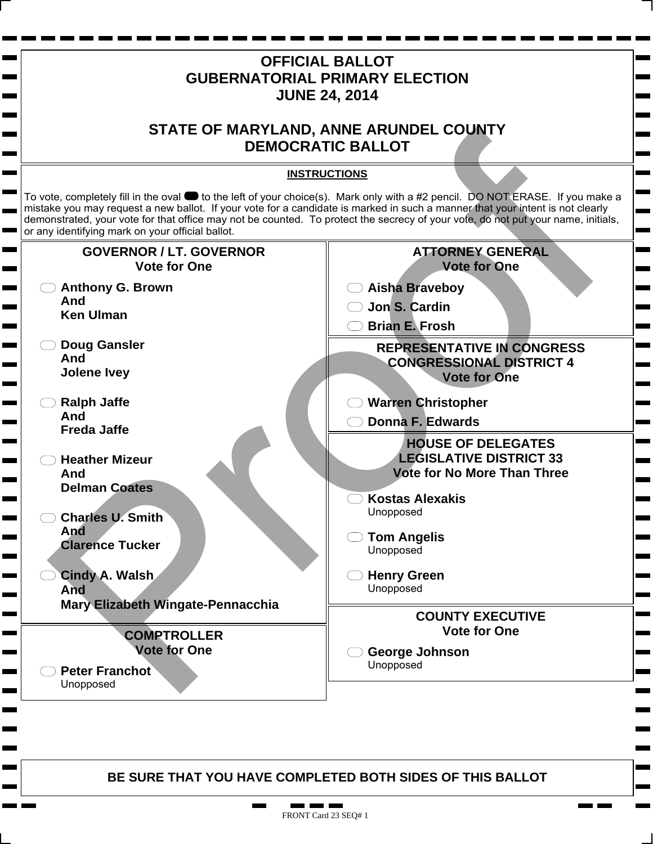

. .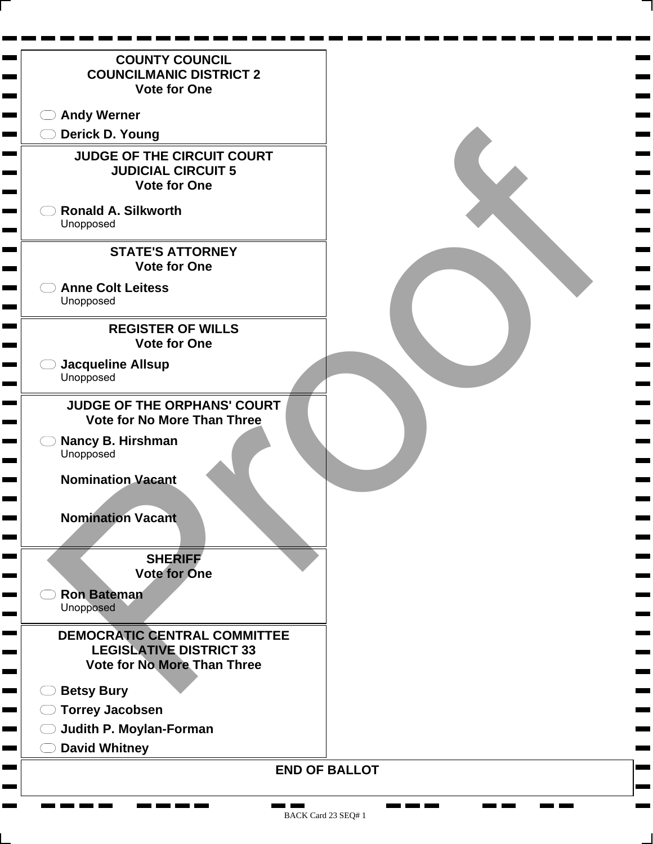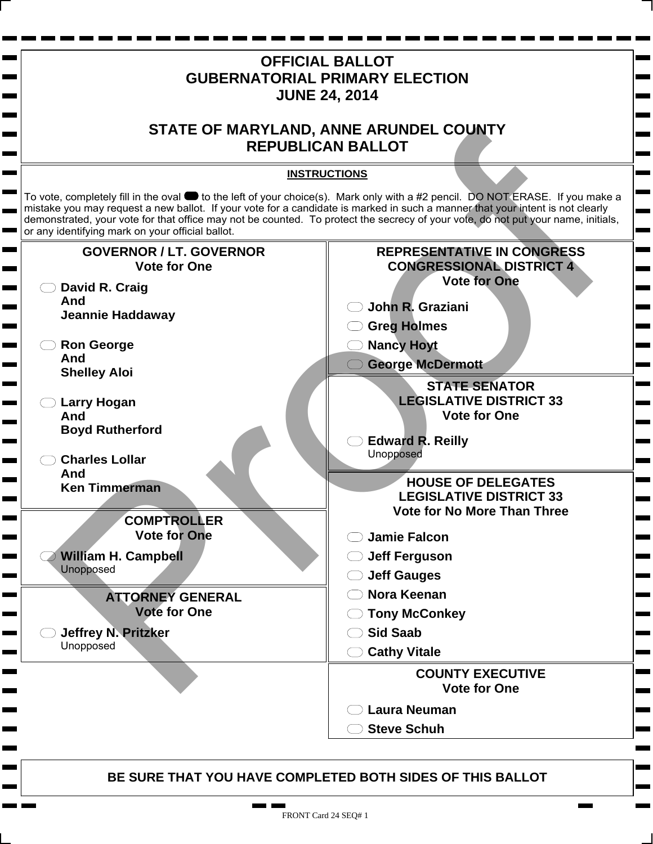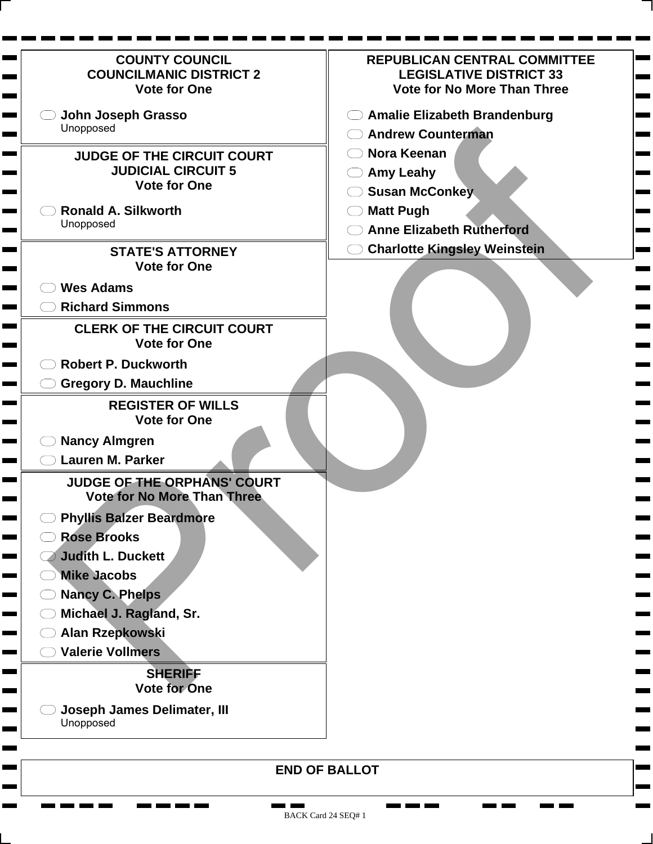| <b>COUNTY COUNCIL</b><br><b>COUNCILMANIC DISTRICT 2</b><br><b>Vote for One</b> | <b>REPUBLICAN CENTRAL COMMITTEE</b><br><b>LEGISLATIVE DISTRICT 33</b><br><b>Vote for No More Than Three</b> |
|--------------------------------------------------------------------------------|-------------------------------------------------------------------------------------------------------------|
| John Joseph Grasso                                                             | <b>Amalie Elizabeth Brandenburg</b>                                                                         |
| Unopposed                                                                      | <b>Andrew Counterman</b>                                                                                    |
| <b>JUDGE OF THE CIRCUIT COURT</b>                                              | <b>Nora Keenan</b>                                                                                          |
| <b>JUDICIAL CIRCUIT 5</b>                                                      | <b>Amy Leahy</b>                                                                                            |
| <b>Vote for One</b>                                                            | <b>Susan McConkey</b>                                                                                       |
| <b>Ronald A. Silkworth</b>                                                     | <b>Matt Pugh</b>                                                                                            |
| Unopposed                                                                      | <b>Anne Elizabeth Rutherford</b>                                                                            |
| <b>STATE'S ATTORNEY</b>                                                        | <b>Charlotte Kingsley Weinstein</b>                                                                         |
| <b>Vote for One</b>                                                            |                                                                                                             |
| <b>Wes Adams</b>                                                               |                                                                                                             |
| <b>Richard Simmons</b>                                                         |                                                                                                             |
| <b>CLERK OF THE CIRCUIT COURT</b><br><b>Vote for One</b>                       |                                                                                                             |
| <b>Robert P. Duckworth</b>                                                     |                                                                                                             |
| <b>Gregory D. Mauchline</b>                                                    |                                                                                                             |
| <b>REGISTER OF WILLS</b><br><b>Vote for One</b>                                |                                                                                                             |
| <b>Nancy Almgren</b>                                                           |                                                                                                             |
| <b>Lauren M. Parker</b>                                                        |                                                                                                             |
| <b>JUDGE OF THE ORPHANS' COURT</b><br><b>Vote for No More Than Three</b>       |                                                                                                             |
| <b>Phyllis Balzer Beardmore</b>                                                |                                                                                                             |
| <b>Rose Brooks</b><br>اسية                                                     |                                                                                                             |
| <b>Judith L. Duckett</b>                                                       |                                                                                                             |
| <b>Mike Jacobs</b>                                                             |                                                                                                             |
| <b>Nancy C. Phelps</b>                                                         |                                                                                                             |
| Michael J. Ragland, Sr.                                                        |                                                                                                             |
| Alan Rzepkowski                                                                |                                                                                                             |
| <b>Valerie Vollmers</b>                                                        |                                                                                                             |
| <b>SHERIFF</b><br><b>Vote for One</b>                                          |                                                                                                             |
| <b>Joseph James Delimater, III</b><br>Unopposed                                |                                                                                                             |
|                                                                                | <b>END OF BALLOT</b>                                                                                        |

۰

۰

Ξ

**CONTRACTOR** 

<u>na ma</u> ma

**COMPUTE** 

**College** 

Н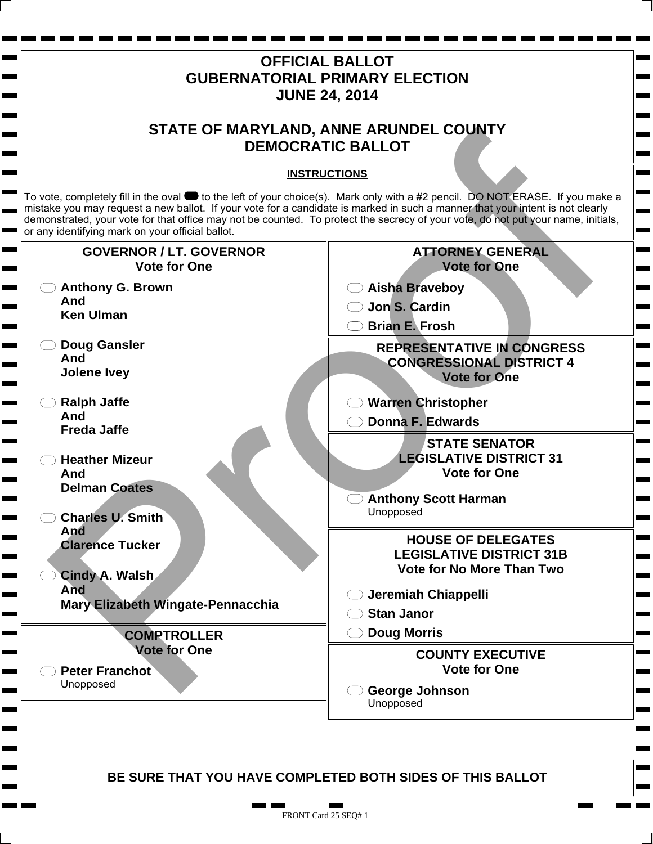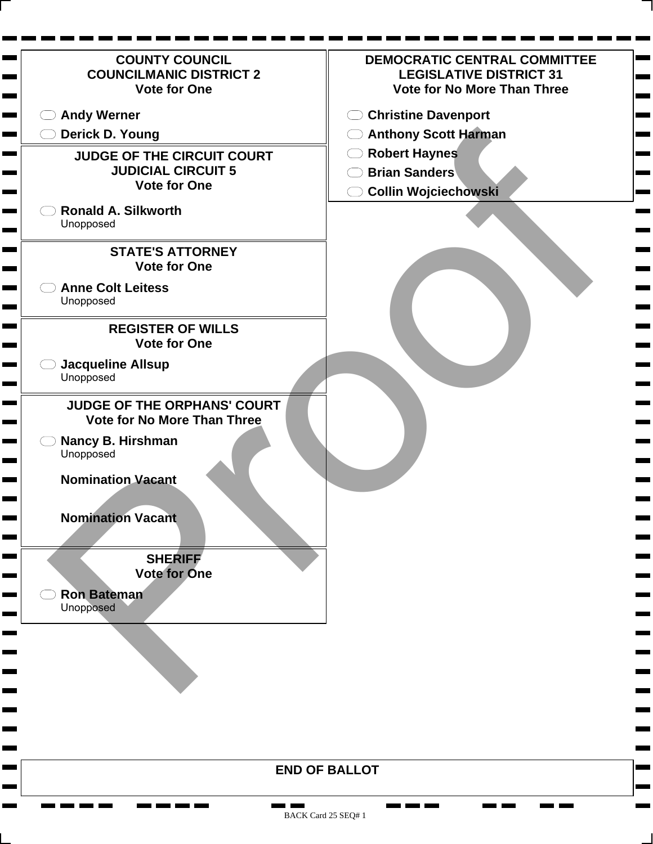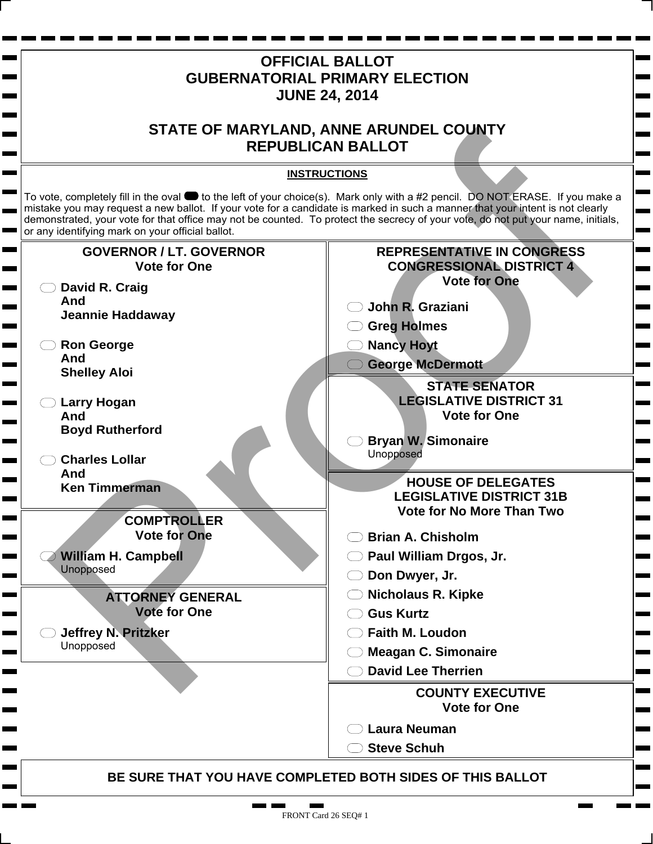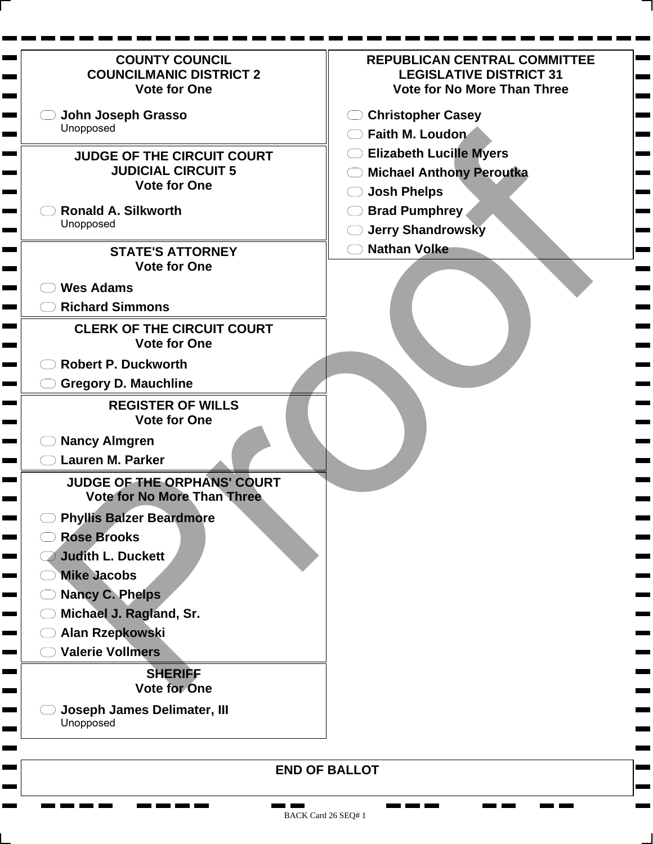| <b>COUNTY COUNCIL</b><br><b>COUNCILMANIC DISTRICT 2</b><br><b>Vote for One</b> | <b>REPUBLICAN CENTRAL COMMITTEE</b><br><b>LEGISLATIVE DISTRICT 31</b><br><b>Vote for No More Than Three</b> |
|--------------------------------------------------------------------------------|-------------------------------------------------------------------------------------------------------------|
| John Joseph Grasso                                                             | <b>Christopher Casey</b>                                                                                    |
| Unopposed                                                                      | Faith M. Loudon                                                                                             |
| <b>JUDGE OF THE CIRCUIT COURT</b>                                              | <b>Elizabeth Lucille Myers</b>                                                                              |
| <b>JUDICIAL CIRCUIT 5</b>                                                      | <b>Michael Anthony Peroutka</b>                                                                             |
| <b>Vote for One</b>                                                            | <b>Josh Phelps</b>                                                                                          |
| <b>Ronald A. Silkworth</b>                                                     | <b>Brad Pumphrey</b>                                                                                        |
| Unopposed                                                                      | <b>Jerry Shandrowsky</b>                                                                                    |
| <b>STATE'S ATTORNEY</b>                                                        | <b>Nathan Volke</b>                                                                                         |
| <b>Vote for One</b>                                                            |                                                                                                             |
| <b>Wes Adams</b>                                                               |                                                                                                             |
| <b>Richard Simmons</b>                                                         |                                                                                                             |
| <b>CLERK OF THE CIRCUIT COURT</b>                                              |                                                                                                             |
| <b>Vote for One</b>                                                            |                                                                                                             |
| <b>Robert P. Duckworth</b>                                                     |                                                                                                             |
| <b>Gregory D. Mauchline</b>                                                    |                                                                                                             |
| <b>REGISTER OF WILLS</b><br><b>Vote for One</b>                                |                                                                                                             |
| <b>Nancy Almgren</b>                                                           |                                                                                                             |
| Lauren M. Parker                                                               |                                                                                                             |
| JUDGE OF THE ORPHANS' COURT<br><b>Vote for No More Than Three</b>              |                                                                                                             |
| <b>Phyllis Balzer Beardmore</b>                                                |                                                                                                             |
| <b>Rose Brooks</b>                                                             |                                                                                                             |
| Judith L. Duckett<br><u> a serie de la p</u>                                   |                                                                                                             |
| <b>Mike Jacobs</b>                                                             |                                                                                                             |
| <b>Nancy C. Phelps</b>                                                         |                                                                                                             |
| Michael J. Ragland, Sr.                                                        |                                                                                                             |
| Alan Rzepkowski                                                                |                                                                                                             |
| <b>Valerie Vollmers</b>                                                        |                                                                                                             |
| <b>SHERIFF</b><br><b>Vote for One</b>                                          |                                                                                                             |
| <b>Joseph James Delimater, III</b><br>Unopposed                                |                                                                                                             |
|                                                                                | <b>END OF BALLOT</b>                                                                                        |

**The Second** 

<u>the first term</u>

 $\overline{\phantom{0}}$ 

**The Second** 

**CONTRACTOR**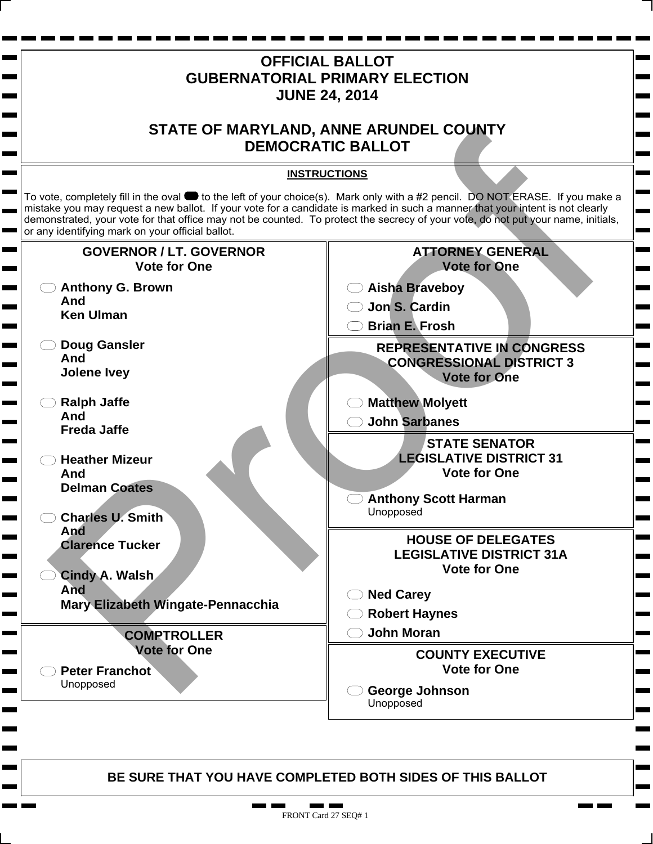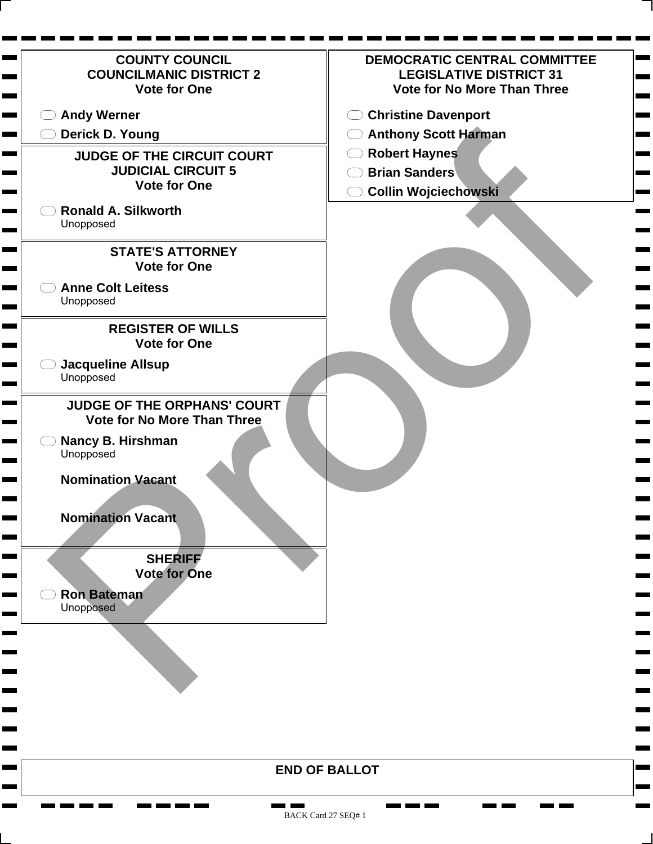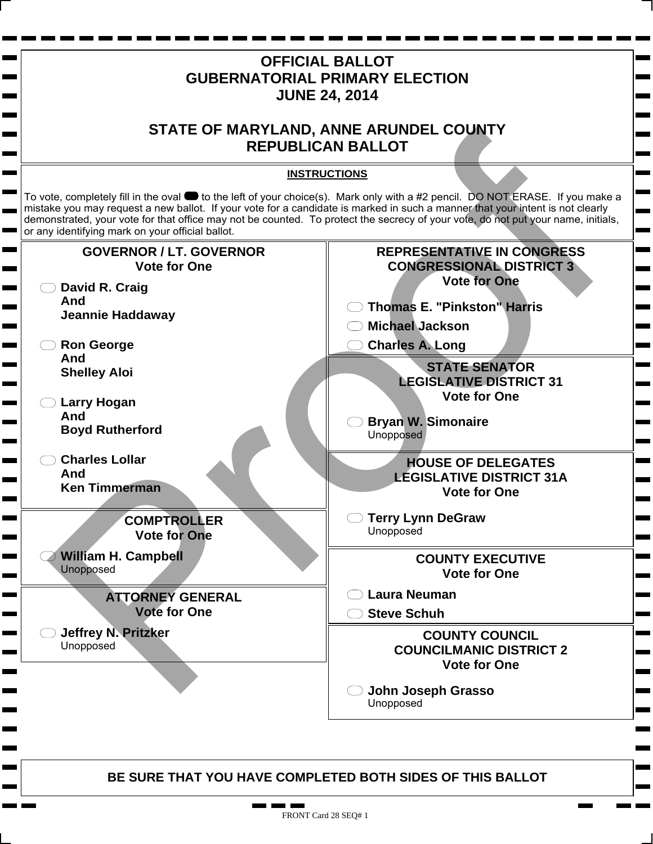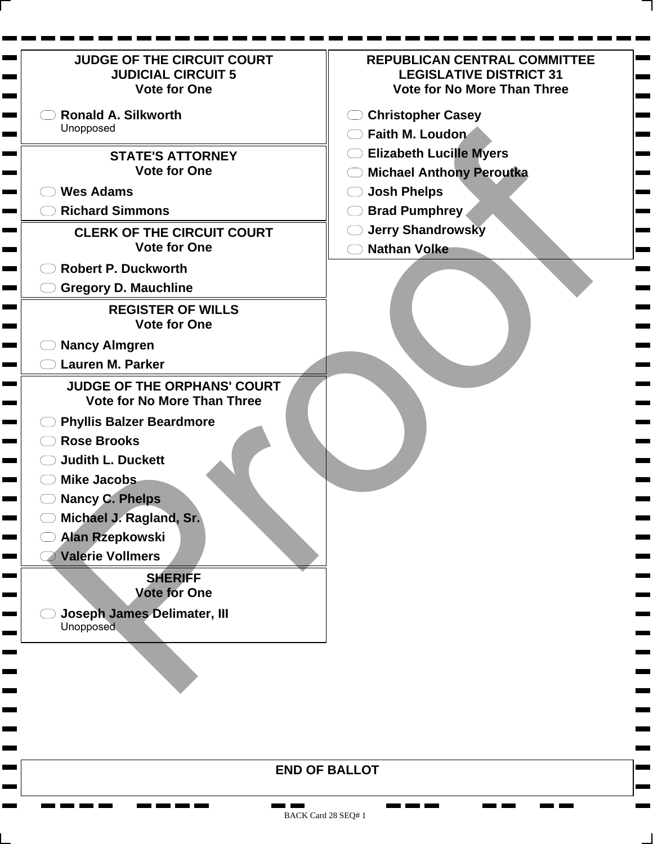| <b>JUDGE OF THE CIRCUIT COURT</b><br><b>JUDICIAL CIRCUIT 5</b><br><b>Vote for One</b> | <b>REPUBLICAN CENTRAL COMMITTEE</b><br><b>LEGISLATIVE DISTRICT 31</b><br><b>Vote for No More Than Three</b> |
|---------------------------------------------------------------------------------------|-------------------------------------------------------------------------------------------------------------|
| <b>Ronald A. Silkworth</b>                                                            | <b>Christopher Casey</b>                                                                                    |
| Unopposed                                                                             | Faith M. Loudon                                                                                             |
| <b>STATE'S ATTORNEY</b>                                                               | <b>Elizabeth Lucille Myers</b>                                                                              |
| <b>Vote for One</b>                                                                   | <b>Michael Anthony Peroutka</b>                                                                             |
| <b>Wes Adams</b>                                                                      | <b>Josh Phelps</b>                                                                                          |
| <b>Richard Simmons</b>                                                                | <b>Brad Pumphrey</b>                                                                                        |
| <b>CLERK OF THE CIRCUIT COURT</b>                                                     | <b>Jerry Shandrowsky</b>                                                                                    |
| <b>Vote for One</b>                                                                   | <b>Nathan Volke</b>                                                                                         |
| <b>Robert P. Duckworth</b>                                                            |                                                                                                             |
| <b>Gregory D. Mauchline</b>                                                           |                                                                                                             |
| <b>REGISTER OF WILLS</b><br><b>Vote for One</b>                                       |                                                                                                             |
| <b>Nancy Almgren</b>                                                                  |                                                                                                             |
| <b>Lauren M. Parker</b>                                                               |                                                                                                             |
| <b>JUDGE OF THE ORPHANS' COURT</b><br><b>Vote for No More Than Three</b>              |                                                                                                             |
| <b>Phyllis Balzer Beardmore</b>                                                       |                                                                                                             |
| <b>Rose Brooks</b>                                                                    |                                                                                                             |
| <b>Judith L. Duckett</b>                                                              |                                                                                                             |
| <b>Mike Jacobs</b>                                                                    |                                                                                                             |
| <b>Nancy C. Phelps</b>                                                                |                                                                                                             |
| Michael J. Ragland, Sr.                                                               |                                                                                                             |
| <b>Alan Rzepkowski</b>                                                                |                                                                                                             |
| <b>Valerie Vollmers</b>                                                               |                                                                                                             |
| <b>SHERIFF</b><br><b>Vote for One</b>                                                 |                                                                                                             |
| Joseph James Delimater, III                                                           |                                                                                                             |
| Unopposed                                                                             |                                                                                                             |
|                                                                                       |                                                                                                             |
|                                                                                       |                                                                                                             |
|                                                                                       |                                                                                                             |
|                                                                                       |                                                                                                             |

**The Second**  $\overline{\phantom{0}}$ 

 $\mathbf{r}$ 

**END OF BALLOT**

 $\mathbf{r}$  and  $\mathbf{r}$  and  $\mathbf{r}$ 

**CONTRACTOR** 

<u>ran ma</u>

 $\blacksquare$ 

**Contract** 

**The Second** 

п

**CONTRACTOR** 

<u>the state of the state of the state of the state of the state of the state of the state of the state of the sta</u>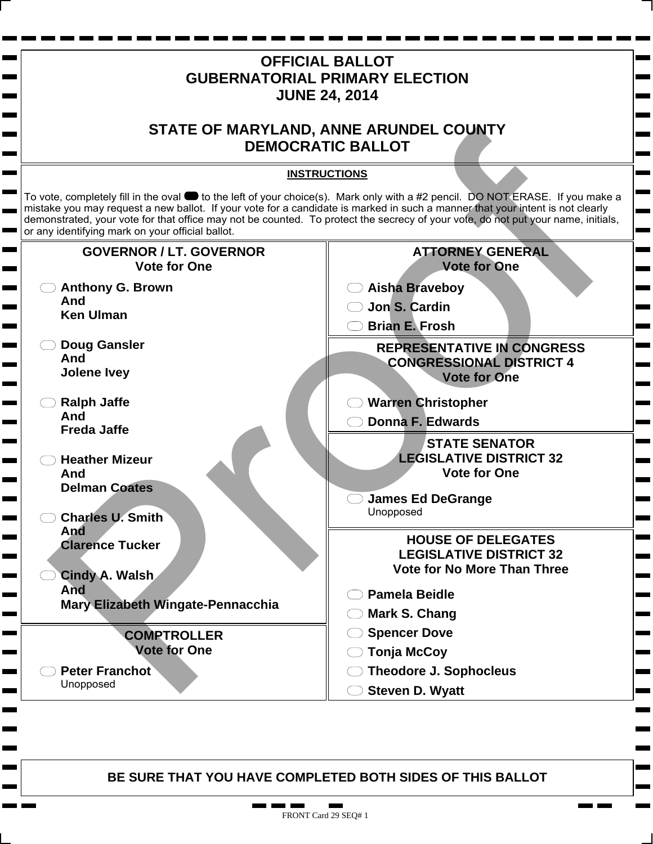

. .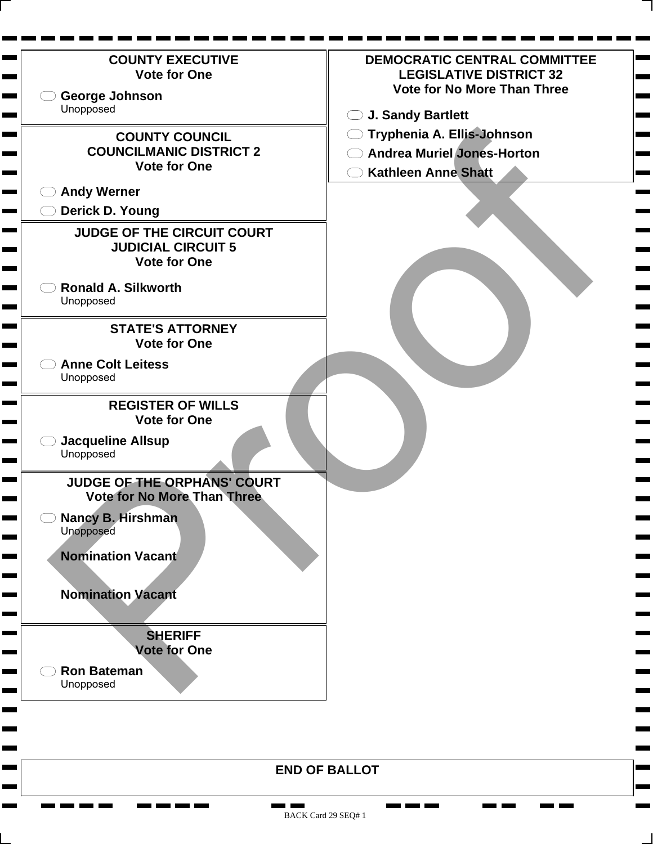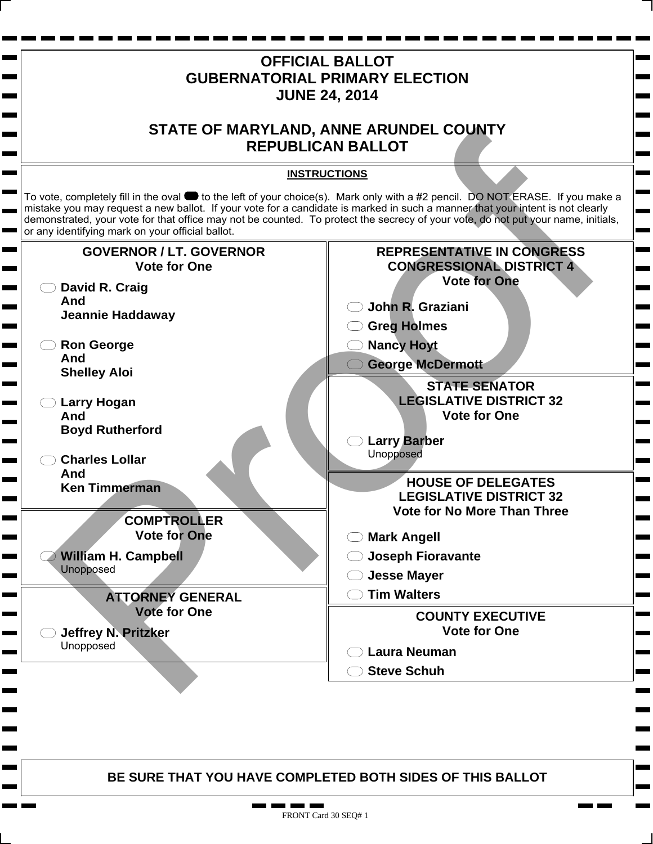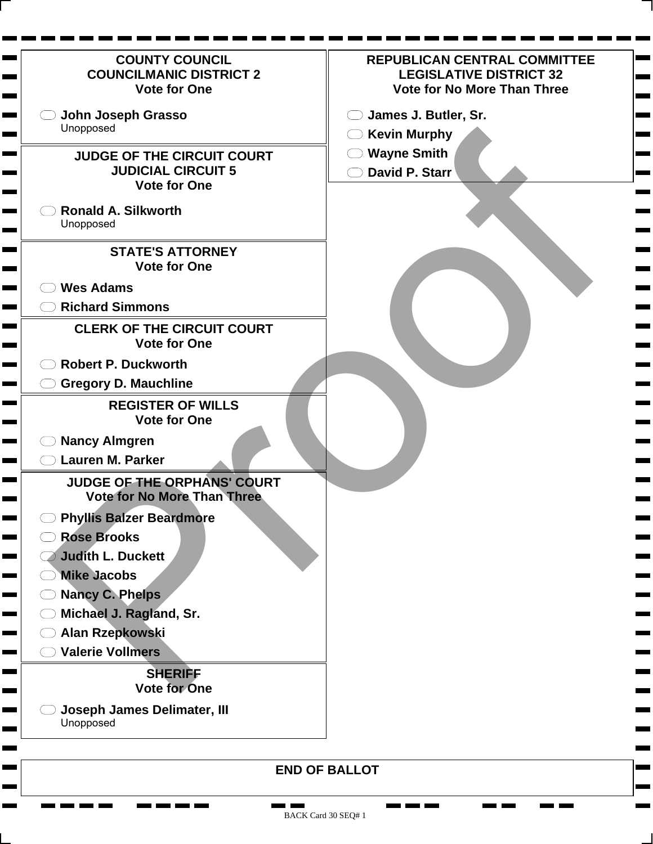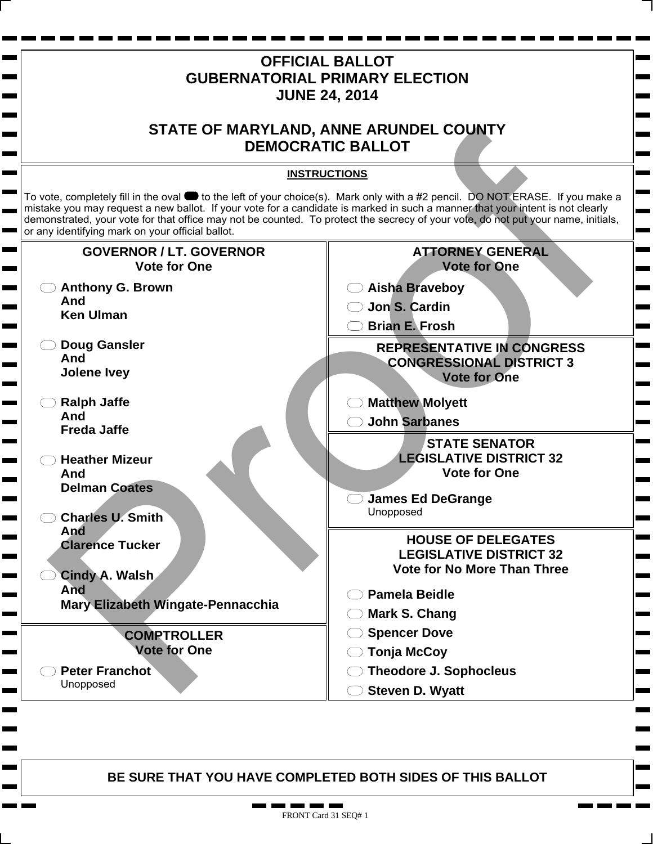

. . п.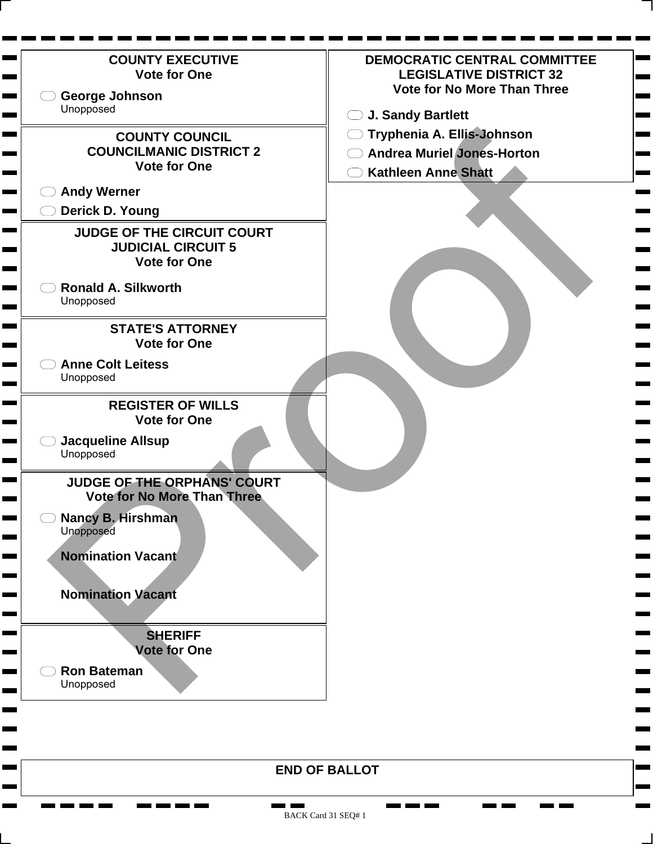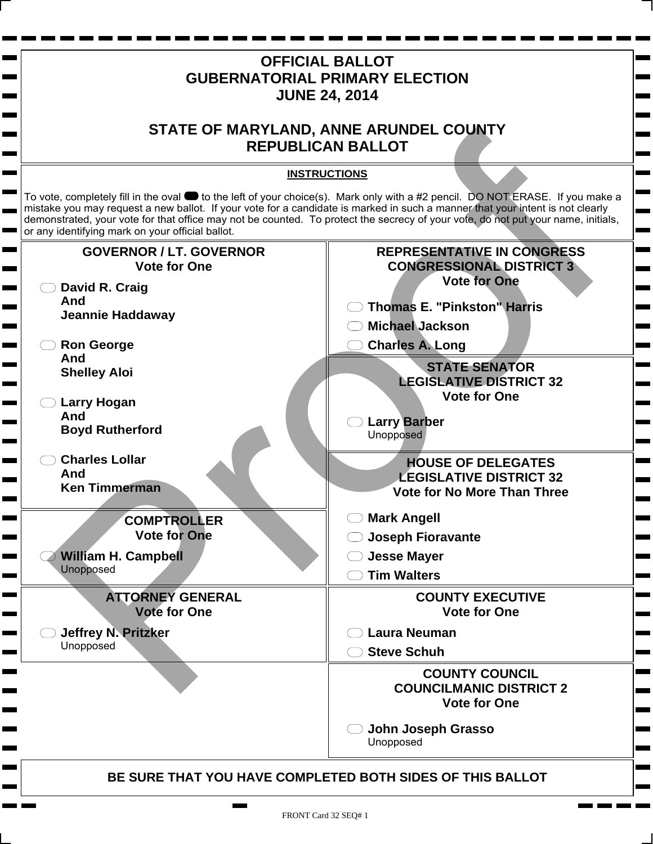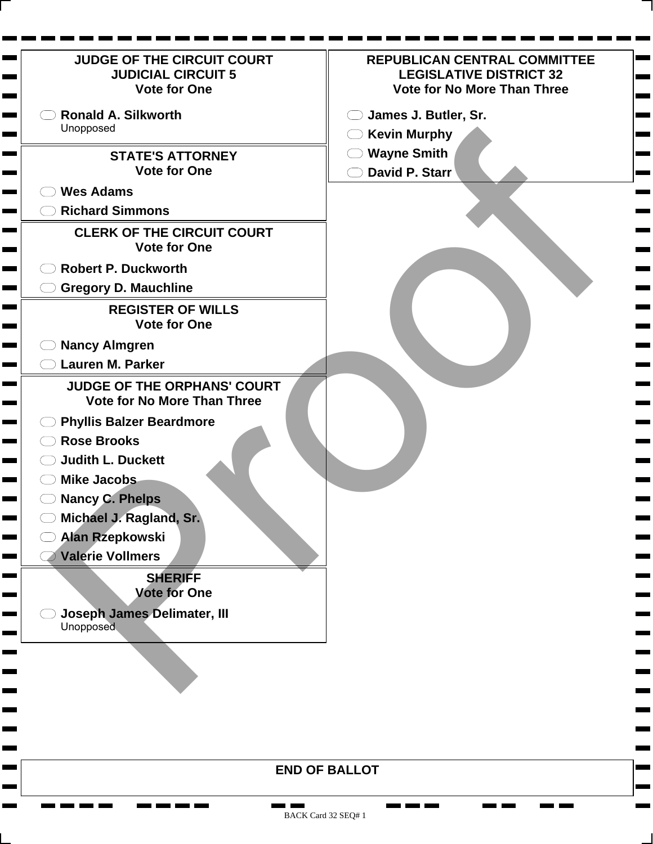| <b>JUDGE OF THE CIRCUIT COURT</b><br><b>JUDICIAL CIRCUIT 5</b><br><b>Vote for One</b>                                                                                                                                                                                                                                                                                                            | <b>REPUBLICAN CENTRAL COMMITTEE</b><br><b>LEGISLATIVE DISTRICT 32</b><br><b>Vote for No More Than Three</b> |
|--------------------------------------------------------------------------------------------------------------------------------------------------------------------------------------------------------------------------------------------------------------------------------------------------------------------------------------------------------------------------------------------------|-------------------------------------------------------------------------------------------------------------|
| <b>Ronald A. Silkworth</b>                                                                                                                                                                                                                                                                                                                                                                       | James J. Butler, Sr.                                                                                        |
| Unopposed                                                                                                                                                                                                                                                                                                                                                                                        | <b>Kevin Murphy</b><br>$($ )                                                                                |
| <b>STATE'S ATTORNEY</b>                                                                                                                                                                                                                                                                                                                                                                          | <b>Wayne Smith</b>                                                                                          |
| <b>Vote for One</b>                                                                                                                                                                                                                                                                                                                                                                              | David P. Starr                                                                                              |
| <b>Wes Adams</b>                                                                                                                                                                                                                                                                                                                                                                                 |                                                                                                             |
| <b>Richard Simmons</b>                                                                                                                                                                                                                                                                                                                                                                           |                                                                                                             |
| <b>CLERK OF THE CIRCUIT COURT</b><br><b>Vote for One</b>                                                                                                                                                                                                                                                                                                                                         |                                                                                                             |
| <b>Robert P. Duckworth</b>                                                                                                                                                                                                                                                                                                                                                                       |                                                                                                             |
| <b>Gregory D. Mauchline</b>                                                                                                                                                                                                                                                                                                                                                                      |                                                                                                             |
| <b>REGISTER OF WILLS</b><br><b>Vote for One</b>                                                                                                                                                                                                                                                                                                                                                  |                                                                                                             |
| <b>Nancy Almgren</b>                                                                                                                                                                                                                                                                                                                                                                             |                                                                                                             |
| <b>Lauren M. Parker</b>                                                                                                                                                                                                                                                                                                                                                                          |                                                                                                             |
| <b>JUDGE OF THE ORPHANS' COURT</b><br><b>Vote for No More Than Three</b><br><b>Phyllis Balzer Beardmore</b><br><b>Rose Brooks</b><br><b>Judith L. Duckett</b><br><b>Mike Jacobs</b><br><b>Nancy C. Phelps</b><br>Michael J. Ragland, Sr.<br><b>Alan Rzepkowski</b><br><b>Valerie Vollmers</b><br><b>SHERIFF</b><br><b>Vote for One</b><br><b>Joseph James Delimater, III</b><br><b>Unopposed</b> |                                                                                                             |
|                                                                                                                                                                                                                                                                                                                                                                                                  |                                                                                                             |
|                                                                                                                                                                                                                                                                                                                                                                                                  |                                                                                                             |
|                                                                                                                                                                                                                                                                                                                                                                                                  |                                                                                                             |

**College** 

**The Second** 

<u>na ka</u> m

**CONTRACTOR** 

**The Company Company** 

**CONTRACTOR** 

**Bearing Committee** 

٠  $\mathbf{r}$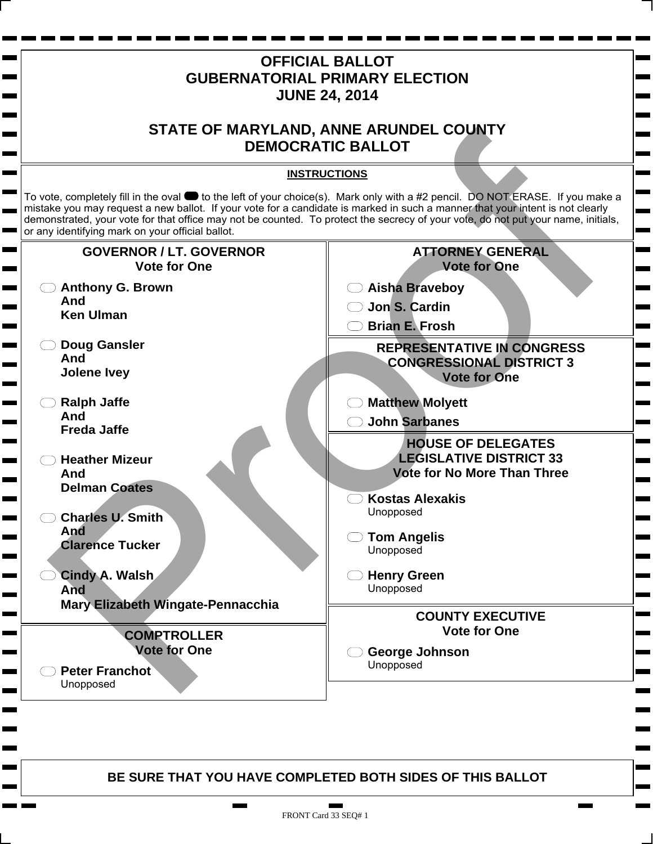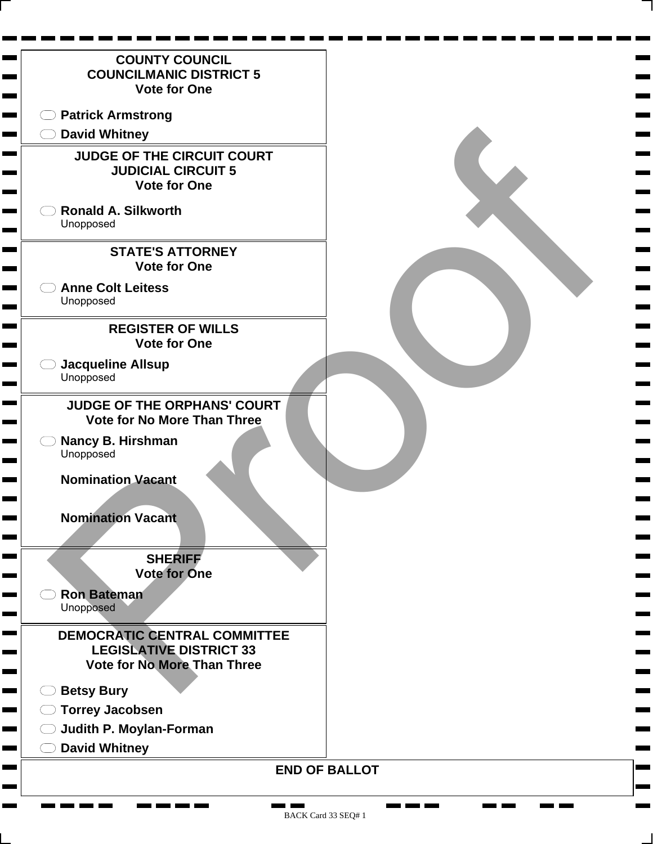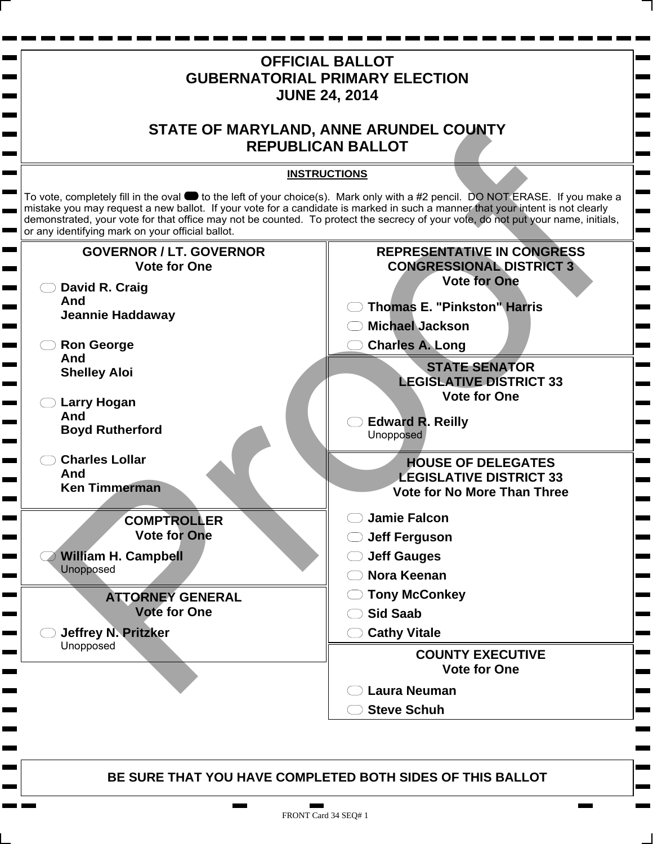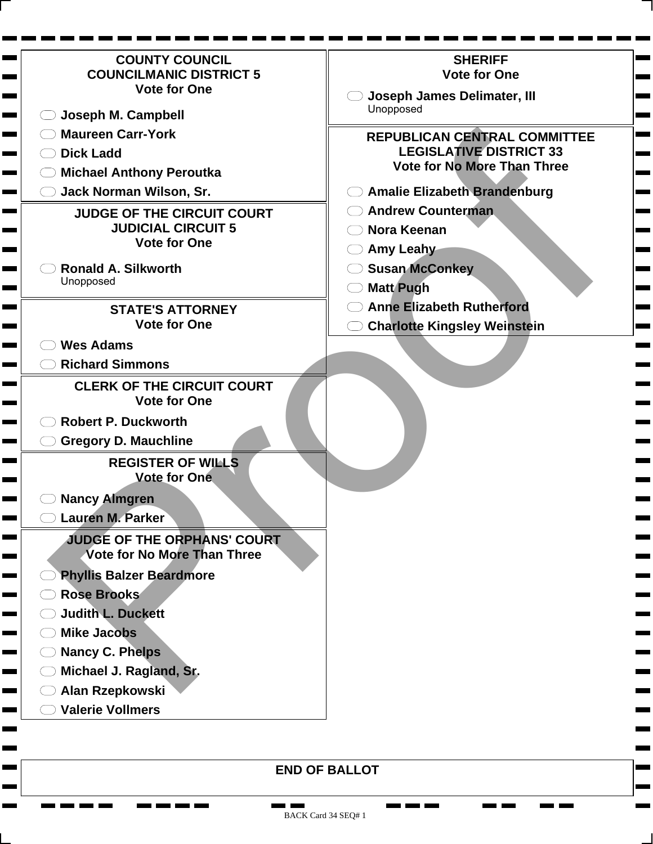| <b>COUNTY COUNCIL</b>                                         | <b>SHERIFF</b>                      |
|---------------------------------------------------------------|-------------------------------------|
| <b>COUNCILMANIC DISTRICT 5</b>                                | <b>Vote for One</b>                 |
| <b>Vote for One</b>                                           | Joseph James Delimater, III         |
| Joseph M. Campbell                                            | Unopposed                           |
| <b>Maureen Carr-York</b><br><b>The College of the College</b> | REPUBLICAN CENTRAL COMMITTEE        |
| <b>Dick Ladd</b>                                              | <b>LEGISLATIVE DISTRICT 33</b>      |
| <b>Michael Anthony Peroutka</b>                               | <b>Vote for No More Than Three</b>  |
| Jack Norman Wilson, Sr.                                       | <b>Amalie Elizabeth Brandenburg</b> |
| <b>JUDGE OF THE CIRCUIT COURT</b>                             | <b>Andrew Counterman</b>            |
| <b>JUDICIAL CIRCUIT 5</b>                                     | Nora Keenan                         |
| <b>Vote for One</b>                                           | <b>Amy Leahy</b>                    |
| <b>Ronald A. Silkworth</b>                                    | <b>Susan McConkey</b>               |
| Unopposed                                                     | <b>Matt Pugh</b>                    |
| <b>STATE'S ATTORNEY</b>                                       | <b>Anne Elizabeth Rutherford</b>    |
| <b>Vote for One</b>                                           | <b>Charlotte Kingsley Weinstein</b> |
| <b>Wes Adams</b>                                              |                                     |
| <b>Richard Simmons</b>                                        |                                     |
| <b>CLERK OF THE CIRCUIT COURT</b>                             |                                     |
| <b>Vote for One</b>                                           |                                     |
| <b>Robert P. Duckworth</b>                                    |                                     |
| <b>Gregory D. Mauchline</b>                                   |                                     |
| <b>REGISTER OF WILLS</b>                                      |                                     |
| <b>Vote for One</b>                                           |                                     |
| <b>Nancy Almgren</b>                                          |                                     |
| <b>Lauren M. Parker</b>                                       |                                     |
| <b>JUDGE OF THE ORPHANS' COURT</b>                            |                                     |
| Vote for No More Than Three                                   |                                     |
| <b>Phyllis Balzer Beardmore</b><br><u>a sa san</u>            |                                     |
| Rose Brooks<br><u>a sa san</u>                                |                                     |
| <b>Judith L. Duckett</b><br><u>a sa sa</u>                    |                                     |
| <b>Mike Jacobs</b><br><u>a sa san</u>                         |                                     |
| <b>Nancy C. Phelps</b><br><u>a sa san</u>                     |                                     |
| Michael J. Ragland, Sr.<br><u>a sa san</u>                    |                                     |
| Alan Rzepkowski<br><u>a sa san</u>                            |                                     |
| <b>Valerie Vollmers</b><br><u> La Bar</u>                     |                                     |
|                                                               |                                     |
|                                                               |                                     |

**END OF BALLOT**

<u>the first term</u>

п a part <u>ran ma</u>

п **The State** 

**The Second** 

 $\blacksquare$ ۰

г Ξ

**The Contract of Second** 

<u>na matana a</u>

**Contract**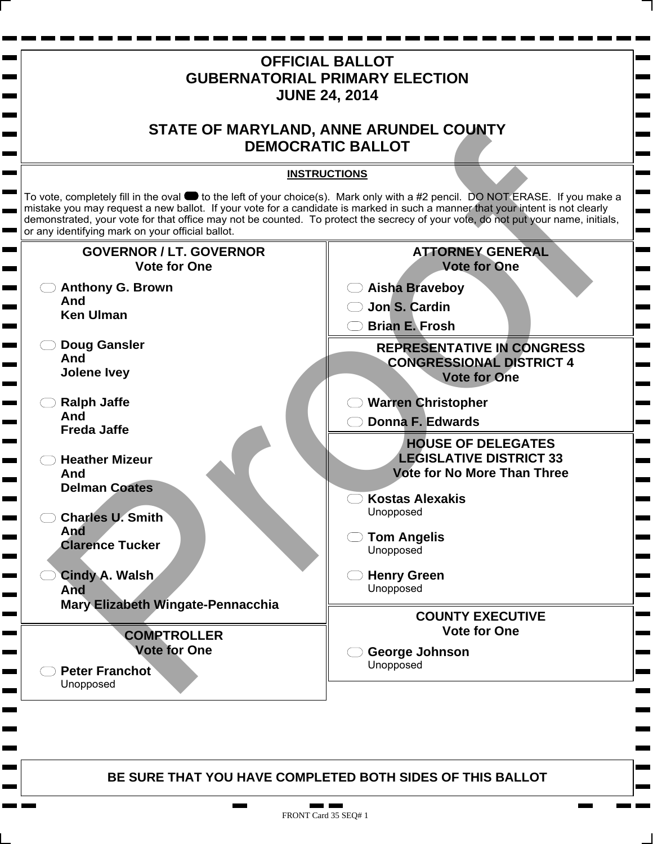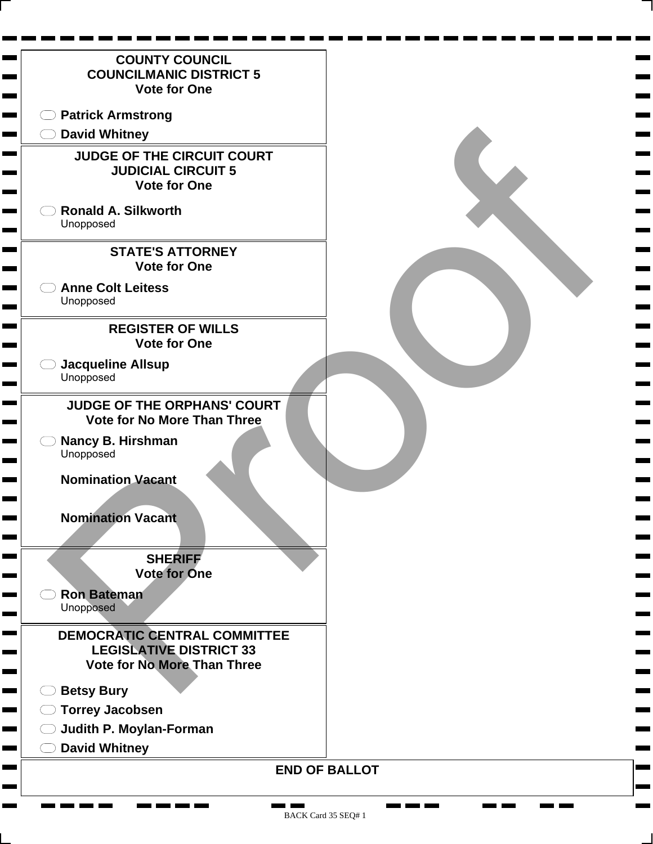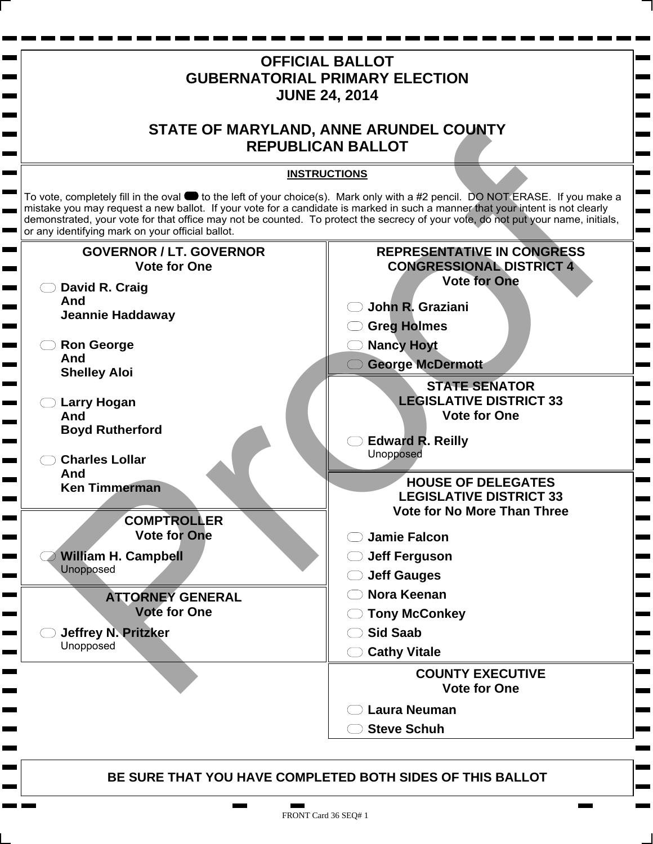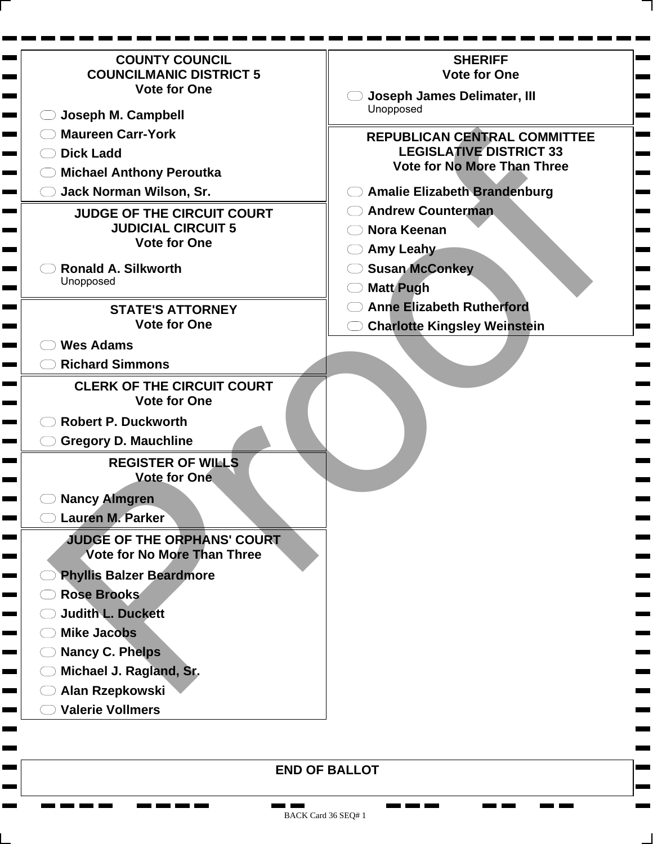| <b>COUNTY COUNCIL</b>                                         | <b>SHERIFF</b>                      |
|---------------------------------------------------------------|-------------------------------------|
| <b>COUNCILMANIC DISTRICT 5</b>                                | <b>Vote for One</b>                 |
| <b>Vote for One</b>                                           | Joseph James Delimater, III         |
| Joseph M. Campbell                                            | Unopposed                           |
| <b>Maureen Carr-York</b><br><b>The College of the College</b> | REPUBLICAN CENTRAL COMMITTEE        |
| <b>Dick Ladd</b>                                              | <b>LEGISLATIVE DISTRICT 33</b>      |
| <b>Michael Anthony Peroutka</b>                               | <b>Vote for No More Than Three</b>  |
| Jack Norman Wilson, Sr.                                       | <b>Amalie Elizabeth Brandenburg</b> |
| <b>JUDGE OF THE CIRCUIT COURT</b>                             | <b>Andrew Counterman</b>            |
| <b>JUDICIAL CIRCUIT 5</b>                                     | Nora Keenan                         |
| <b>Vote for One</b>                                           | <b>Amy Leahy</b>                    |
| <b>Ronald A. Silkworth</b>                                    | <b>Susan McConkey</b>               |
| Unopposed                                                     | <b>Matt Pugh</b>                    |
| <b>STATE'S ATTORNEY</b>                                       | <b>Anne Elizabeth Rutherford</b>    |
| <b>Vote for One</b>                                           | <b>Charlotte Kingsley Weinstein</b> |
| <b>Wes Adams</b>                                              |                                     |
| <b>Richard Simmons</b>                                        |                                     |
| <b>CLERK OF THE CIRCUIT COURT</b>                             |                                     |
| <b>Vote for One</b>                                           |                                     |
| <b>Robert P. Duckworth</b>                                    |                                     |
| <b>Gregory D. Mauchline</b>                                   |                                     |
| <b>REGISTER OF WILLS</b>                                      |                                     |
| <b>Vote for One</b>                                           |                                     |
| <b>Nancy Almgren</b>                                          |                                     |
| <b>Lauren M. Parker</b>                                       |                                     |
| <b>JUDGE OF THE ORPHANS' COURT</b>                            |                                     |
| Vote for No More Than Three                                   |                                     |
| <b>Phyllis Balzer Beardmore</b><br><u>a sa san</u>            |                                     |
| Rose Brooks<br><u>a sa san</u>                                |                                     |
| <b>Judith L. Duckett</b><br><u>a sa sa</u>                    |                                     |
| <b>Mike Jacobs</b><br><u>a sa san</u>                         |                                     |
| <b>Nancy C. Phelps</b><br><u>a sa san</u>                     |                                     |
| Michael J. Ragland, Sr.<br><u>a sa san</u>                    |                                     |
| Alan Rzepkowski<br><u> La Barant</u>                          |                                     |
| <b>Valerie Vollmers</b><br><u> La Bar</u>                     |                                     |
|                                                               |                                     |
|                                                               |                                     |

**END OF BALLOT**

<u>the first term</u>

 $\blacksquare$ a part <u>ran ma</u>

п **The State** 

**The Second** 

 $\blacksquare$ 

г ۰

**The Contract of Second** 

<u>man ma</u>

п ٠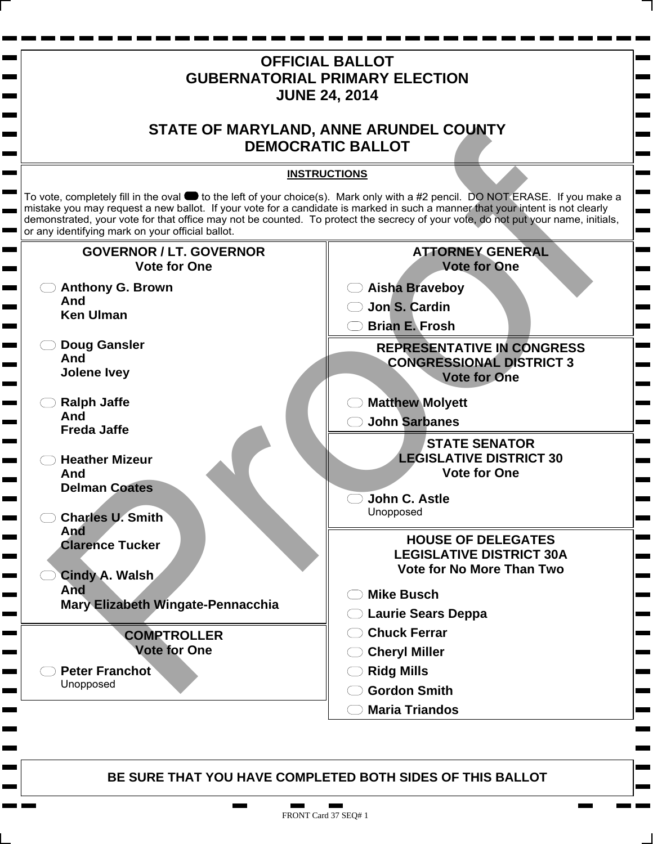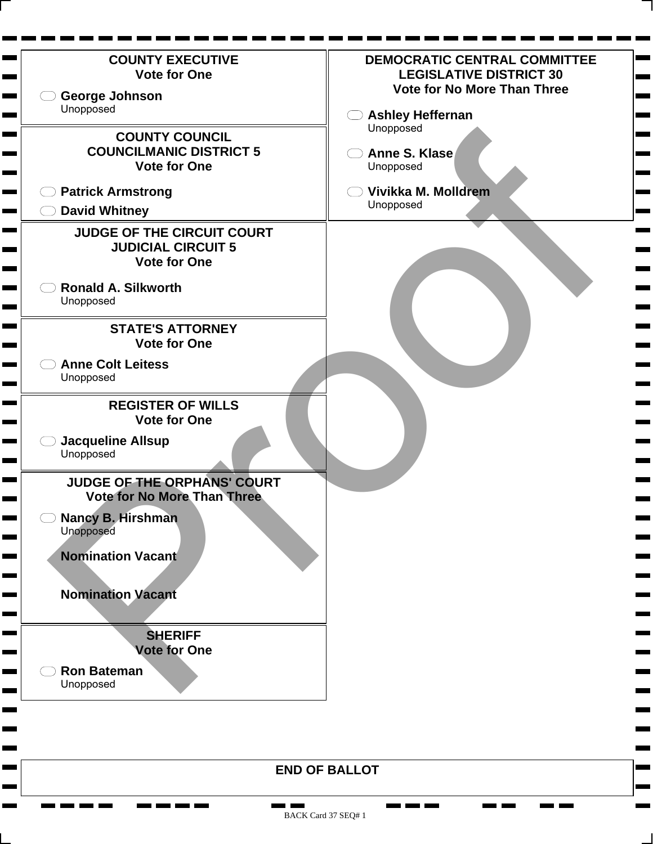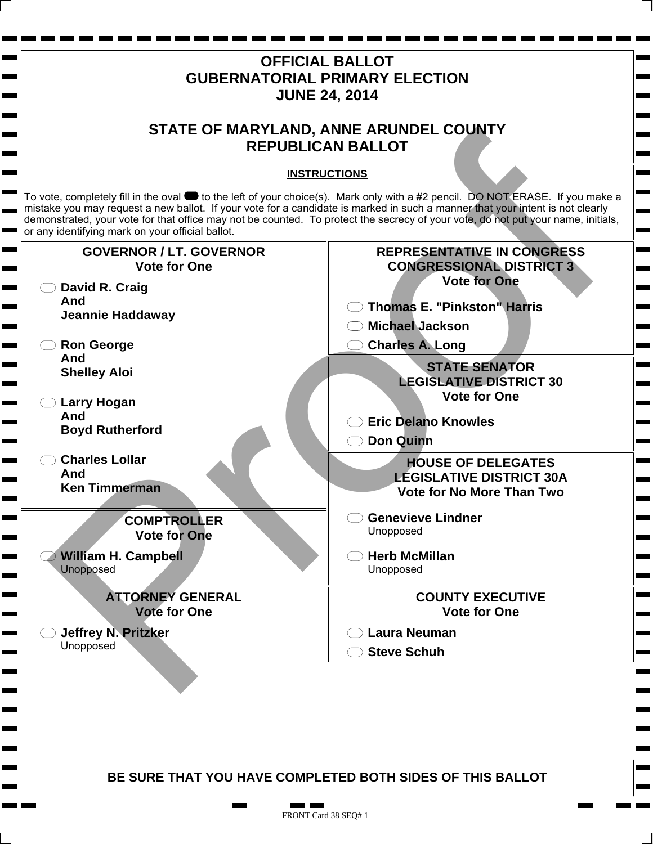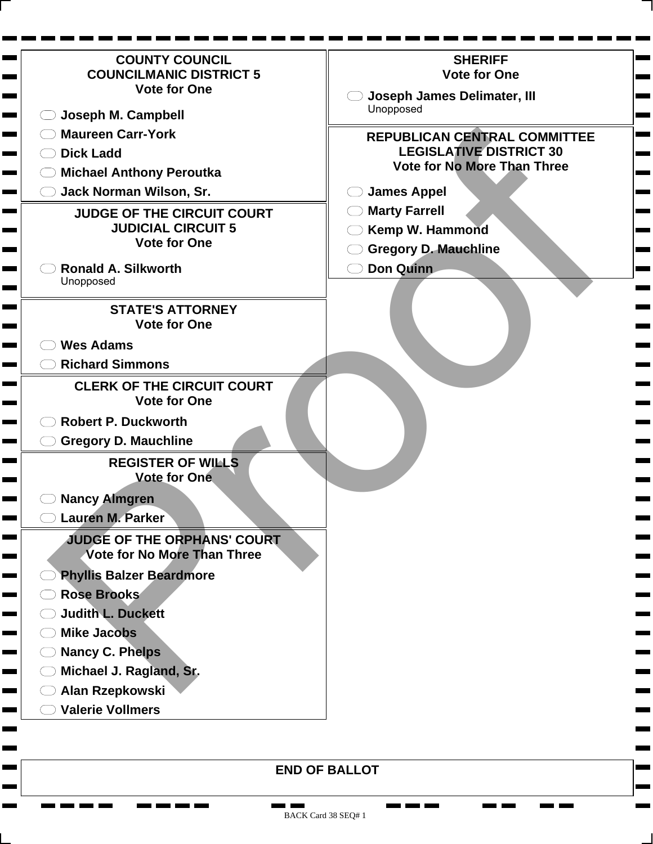| <b>COUNTY COUNCIL</b>                                             | <b>SHERIFF</b>                                                       |
|-------------------------------------------------------------------|----------------------------------------------------------------------|
| <b>COUNCILMANIC DISTRICT 5</b><br><b>Vote for One</b>             | <b>Vote for One</b>                                                  |
|                                                                   | <b>Joseph James Delimater, III</b><br>Unopposed                      |
| Joseph M. Campbell                                                |                                                                      |
| <b>Maureen Carr-York</b>                                          | <b>REPUBLICAN CENTRAL COMMITTEE</b>                                  |
| <b>Dick Ladd</b>                                                  | <b>LEGISLATIVE DISTRICT 30</b><br><b>Vote for No More Than Three</b> |
| <b>Michael Anthony Peroutka</b>                                   |                                                                      |
| Jack Norman Wilson, Sr.                                           | <b>James Appel</b>                                                   |
| <b>JUDGE OF THE CIRCUIT COURT</b>                                 | <b>Marty Farrell</b>                                                 |
| <b>JUDICIAL CIRCUIT 5</b><br><b>Vote for One</b>                  | Kemp W. Hammond                                                      |
|                                                                   | <b>Gregory D. Mauchline</b>                                          |
| <b>Ronald A. Silkworth</b><br>Unopposed                           | <b>Don Quinn</b>                                                     |
|                                                                   |                                                                      |
| <b>STATE'S ATTORNEY</b>                                           |                                                                      |
| <b>Vote for One</b>                                               |                                                                      |
| <b>Wes Adams</b>                                                  |                                                                      |
| <b>Richard Simmons</b>                                            |                                                                      |
| <b>CLERK OF THE CIRCUIT COURT</b>                                 |                                                                      |
| <b>Vote for One</b>                                               |                                                                      |
| <b>Robert P. Duckworth</b>                                        |                                                                      |
| <b>Gregory D. Mauchline</b>                                       |                                                                      |
| <b>REGISTER OF WILLS</b><br><b>Vote for One</b>                   |                                                                      |
| <b>Nancy Almgren</b>                                              |                                                                      |
| Lauren M. Parker                                                  |                                                                      |
| JUDGE OF THE ORPHANS' COURT<br><b>Vote for No More Than Three</b> |                                                                      |
| <b>Phyllis Balzer Beardmore</b>                                   |                                                                      |
| <b>Rose Brooks</b>                                                |                                                                      |
| <b>Judith L. Duckett</b>                                          |                                                                      |
| <b>Mike Jacobs</b>                                                |                                                                      |
| <b>Nancy C. Phelps</b>                                            |                                                                      |
| Michael J. Ragland, Sr.                                           |                                                                      |
|                                                                   |                                                                      |
| Alan Rzepkowski                                                   |                                                                      |

 $\mathbf{r}$  and  $\mathbf{r}$  and  $\mathbf{r}$ 

**CONTRACTOR** 

**CONTRACTOR** 

п

**COL** 

 $\blacksquare$ ۰

Н ٠

**Contract** 

Ħ.

**T** 

<u>ran karajaran mengangkan pada anak atau salah sahi</u>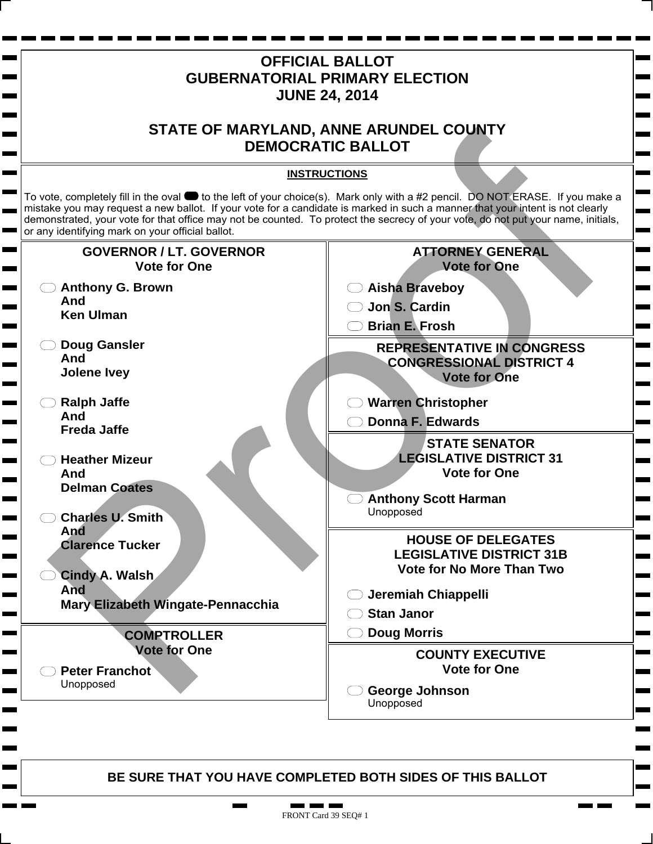

п.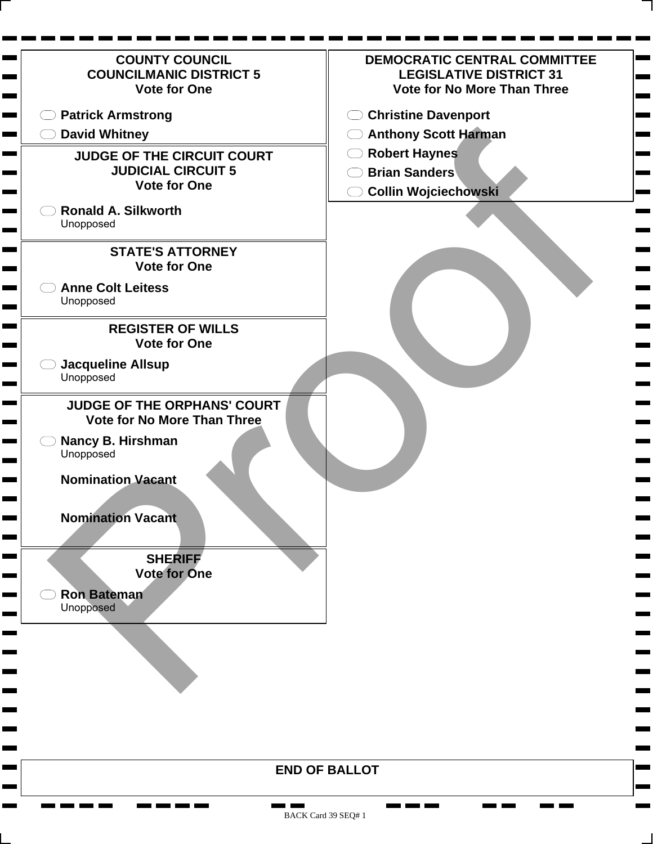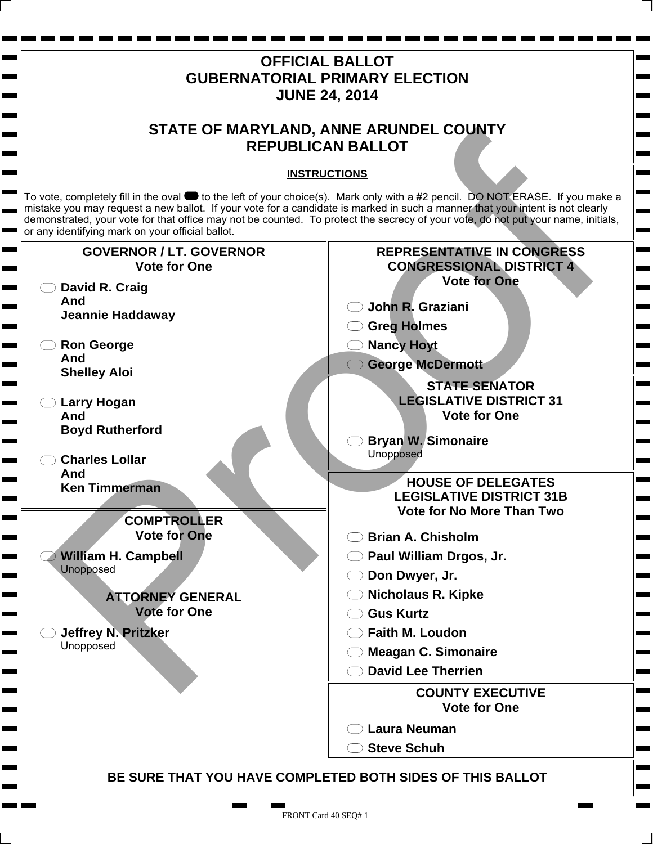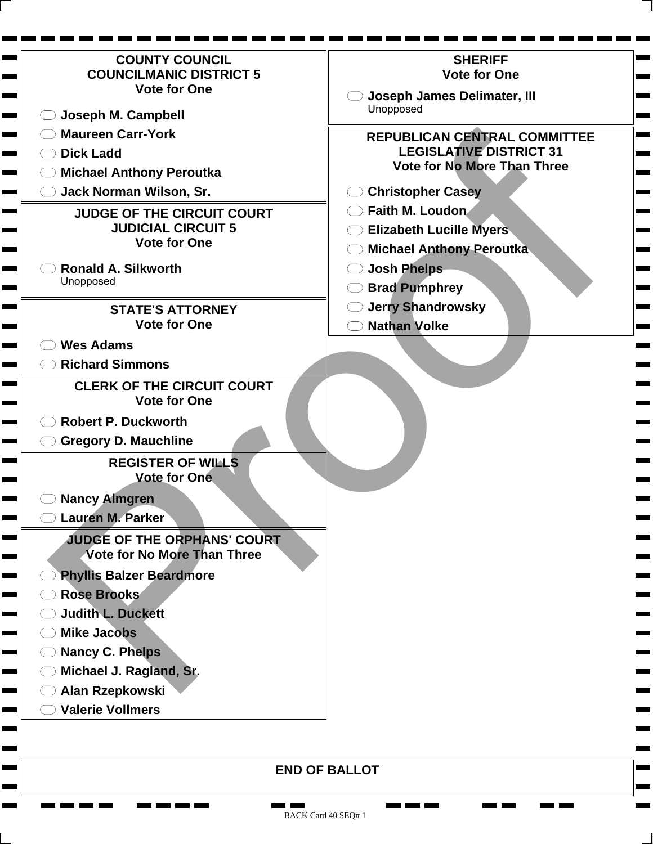| <b>COUNTY COUNCIL</b>                                 | <b>SHERIFF</b>                     |
|-------------------------------------------------------|------------------------------------|
| <b>COUNCILMANIC DISTRICT 5</b><br><b>Vote for One</b> | <b>Vote for One</b>                |
|                                                       | <b>Joseph James Delimater, III</b> |
| Joseph M. Campbell                                    | Unopposed                          |
| <b>Maureen Carr-York</b>                              | REPUBLICAN CENTRAL COMMITTEE       |
| <b>Dick Ladd</b>                                      | <b>LEGISLATIVE DISTRICT 31</b>     |
| <b>Michael Anthony Peroutka</b>                       | <b>Vote for No More Than Three</b> |
| Jack Norman Wilson, Sr.                               | <b>Christopher Casey</b>           |
| <b>JUDGE OF THE CIRCUIT COURT</b>                     | Faith M. Loudon.                   |
| <b>JUDICIAL CIRCUIT 5</b>                             | <b>Elizabeth Lucille Myers</b>     |
| <b>Vote for One</b>                                   | <b>Michael Anthony Peroutka</b>    |
| <b>Ronald A. Silkworth</b>                            | <b>Josh Phelps</b>                 |
| Unopposed                                             | <b>Brad Pumphrey</b>               |
| <b>STATE'S ATTORNEY</b>                               | <b>Jerry Shandrowsky</b>           |
| <b>Vote for One</b>                                   | <b>Nathan Volke</b>                |
| <b>Wes Adams</b>                                      |                                    |
| <b>Richard Simmons</b>                                |                                    |
| <b>CLERK OF THE CIRCUIT COURT</b>                     |                                    |
| <b>Vote for One</b>                                   |                                    |
| <b>Robert P. Duckworth</b>                            |                                    |
| <b>Gregory D. Mauchline</b>                           |                                    |
| <b>REGISTER OF WILLS</b><br><b>Vote for One</b>       |                                    |
|                                                       |                                    |
| <b>Nancy Almgren</b><br>Lauren M. Parker              |                                    |
| JUDGE OF THE ORPHANS' COURT                           |                                    |
| <b>Vote for No More Than Three</b>                    |                                    |
| <b>Phyllis Balzer Beardmore</b>                       |                                    |
| <b>Rose Brooks</b>                                    |                                    |
| <b>Judith L. Duckett</b>                              |                                    |
| <b>Mike Jacobs</b>                                    |                                    |
| <b>Nancy C. Phelps</b>                                |                                    |
| Michael J. Ragland, Sr.                               |                                    |
| Alan Rzepkowski                                       |                                    |
| <b>Valerie Vollmers</b>                               |                                    |

<u>na ma</u>

г

<u>ran ma</u>

п **The State** 

**The Second** 

 $\blacksquare$ 

г ۰

**The Contract of Second** 

<u>a sa tsa a tsa sa tsa a tsa a tsa a tsa a tsa a tsa a tsa a tsa a tsa a tsa a tsa a tsa a tsa a tsa a tsa a tsa </u>

٠

П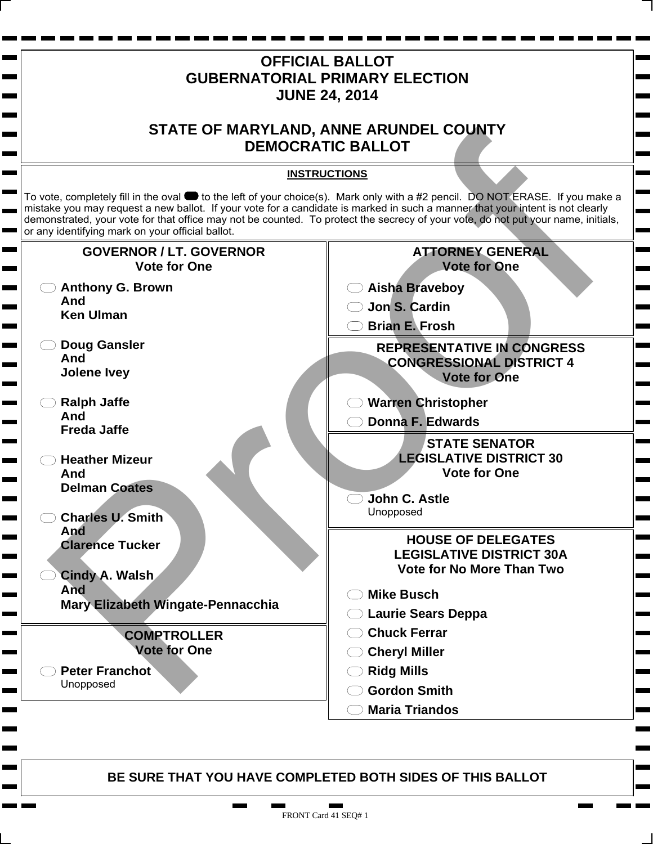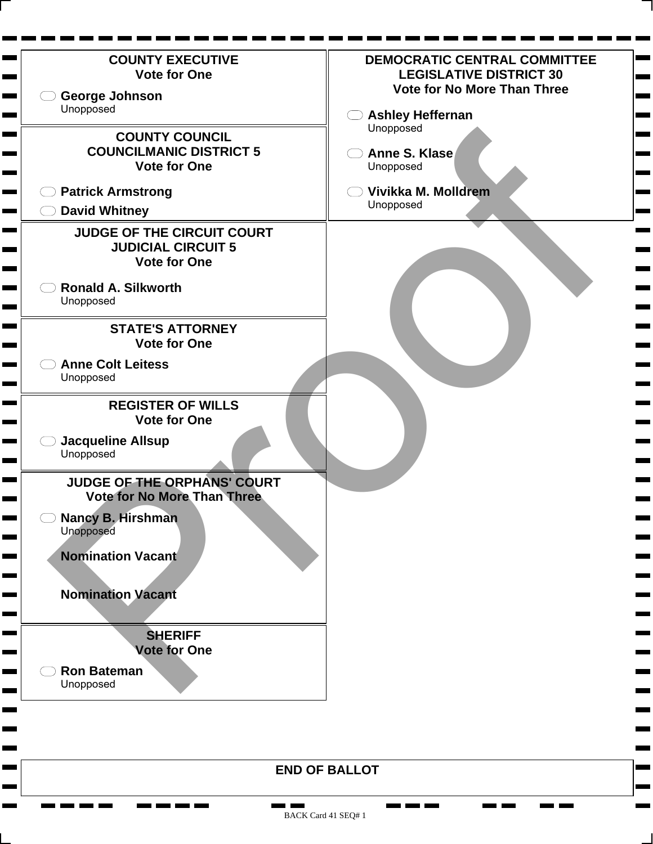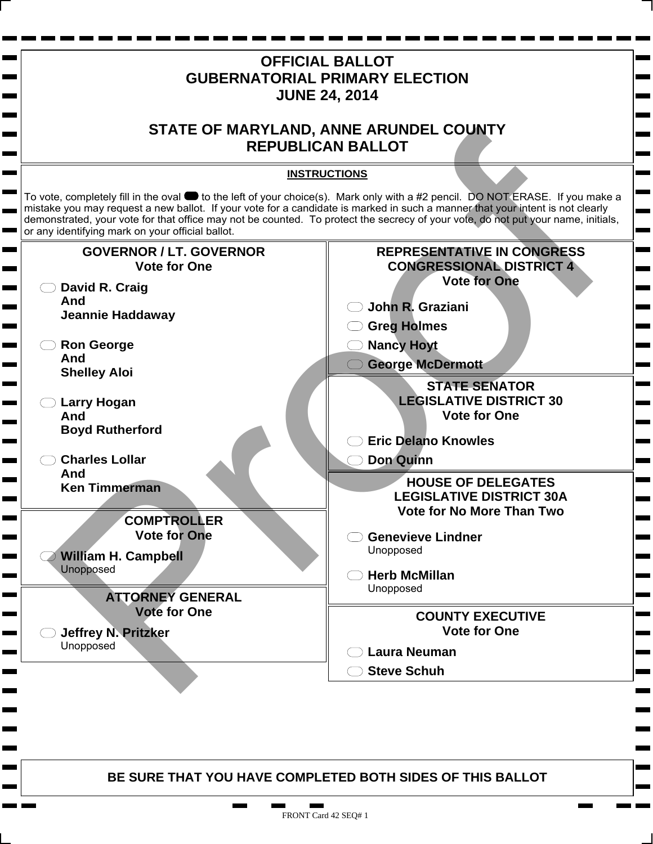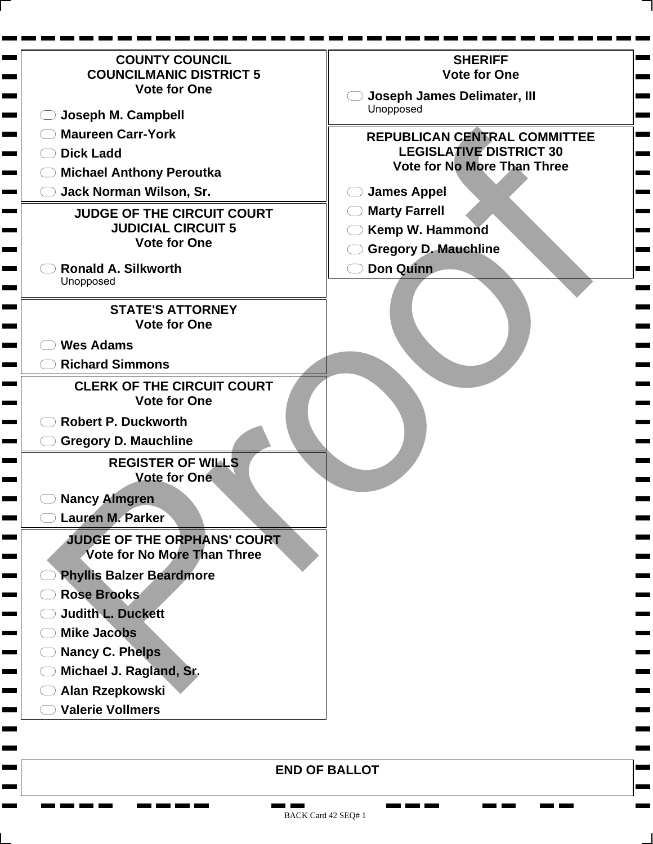| <b>COUNTY COUNCIL</b>                                             | <b>SHERIFF</b>                                                       |
|-------------------------------------------------------------------|----------------------------------------------------------------------|
| <b>COUNCILMANIC DISTRICT 5</b><br><b>Vote for One</b>             | <b>Vote for One</b>                                                  |
|                                                                   | <b>Joseph James Delimater, III</b><br>Unopposed                      |
| Joseph M. Campbell                                                |                                                                      |
| <b>Maureen Carr-York</b>                                          | <b>REPUBLICAN CENTRAL COMMITTEE</b>                                  |
| <b>Dick Ladd</b>                                                  | <b>LEGISLATIVE DISTRICT 30</b><br><b>Vote for No More Than Three</b> |
| <b>Michael Anthony Peroutka</b>                                   |                                                                      |
| Jack Norman Wilson, Sr.                                           | <b>James Appel</b>                                                   |
| <b>JUDGE OF THE CIRCUIT COURT</b>                                 | <b>Marty Farrell</b>                                                 |
| <b>JUDICIAL CIRCUIT 5</b><br><b>Vote for One</b>                  | Kemp W. Hammond                                                      |
|                                                                   | <b>Gregory D. Mauchline</b>                                          |
| <b>Ronald A. Silkworth</b><br>Unopposed                           | <b>Don Quinn</b>                                                     |
|                                                                   |                                                                      |
| <b>STATE'S ATTORNEY</b>                                           |                                                                      |
| <b>Vote for One</b>                                               |                                                                      |
| <b>Wes Adams</b>                                                  |                                                                      |
| <b>Richard Simmons</b>                                            |                                                                      |
| <b>CLERK OF THE CIRCUIT COURT</b>                                 |                                                                      |
| <b>Vote for One</b>                                               |                                                                      |
| <b>Robert P. Duckworth</b>                                        |                                                                      |
| <b>Gregory D. Mauchline</b>                                       |                                                                      |
| <b>REGISTER OF WILLS</b><br><b>Vote for One</b>                   |                                                                      |
| <b>Nancy Almgren</b>                                              |                                                                      |
| Lauren M. Parker                                                  |                                                                      |
| JUDGE OF THE ORPHANS' COURT<br><b>Vote for No More Than Three</b> |                                                                      |
| <b>Phyllis Balzer Beardmore</b>                                   |                                                                      |
| <b>Rose Brooks</b>                                                |                                                                      |
| <b>Judith L. Duckett</b>                                          |                                                                      |
| <b>Mike Jacobs</b>                                                |                                                                      |
| <b>Nancy C. Phelps</b>                                            |                                                                      |
| Michael J. Ragland, Sr.                                           |                                                                      |
|                                                                   |                                                                      |
| Alan Rzepkowski                                                   |                                                                      |

 $\mathbf{r}$  and  $\mathbf{r}$  and  $\mathbf{r}$ 

**CONTRACTOR** 

**CONTRACTOR** 

۰ п

**COL** 

 $\blacksquare$ ۰

ь ٠

**Contract** 

**The Co** 

п

**STATE** 

<u>the start of the start of the start of the start of the start of the start of the start of the start of the start of the start of the start of the start of the start of the start of the start of the start of the start of </u>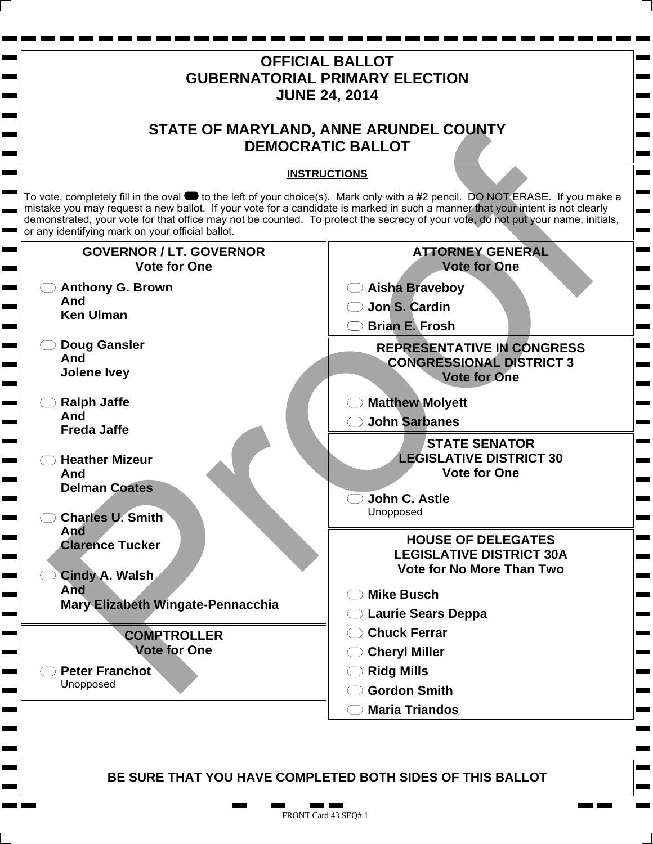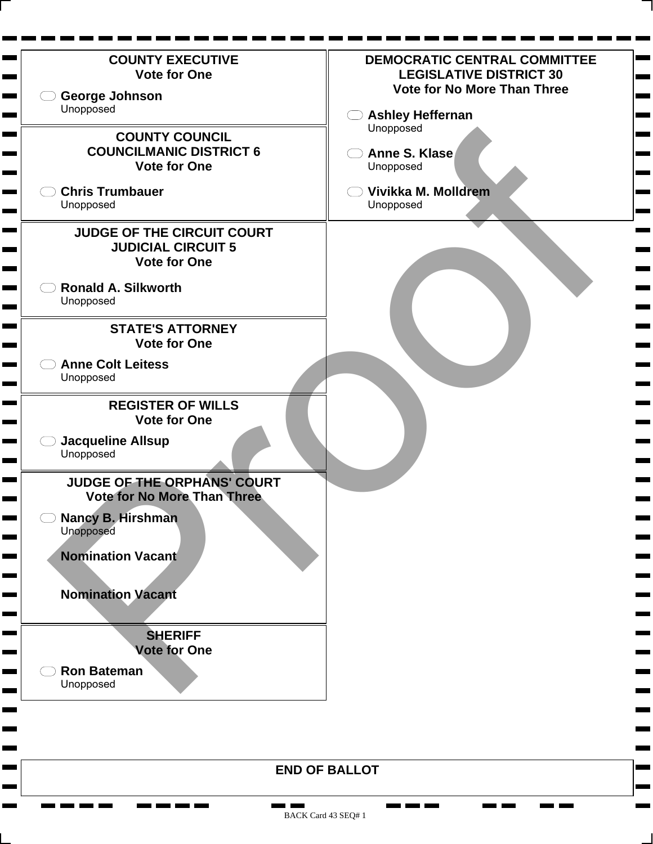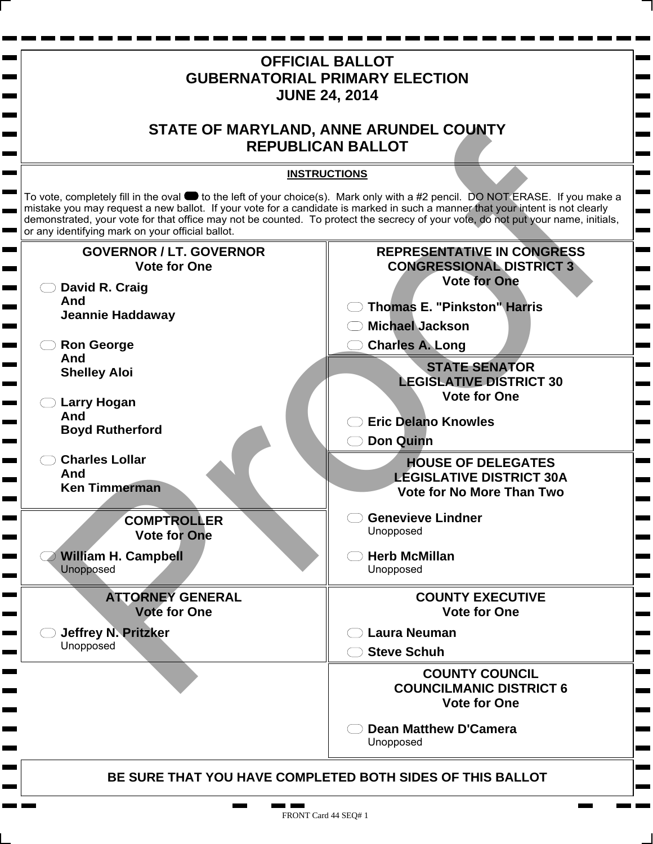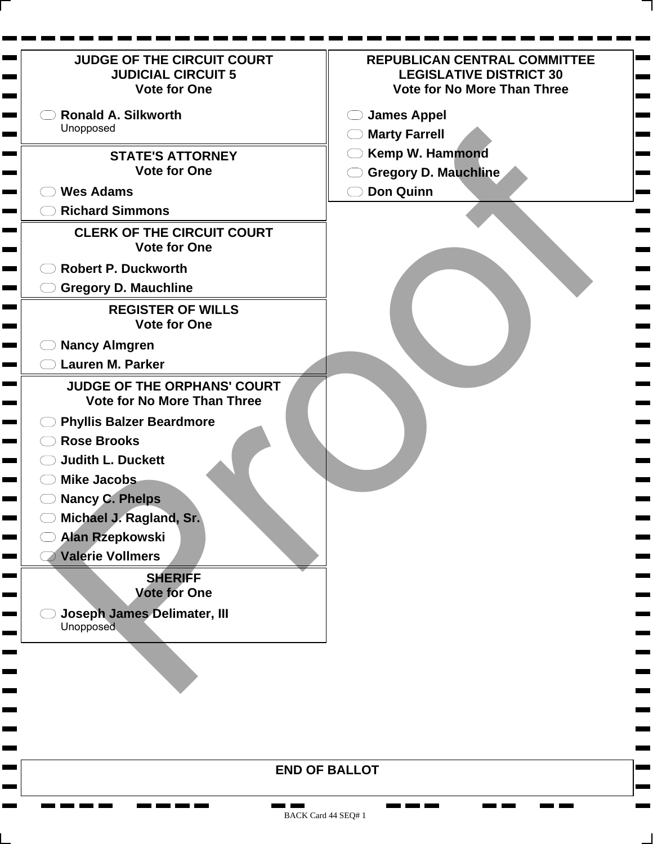| <b>JUDGE OF THE CIRCUIT COURT</b><br><b>JUDICIAL CIRCUIT 5</b><br><b>Vote for One</b> | <b>REPUBLICAN CENTRAL COMMITTEE</b><br><b>LEGISLATIVE DISTRICT 30</b><br><b>Vote for No More Than Three</b> |
|---------------------------------------------------------------------------------------|-------------------------------------------------------------------------------------------------------------|
| <b>Ronald A. Silkworth</b>                                                            | <b>James Appel</b>                                                                                          |
| Unopposed                                                                             | <b>Marty Farrell</b>                                                                                        |
| <b>STATE'S ATTORNEY</b>                                                               | <b>Kemp W. Hammond</b>                                                                                      |
| <b>Vote for One</b>                                                                   | <b>Gregory D. Mauchline</b>                                                                                 |
| <b>Wes Adams</b>                                                                      | <b>Don Quinn</b>                                                                                            |
| <b>Richard Simmons</b>                                                                |                                                                                                             |
| <b>CLERK OF THE CIRCUIT COURT</b><br><b>Vote for One</b>                              |                                                                                                             |
| <b>Robert P. Duckworth</b>                                                            |                                                                                                             |
| <b>Gregory D. Mauchline</b>                                                           |                                                                                                             |
| <b>REGISTER OF WILLS</b><br><b>Vote for One</b>                                       |                                                                                                             |
| <b>Nancy Almgren</b><br><b>Contract Contract</b>                                      |                                                                                                             |
| <b>Lauren M. Parker</b>                                                               |                                                                                                             |
| <b>JUDGE OF THE ORPHANS' COURT</b><br><b>Vote for No More Than Three</b>              |                                                                                                             |
| <b>Phyllis Balzer Beardmore</b><br><u> La Baranc</u>                                  |                                                                                                             |
| <b>Rose Brooks</b>                                                                    |                                                                                                             |
| <b>Judith L. Duckett</b>                                                              |                                                                                                             |
| <b>Mike Jacobs</b>                                                                    |                                                                                                             |
| <b>Nancy C. Phelps</b>                                                                |                                                                                                             |
| Michael J. Ragland, Sr.                                                               |                                                                                                             |
| <b>Alan Rzepkowski</b>                                                                |                                                                                                             |
| <b>Valerie Vollmers</b><br><b>Contract Contract</b>                                   |                                                                                                             |
| <b>SHERIFF</b><br><b>Vote for One</b>                                                 |                                                                                                             |
| <b>Joseph James Delimater, III</b>                                                    |                                                                                                             |
| Unopposed                                                                             |                                                                                                             |
|                                                                                       |                                                                                                             |
|                                                                                       |                                                                                                             |
|                                                                                       |                                                                                                             |
|                                                                                       |                                                                                                             |
|                                                                                       |                                                                                                             |
|                                                                                       |                                                                                                             |
|                                                                                       | <b>END OF RALLOT</b>                                                                                        |

**The Company Company** 

**CONTRACTOR** 

<u>ran ma</u>

**COLOR** 

**COL** 

**CONTRACTOR** 

 $\mathbf{r}$ 

**The Second** 

**The Contract State** 

m m ۰ <u>ran kan kan kan</u>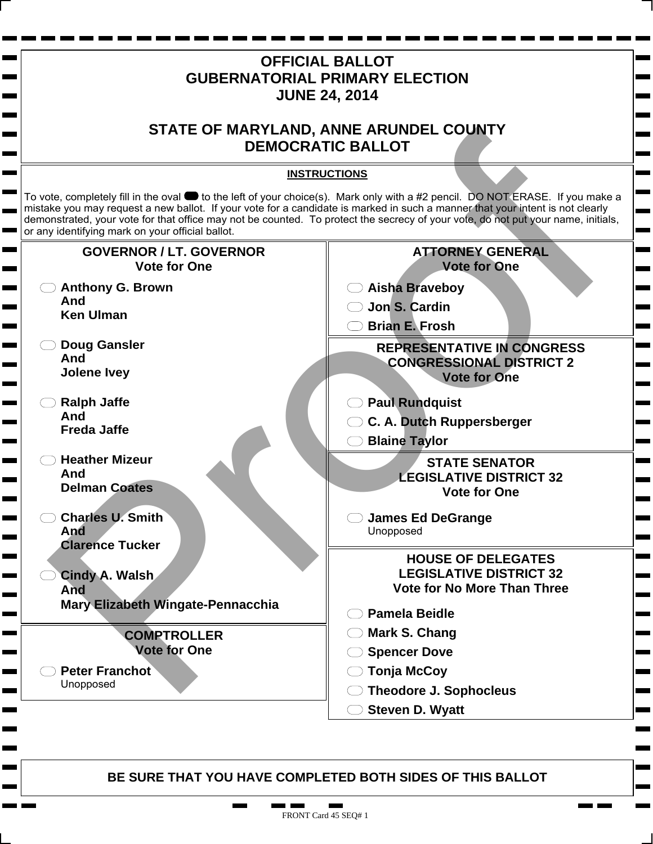

91 H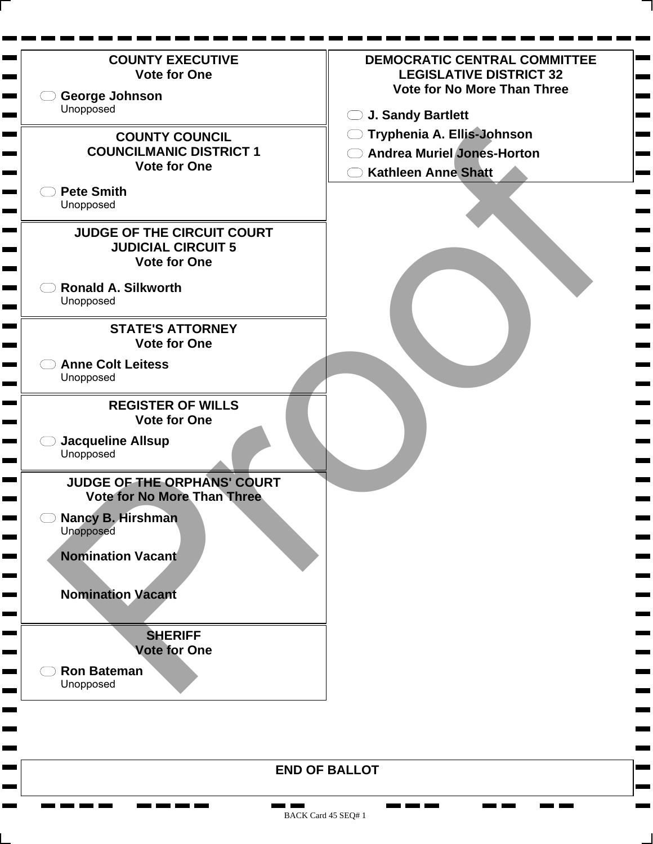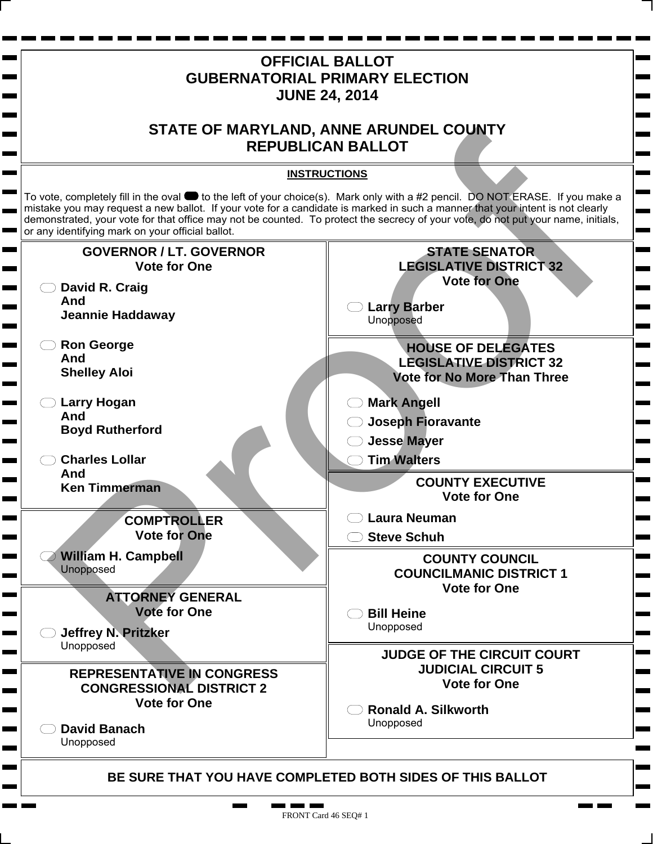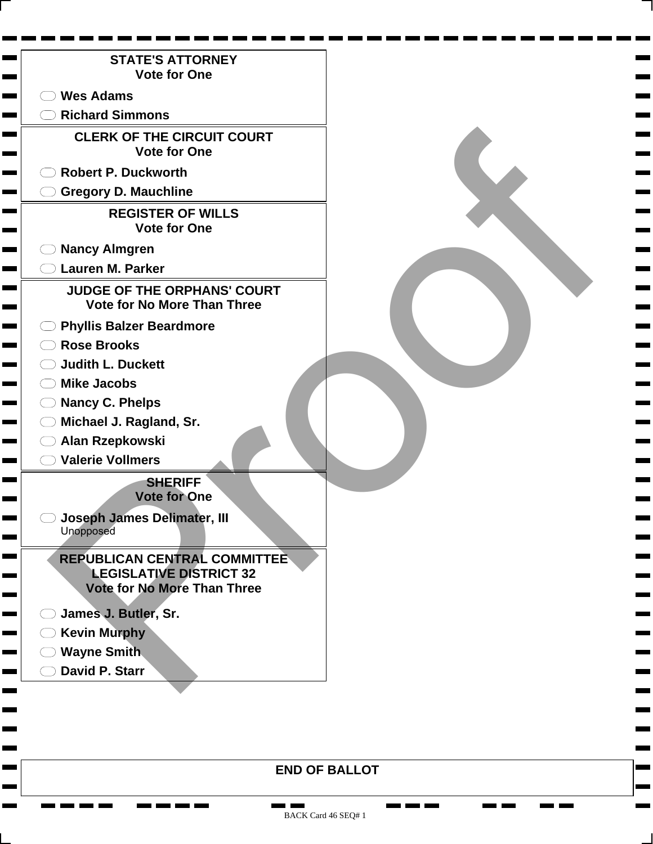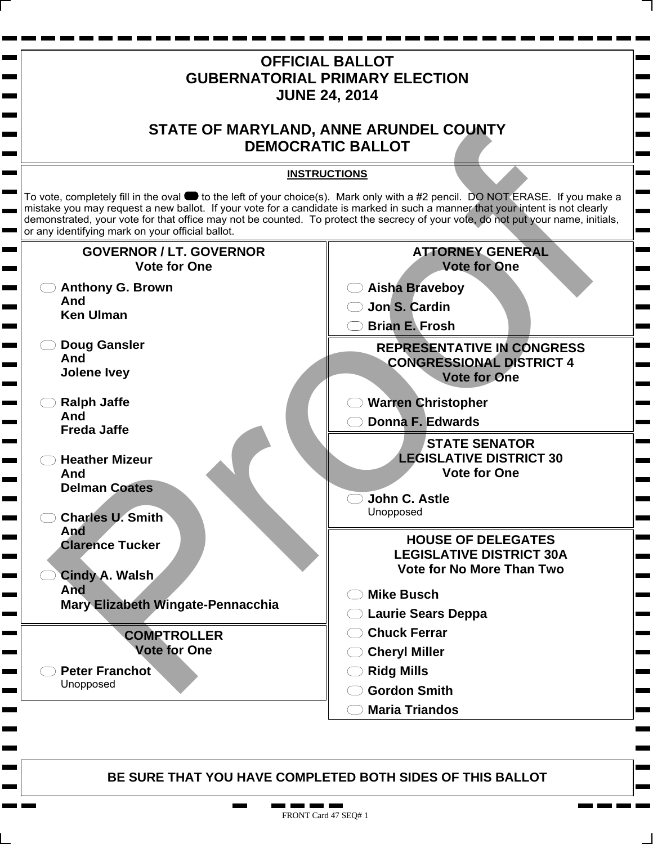

**. .** п.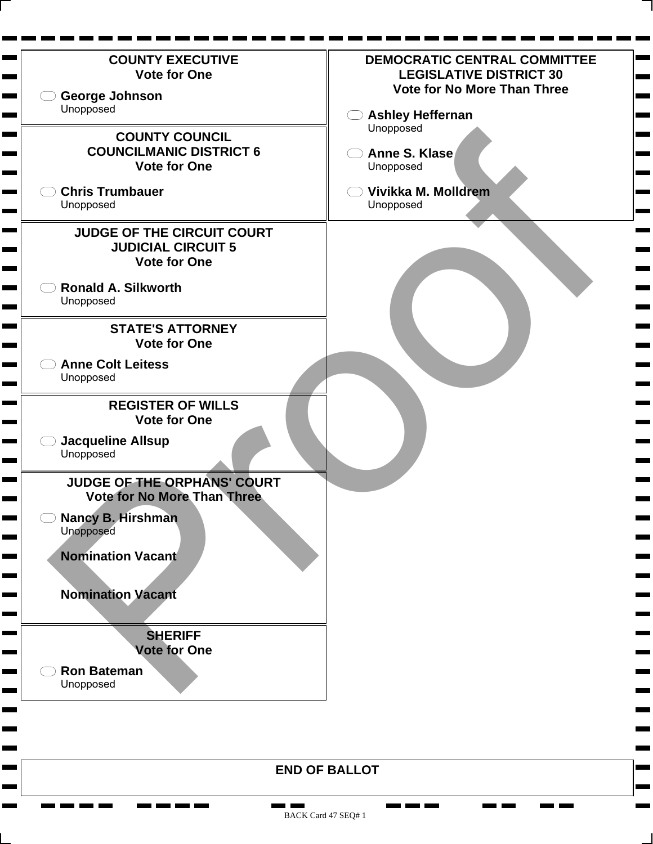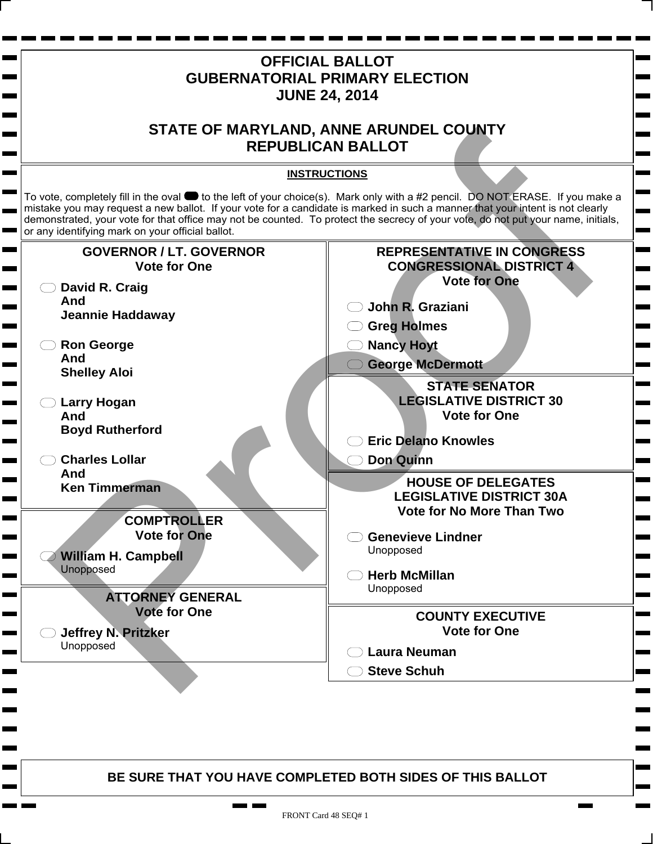

FRONT Card 48 SEQ# 1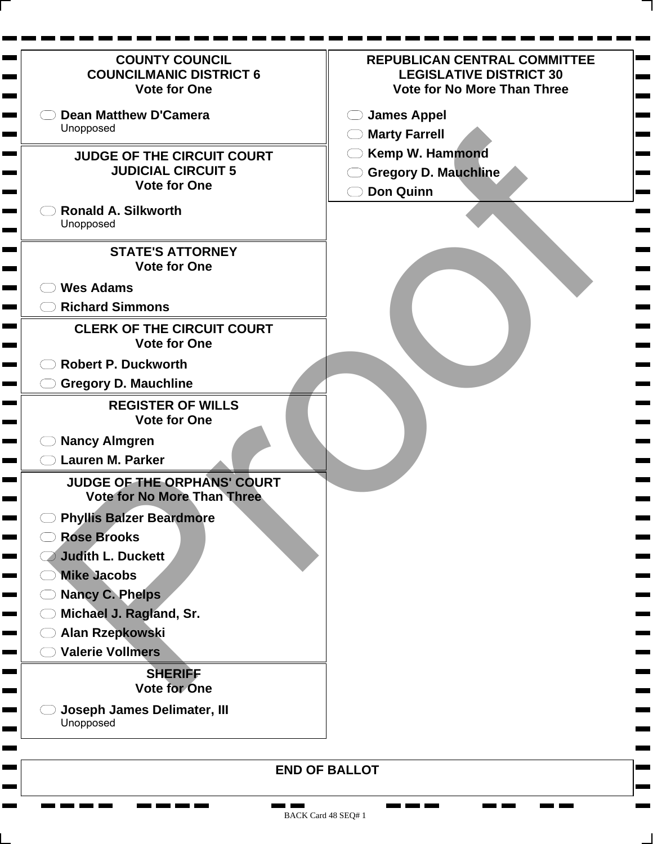| <b>COUNTY COUNCIL</b><br><b>COUNCILMANIC DISTRICT 6</b><br><b>Vote for One</b>        | <b>REPUBLICAN CENTRAL COMMITTEE</b><br><b>LEGISLATIVE DISTRICT 30</b><br><b>Vote for No More Than Three</b> |
|---------------------------------------------------------------------------------------|-------------------------------------------------------------------------------------------------------------|
| <b>Dean Matthew D'Camera</b><br>Unopposed                                             | <b>James Appel</b><br><b>Marty Farrell</b>                                                                  |
| <b>JUDGE OF THE CIRCUIT COURT</b><br><b>JUDICIAL CIRCUIT 5</b><br><b>Vote for One</b> | Kemp W. Hammond<br><b>Gregory D. Mauchline</b><br><b>Don Quinn</b>                                          |
| <b>Ronald A. Silkworth</b><br>Unopposed                                               |                                                                                                             |
| <b>STATE'S ATTORNEY</b><br><b>Vote for One</b>                                        |                                                                                                             |
| <b>Wes Adams</b><br><b>Richard Simmons</b>                                            |                                                                                                             |
| <b>CLERK OF THE CIRCUIT COURT</b><br><b>Vote for One</b>                              |                                                                                                             |
| <b>Robert P. Duckworth</b>                                                            |                                                                                                             |
| <b>Gregory D. Mauchline</b>                                                           |                                                                                                             |
| <b>REGISTER OF WILLS</b><br><b>Vote for One</b>                                       |                                                                                                             |
| <b>Nancy Almgren</b>                                                                  |                                                                                                             |
| <b>Lauren M. Parker</b>                                                               |                                                                                                             |
| <b>JUDGE OF THE ORPHANS' COURT</b><br><b>Vote for No More Than Three</b>              |                                                                                                             |
| <b>Phyllis Balzer Beardmore</b><br><b>Rose Brooks</b><br><b>Judith L. Duckett</b>     |                                                                                                             |
| <b>Mike Jacobs</b>                                                                    |                                                                                                             |
| <b>Nancy C. Phelps</b>                                                                |                                                                                                             |
| Michael J. Ragland, Sr.                                                               |                                                                                                             |
| Alan Rzepkowski                                                                       |                                                                                                             |
| <b>Valerie Vollmers</b>                                                               |                                                                                                             |
| <b>SHERIFF</b><br><b>Vote for One</b>                                                 |                                                                                                             |
| <b>Joseph James Delimater, III</b><br>Unopposed                                       |                                                                                                             |
|                                                                                       | <b>END OF BALLOT</b>                                                                                        |

**The Company** 

п a an  $\mathbf{r}$  and  $\mathbf{r}$  and  $\mathbf{r}$ 

۰ **The Second**  **CONTRACT The Contract** 

**College** 

Н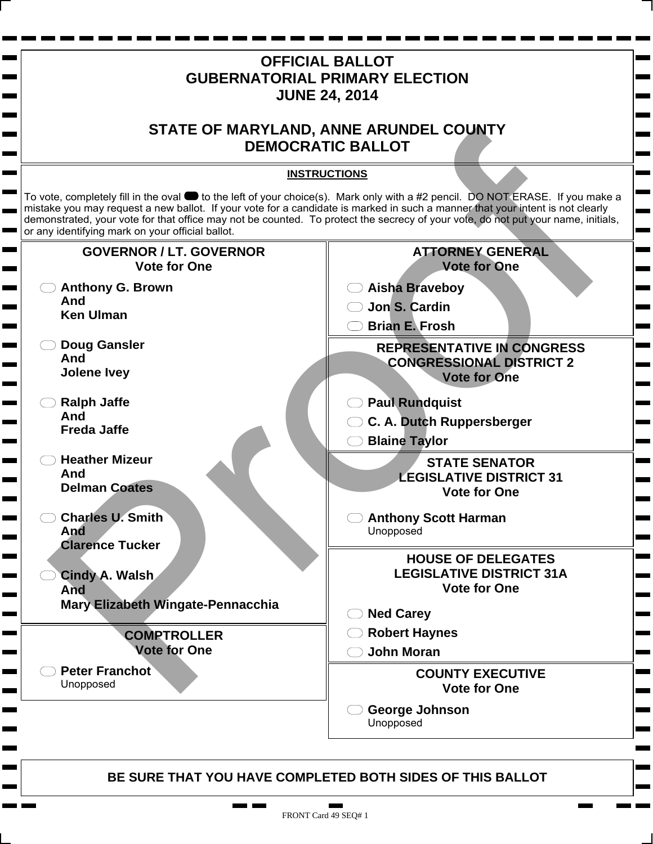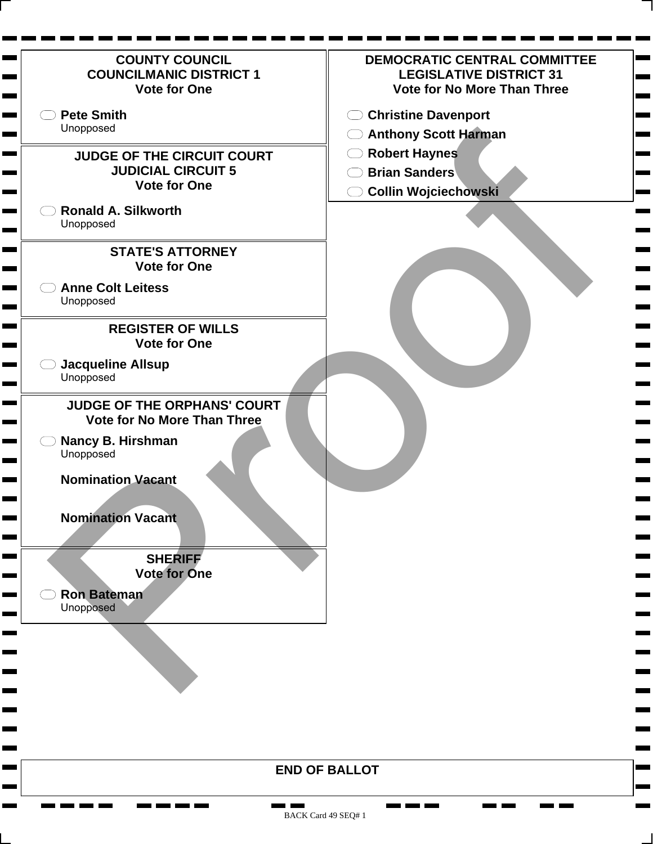| <b>COUNTY COUNCIL</b><br><b>COUNCILMANIC DISTRICT 1</b><br><b>Vote for One</b> | DEMOCRATIC CENTRAL COMMITTEE<br><b>LEGISLATIVE DISTRICT 31</b><br><b>Vote for No More Than Three</b> |
|--------------------------------------------------------------------------------|------------------------------------------------------------------------------------------------------|
| <b>Pete Smith</b><br>Unopposed                                                 | <b>Christine Davenport</b><br>( )                                                                    |
|                                                                                | ◯ Anthony Scott Harman                                                                               |
| <b>JUDGE OF THE CIRCUIT COURT</b>                                              | <b>Robert Haynes</b>                                                                                 |
| <b>JUDICIAL CIRCUIT 5</b><br><b>Vote for One</b>                               | <b>Brian Sanders</b>                                                                                 |
|                                                                                | <b>Collin Wojciechowski</b>                                                                          |
| <b>Ronald A. Silkworth</b><br>Unopposed                                        |                                                                                                      |
| <b>STATE'S ATTORNEY</b>                                                        |                                                                                                      |
| <b>Vote for One</b>                                                            |                                                                                                      |
| <b>Anne Colt Leitess</b>                                                       |                                                                                                      |
| Unopposed                                                                      |                                                                                                      |
| <b>REGISTER OF WILLS</b>                                                       |                                                                                                      |
| <b>Vote for One</b>                                                            |                                                                                                      |
| <b>Jacqueline Allsup</b>                                                       |                                                                                                      |
| Unopposed                                                                      |                                                                                                      |
| <b>JUDGE OF THE ORPHANS' COURT</b>                                             |                                                                                                      |
| <b>Vote for No More Than Three</b>                                             |                                                                                                      |
| Nancy B. Hirshman                                                              |                                                                                                      |
| Unopposed                                                                      |                                                                                                      |
| <b>Nomination Vacant</b>                                                       |                                                                                                      |
|                                                                                |                                                                                                      |
| <b>Nomination Vacant</b>                                                       |                                                                                                      |
|                                                                                |                                                                                                      |
| <b>SHERIFF</b>                                                                 |                                                                                                      |
| <b>Vote for One</b>                                                            |                                                                                                      |
| <b>Ron Bateman</b>                                                             |                                                                                                      |
| Unopposed                                                                      |                                                                                                      |
|                                                                                |                                                                                                      |
|                                                                                |                                                                                                      |
|                                                                                |                                                                                                      |
|                                                                                |                                                                                                      |
|                                                                                |                                                                                                      |
|                                                                                |                                                                                                      |
|                                                                                |                                                                                                      |
|                                                                                | <b>END OF BALLOT</b>                                                                                 |
|                                                                                |                                                                                                      |

BACK Card 49 SEQ# 1

<u>the first term</u>

Ħ. **The Second**  **CONTRACT**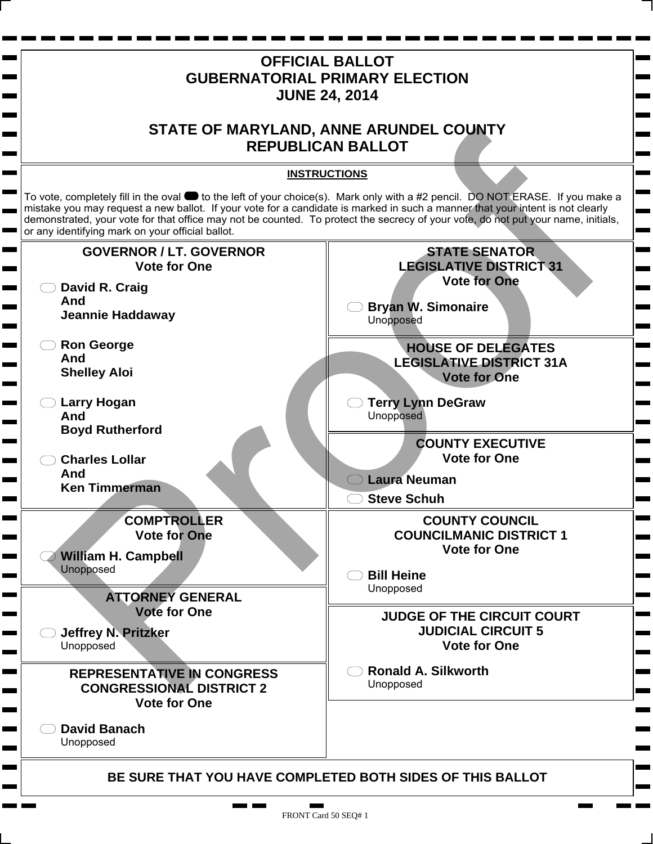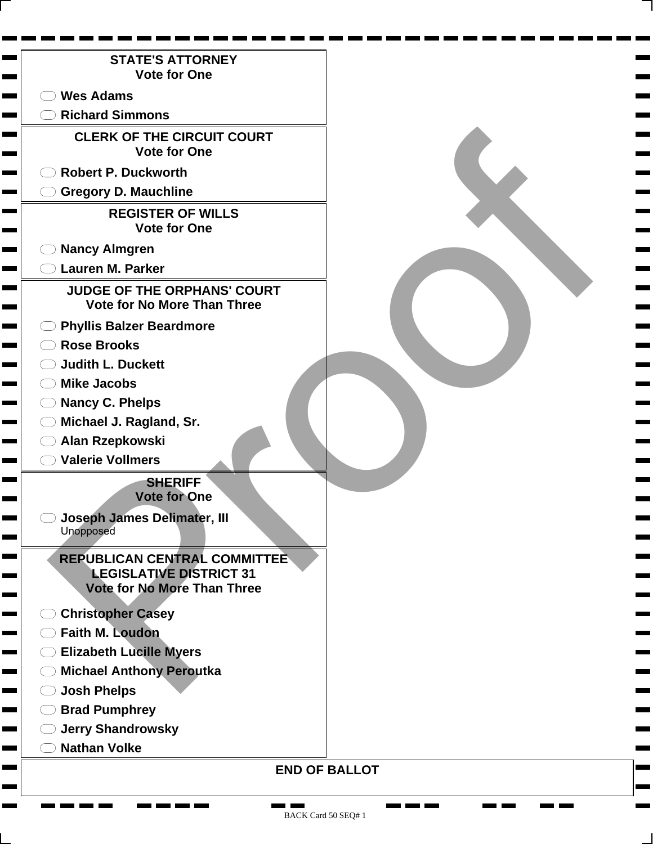| <b>STATE'S ATTORNEY</b><br><b>Vote for One</b>                           |  |
|--------------------------------------------------------------------------|--|
|                                                                          |  |
| <b>Wes Adams</b>                                                         |  |
| <b>Richard Simmons</b>                                                   |  |
| <b>CLERK OF THE CIRCUIT COURT</b><br><b>Vote for One</b>                 |  |
| <b>Robert P. Duckworth</b>                                               |  |
| <b>Gregory D. Mauchline</b>                                              |  |
| <b>REGISTER OF WILLS</b><br><b>Vote for One</b>                          |  |
| <b>Nancy Almgren</b>                                                     |  |
| <b>Lauren M. Parker</b>                                                  |  |
| <b>JUDGE OF THE ORPHANS' COURT</b><br><b>Vote for No More Than Three</b> |  |
| <b>Phyllis Balzer Beardmore</b>                                          |  |
| <b>Rose Brooks</b>                                                       |  |
| <b>Judith L. Duckett</b>                                                 |  |
| <b>Mike Jacobs</b>                                                       |  |
| <b>Nancy C. Phelps</b>                                                   |  |
| Michael J. Ragland, Sr.                                                  |  |
| Alan Rzepkowski                                                          |  |
| <b>Valerie Vollmers</b>                                                  |  |
| <b>SHERIFF</b><br><b>Vote for One</b>                                    |  |
| Joseph James Delimater, III<br>Unopposed                                 |  |
| <b>REPUBLICAN CENTRAL COMMITTEE</b>                                      |  |
| <b>LEGISLATIVE DISTRICT 31</b><br>Vote for No More Than Three            |  |
| <b>Christopher Casey</b>                                                 |  |
| <b>Faith M. Loudon</b>                                                   |  |
| <b>Elizabeth Lucille Myers</b>                                           |  |
| <b>Michael Anthony Peroutka</b>                                          |  |
| <b>Josh Phelps</b>                                                       |  |
| <b>Brad Pumphrey</b>                                                     |  |
| <b>Jerry Shandrowsky</b>                                                 |  |
| <b>Nathan Volke</b>                                                      |  |
| <b>END OF BALLOT</b>                                                     |  |

**CONTRACTOR** 

۰ ۰ ٠ <u>na ma</u> ma

**Contract The Second**  **CONTRACT The Second**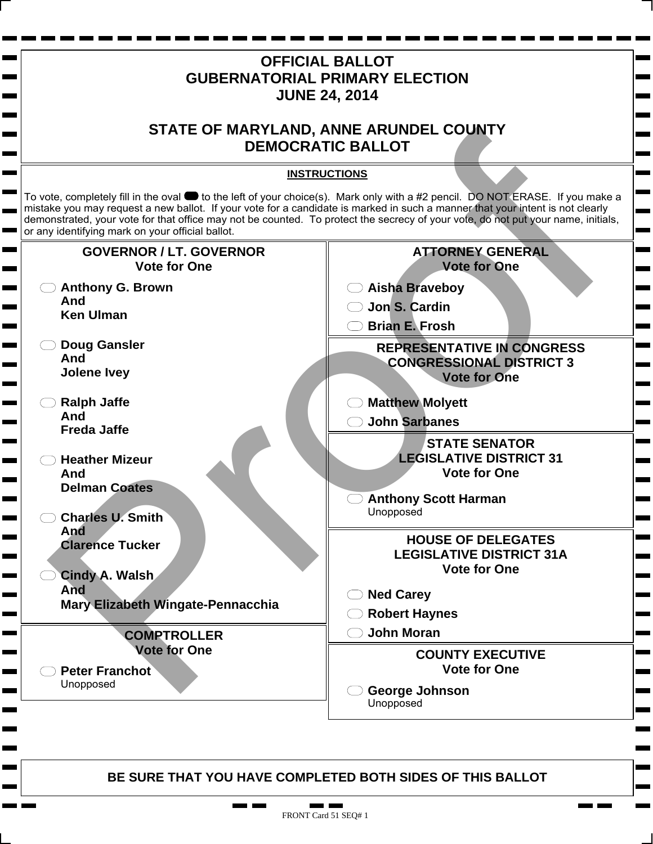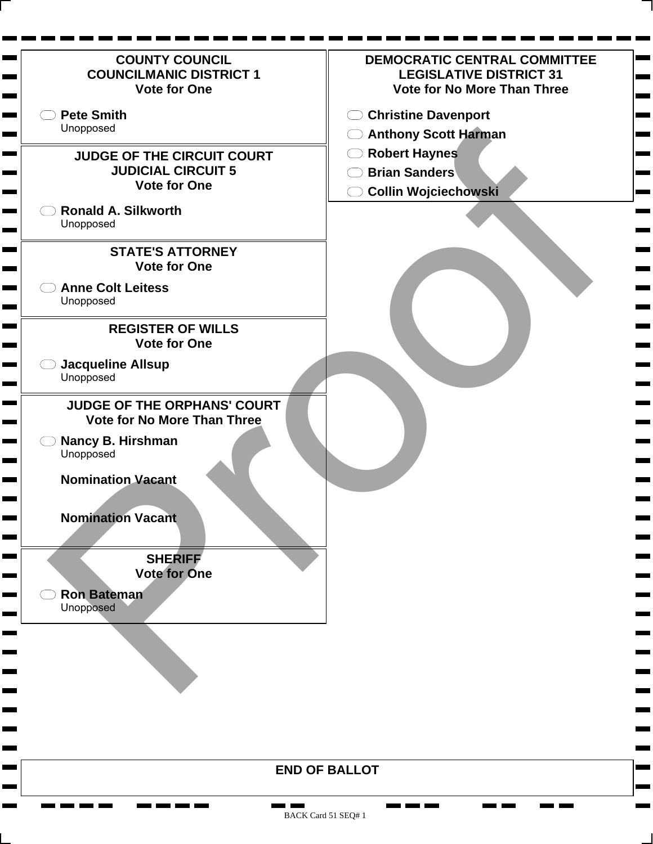| <b>COUNTY COUNCIL</b><br><b>COUNCILMANIC DISTRICT 1</b><br><b>Vote for One</b>        | DEMOCRATIC CENTRAL COMMITTEE<br><b>LEGISLATIVE DISTRICT 31</b><br><b>Vote for No More Than Three</b> |
|---------------------------------------------------------------------------------------|------------------------------------------------------------------------------------------------------|
| <b>Pete Smith</b><br>Unopposed                                                        | <b>Christine Davenport</b><br>( )                                                                    |
|                                                                                       | ◯ Anthony Scott Harman                                                                               |
| <b>JUDGE OF THE CIRCUIT COURT</b><br><b>JUDICIAL CIRCUIT 5</b><br><b>Vote for One</b> | <b>Robert Haynes</b><br><b>Brian Sanders</b><br><b>Collin Wojciechowski</b>                          |
| <b>Ronald A. Silkworth</b><br>Unopposed                                               |                                                                                                      |
| <b>STATE'S ATTORNEY</b><br><b>Vote for One</b>                                        |                                                                                                      |
| <b>Anne Colt Leitess</b><br>Unopposed                                                 |                                                                                                      |
| <b>REGISTER OF WILLS</b><br><b>Vote for One</b>                                       |                                                                                                      |
| <b>Jacqueline Allsup</b><br>Unopposed                                                 |                                                                                                      |
| <b>JUDGE OF THE ORPHANS' COURT</b><br><b>Vote for No More Than Three</b>              |                                                                                                      |
| Nancy B. Hirshman<br>Unopposed                                                        |                                                                                                      |
| <b>Nomination Vacant</b>                                                              |                                                                                                      |
| <b>Nomination Vacant</b>                                                              |                                                                                                      |
| <b>SHERIFF</b><br><b>Vote for One</b>                                                 |                                                                                                      |
| <b>Ron Bateman</b><br>Unopposed                                                       |                                                                                                      |
|                                                                                       |                                                                                                      |
|                                                                                       |                                                                                                      |
|                                                                                       |                                                                                                      |
|                                                                                       | <b>END OF BALLOT</b>                                                                                 |
|                                                                                       |                                                                                                      |

<u>the first term</u>

n. **The Co**  **CONTRACT**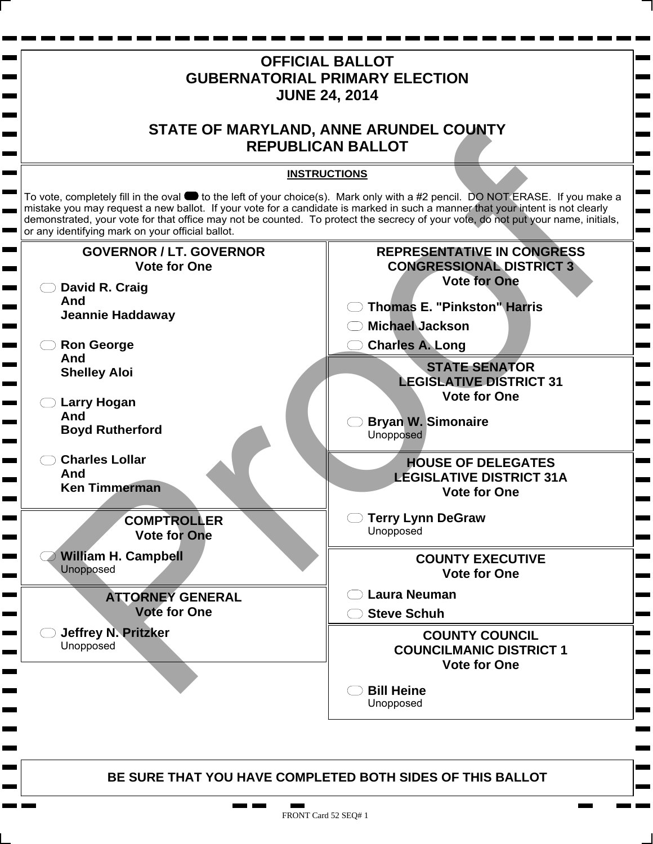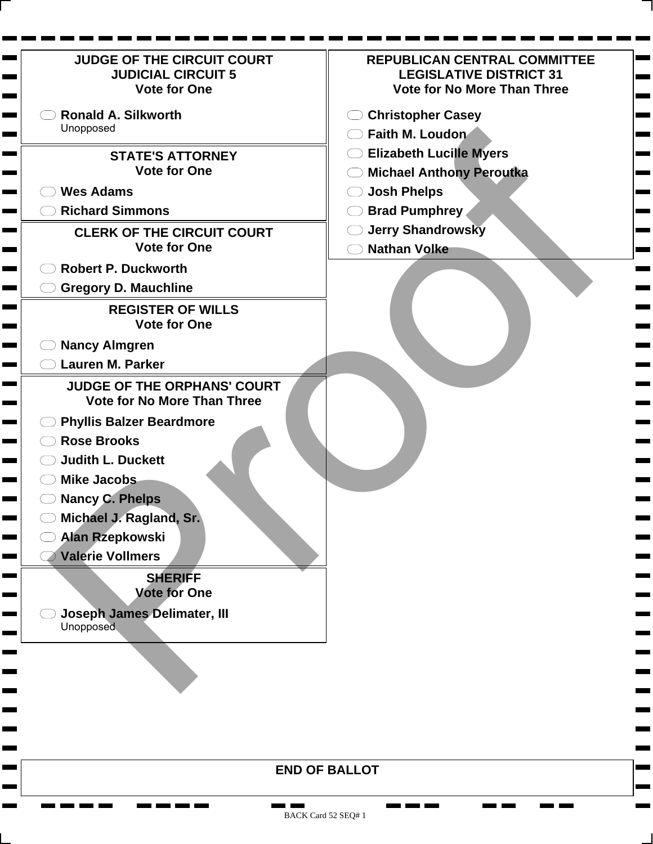| <b>JUDGE OF THE CIRCUIT COURT</b><br><b>JUDICIAL CIRCUIT 5</b><br><b>Vote for One</b> | <b>REPUBLICAN CENTRAL COMMITTEE</b><br><b>LEGISLATIVE DISTRICT 31</b><br><b>Vote for No More Than Three</b> |
|---------------------------------------------------------------------------------------|-------------------------------------------------------------------------------------------------------------|
| <b>Ronald A. Silkworth</b>                                                            | <b>Christopher Casey</b>                                                                                    |
| Unopposed                                                                             | Faith M. Loudon                                                                                             |
| <b>STATE'S ATTORNEY</b>                                                               | <b>Elizabeth Lucille Myers</b>                                                                              |
| <b>Vote for One</b>                                                                   | <b>Michael Anthony Peroutka</b>                                                                             |
| <b>Wes Adams</b>                                                                      | <b>Josh Phelps</b>                                                                                          |
| <b>Richard Simmons</b>                                                                | <b>Brad Pumphrey</b>                                                                                        |
| <b>CLERK OF THE CIRCUIT COURT</b>                                                     | <b>Jerry Shandrowsky</b>                                                                                    |
| <b>Vote for One</b>                                                                   | <b>Nathan Volke</b>                                                                                         |
| <b>Robert P. Duckworth</b>                                                            |                                                                                                             |
| <b>Gregory D. Mauchline</b>                                                           |                                                                                                             |
| <b>REGISTER OF WILLS</b><br><b>Vote for One</b>                                       |                                                                                                             |
| <b>Nancy Almgren</b>                                                                  |                                                                                                             |
| <b>Lauren M. Parker</b>                                                               |                                                                                                             |
| <b>JUDGE OF THE ORPHANS' COURT</b><br><b>Vote for No More Than Three</b>              |                                                                                                             |
| <b>Phyllis Balzer Beardmore</b>                                                       |                                                                                                             |
| <b>Rose Brooks</b>                                                                    |                                                                                                             |
| <b>Judith L. Duckett</b>                                                              |                                                                                                             |
| <b>Mike Jacobs</b>                                                                    |                                                                                                             |
| <b>Nancy C. Phelps</b>                                                                |                                                                                                             |
| Michael J. Ragland, Sr.                                                               |                                                                                                             |
| <b>Alan Rzepkowski</b>                                                                |                                                                                                             |
| <b>Valerie Vollmers</b>                                                               |                                                                                                             |
| <b>SHERIFF</b><br><b>Vote for One</b>                                                 |                                                                                                             |
| <b>Joseph James Delimater, III</b><br>Unopposed                                       |                                                                                                             |
|                                                                                       |                                                                                                             |
|                                                                                       |                                                                                                             |
|                                                                                       |                                                                                                             |

 $\mathbf{r}$  and  $\mathbf{r}$  and  $\mathbf{r}$ 

**Barnett Barnett** 

**CONTRACTOR** 

 $\blacksquare$ **The Second** 

 $\mathbf{r}$ 

 $\blacksquare$ 

**Contract** 

**Contract** 

Ħ.  $\overline{\phantom{a}}$ ۰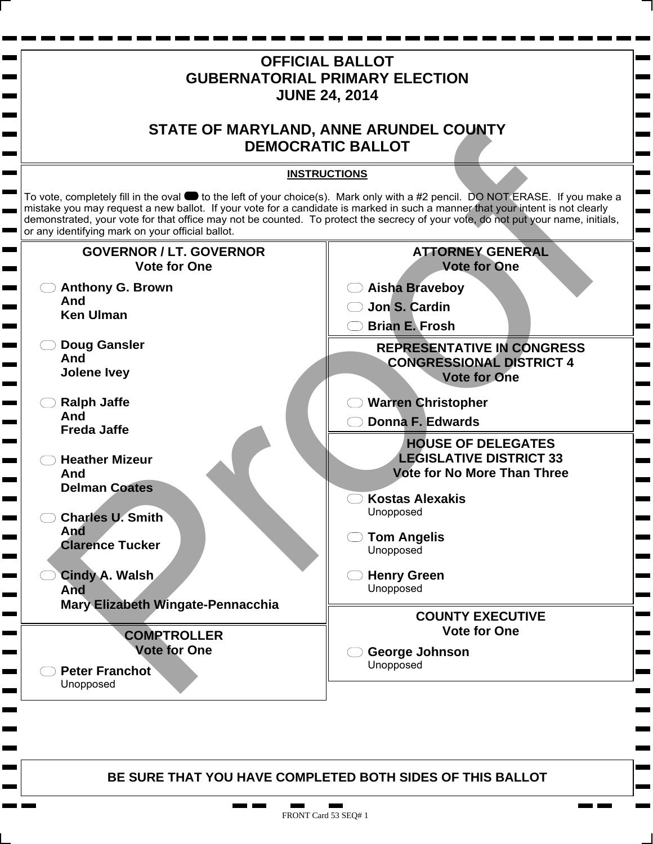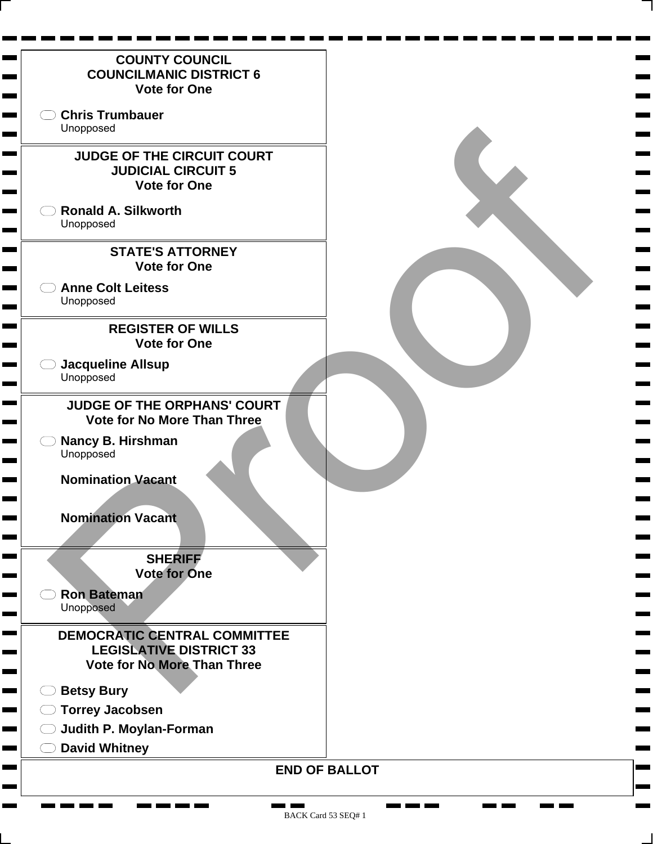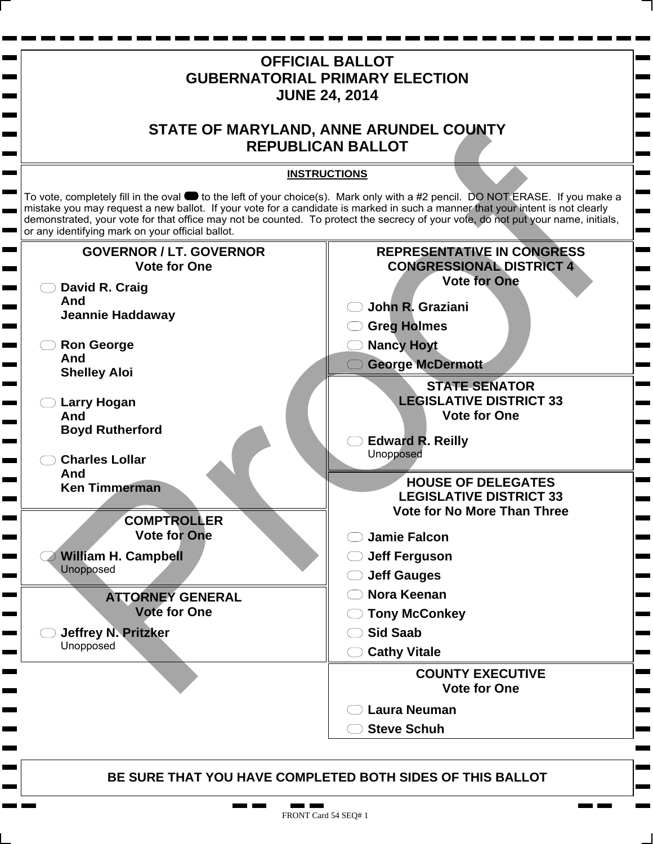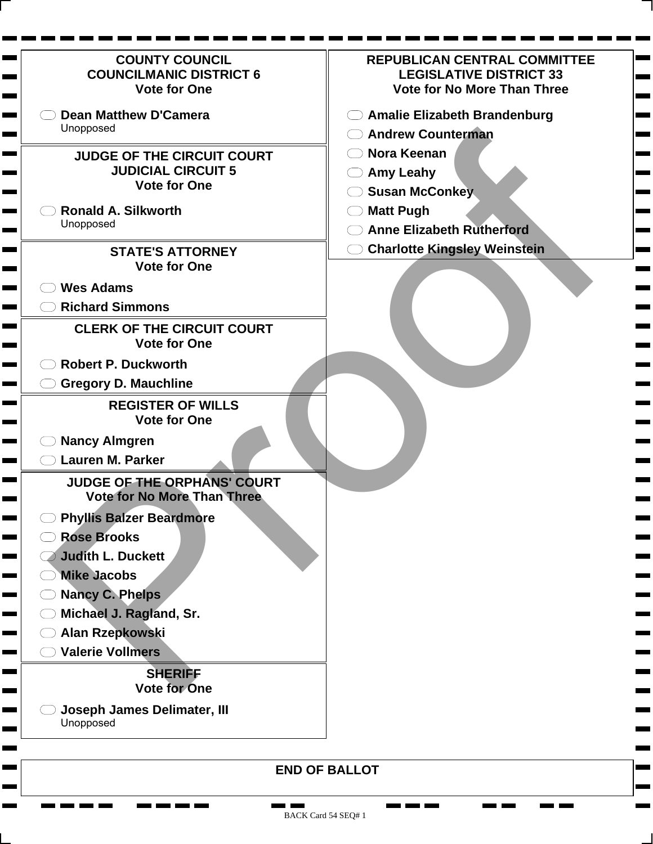| <b>COUNTY COUNCIL</b><br><b>COUNCILMANIC DISTRICT 6</b><br><b>Vote for One</b>                                                    | <b>REPUBLICAN CENTRAL COMMITTEE</b><br><b>LEGISLATIVE DISTRICT 33</b><br><b>Vote for No More Than Three</b> |
|-----------------------------------------------------------------------------------------------------------------------------------|-------------------------------------------------------------------------------------------------------------|
| <b>Dean Matthew D'Camera</b><br>Unopposed                                                                                         | <b>Amalie Elizabeth Brandenburg</b><br><b>Andrew Counterman</b>                                             |
| <b>JUDGE OF THE CIRCUIT COURT</b><br><b>JUDICIAL CIRCUIT 5</b><br><b>Vote for One</b>                                             | <b>Nora Keenan</b><br><b>Amy Leahy</b><br><b>Susan McConkey</b>                                             |
| <b>Ronald A. Silkworth</b><br>Unopposed                                                                                           | <b>Matt Pugh</b><br><b>Anne Elizabeth Rutherford</b>                                                        |
| <b>STATE'S ATTORNEY</b><br><b>Vote for One</b>                                                                                    | <b>Charlotte Kingsley Weinstein</b>                                                                         |
| <b>Wes Adams</b><br><b>Richard Simmons</b>                                                                                        |                                                                                                             |
| <b>CLERK OF THE CIRCUIT COURT</b><br><b>Vote for One</b>                                                                          |                                                                                                             |
| <b>Robert P. Duckworth</b>                                                                                                        |                                                                                                             |
| <b>Gregory D. Mauchline</b>                                                                                                       |                                                                                                             |
| <b>REGISTER OF WILLS</b><br><b>Vote for One</b><br><b>Nancy Almgren</b><br><b>Lauren M. Parker</b><br>JUDGE OF THE ORPHANS' COURT |                                                                                                             |
| <b>Vote for No More Than Three</b>                                                                                                |                                                                                                             |
| <b>Phyllis Balzer Beardmore</b><br><b>Rose Brooks</b><br>Judith L. Duckett                                                        |                                                                                                             |
| <b>Mike Jacobs</b><br><b>Nancy C. Phelps</b>                                                                                      |                                                                                                             |
| Michael J. Ragland, Sr.<br><b>Alan Rzepkowski</b>                                                                                 |                                                                                                             |
| <b>Valerie Vollmers</b>                                                                                                           |                                                                                                             |
| <b>SHERIFF</b><br><b>Vote for One</b>                                                                                             |                                                                                                             |
| <b>Joseph James Delimater, III</b><br>Unopposed                                                                                   |                                                                                                             |
|                                                                                                                                   | <b>END OF BALLOT</b>                                                                                        |

**CONTRACTOR** 

 $\mathbf{r}$  and  $\mathbf{r}$  and  $\mathbf{r}$ 

H. **The Second**  **CONTRACTOR** 

**College** 

**The Second** 

 $\overline{\phantom{a}}$ Ħ. ۰ **The Co**  ٠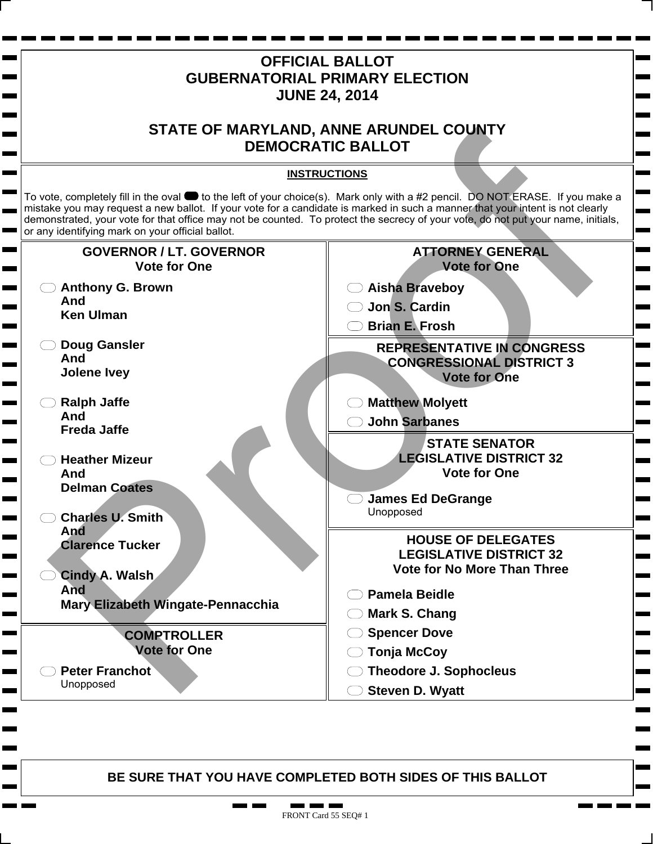

. .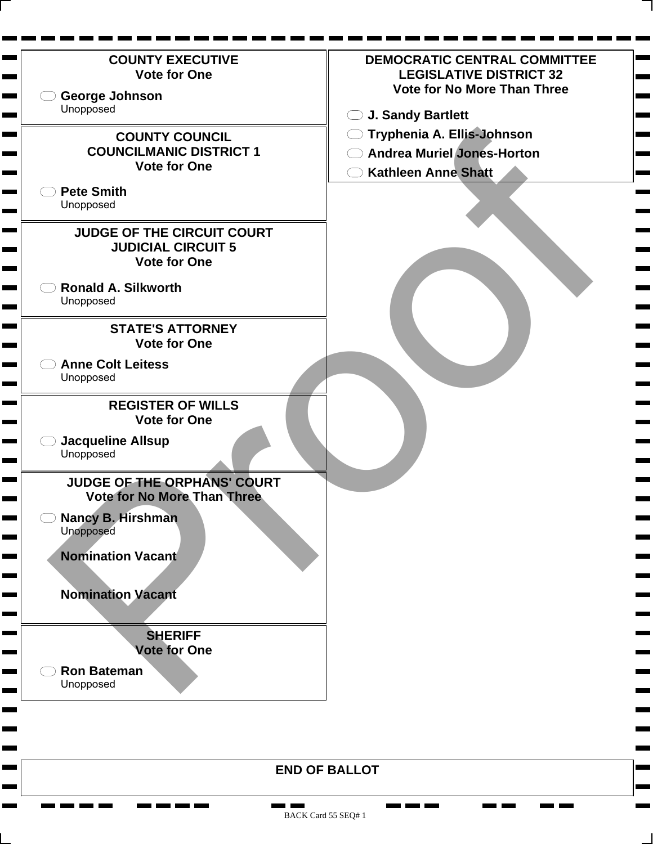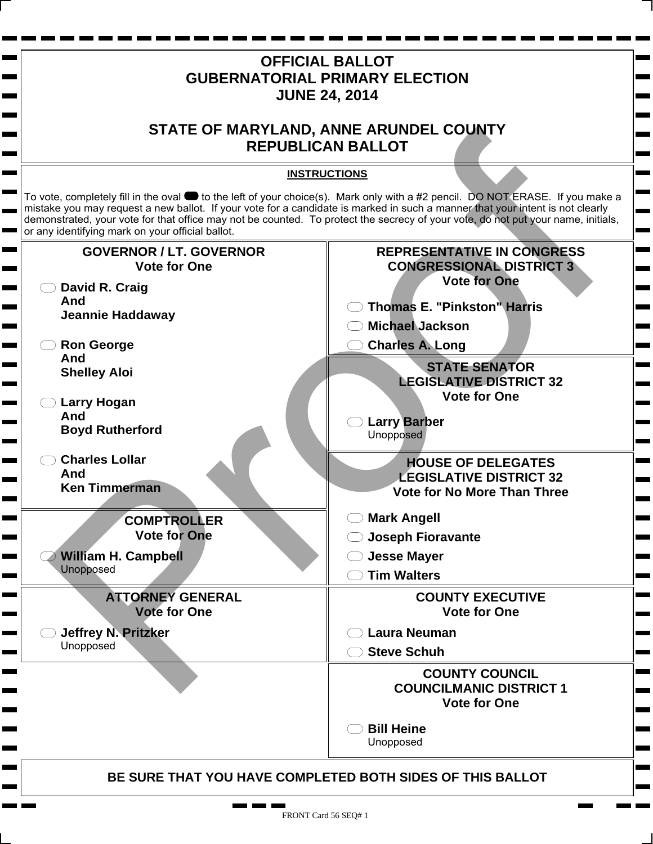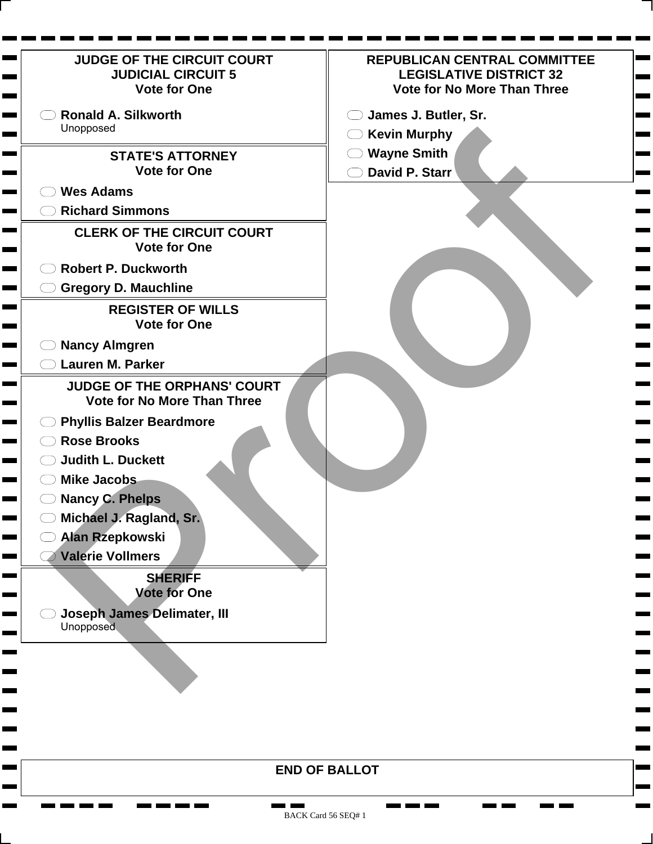| JUDGE OF THE CIRCUIT COURT                                               | <b>REPUBLICAN CENTRAL COMMITTEE</b> |
|--------------------------------------------------------------------------|-------------------------------------|
| <b>JUDICIAL CIRCUIT 5</b>                                                | <b>LEGISLATIVE DISTRICT 32</b>      |
| <b>Vote for One</b>                                                      | <b>Vote for No More Than Three</b>  |
| <b>Ronald A. Silkworth</b>                                               | James J. Butler, Sr.                |
| Unopposed                                                                | <b>Kevin Murphy</b><br>$($ )        |
| <b>STATE'S ATTORNEY</b>                                                  | <b>Wayne Smith</b>                  |
| <b>Vote for One</b>                                                      | David P. Starr                      |
| <b>Wes Adams</b>                                                         |                                     |
| <b>Richard Simmons</b>                                                   |                                     |
| <b>CLERK OF THE CIRCUIT COURT</b>                                        |                                     |
| <b>Vote for One</b>                                                      |                                     |
| <b>Robert P. Duckworth</b>                                               |                                     |
| <b>Gregory D. Mauchline</b>                                              |                                     |
| <b>REGISTER OF WILLS</b>                                                 |                                     |
| <b>Vote for One</b>                                                      |                                     |
| <b>Nancy Almgren</b>                                                     |                                     |
| <b>Lauren M. Parker</b>                                                  |                                     |
| <b>JUDGE OF THE ORPHANS' COURT</b><br><b>Vote for No More Than Three</b> |                                     |
| <b>Phyllis Balzer Beardmore</b>                                          |                                     |
| <b>Rose Brooks</b>                                                       |                                     |
| <b>Judith L. Duckett</b>                                                 |                                     |
| <b>Mike Jacobs</b>                                                       |                                     |
| <b>Nancy C. Phelps</b>                                                   |                                     |
| Michael J. Ragland, Sr.                                                  |                                     |
| <b>Alan Rzepkowski</b>                                                   |                                     |
| <b>Valerie Vollmers</b>                                                  |                                     |
| <b>SHERIFF</b>                                                           |                                     |
| <b>Vote for One</b>                                                      |                                     |
| <b>Joseph James Delimater, III</b><br><b>Unopposed</b>                   |                                     |
|                                                                          |                                     |
|                                                                          |                                     |
|                                                                          |                                     |
|                                                                          |                                     |
|                                                                          |                                     |
|                                                                          |                                     |
|                                                                          | <b>END OF BALLOT</b>                |

**CONTRACTOR** 

**The Company Company** 

**Barnett Barnett** 

**Contract Contract** 

٠  $\mathbf{r}$ 

**COL** 

 $\mathbf{r}$ 

 $\mathbf{r}$ 

<u>na matana </u>

**The Second**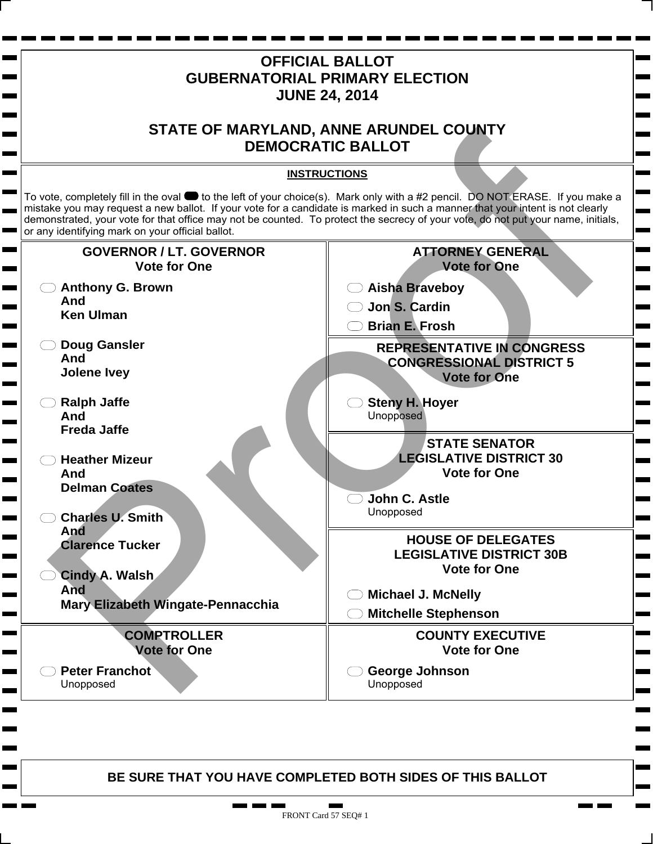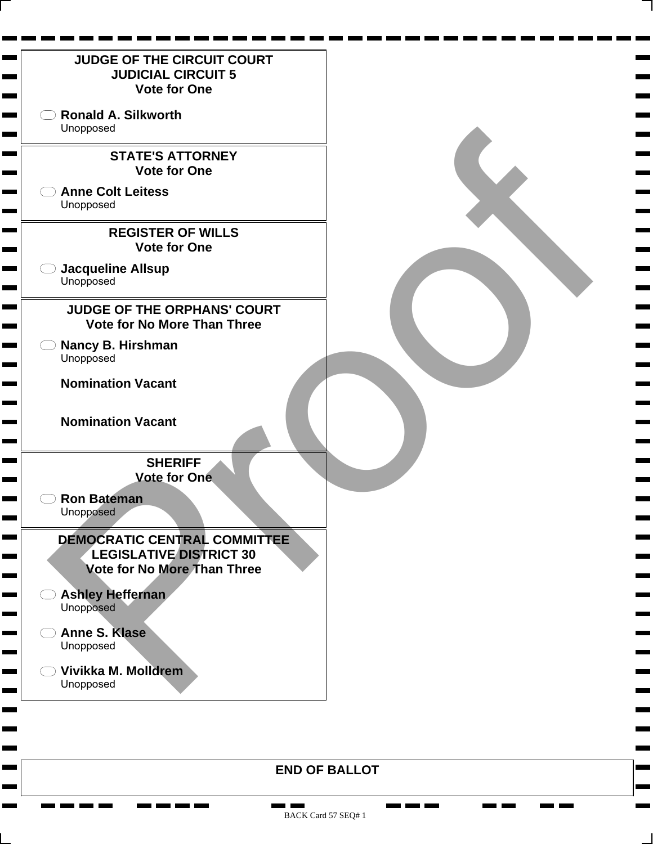

**END OF BALLOT**

**The Co** 

m.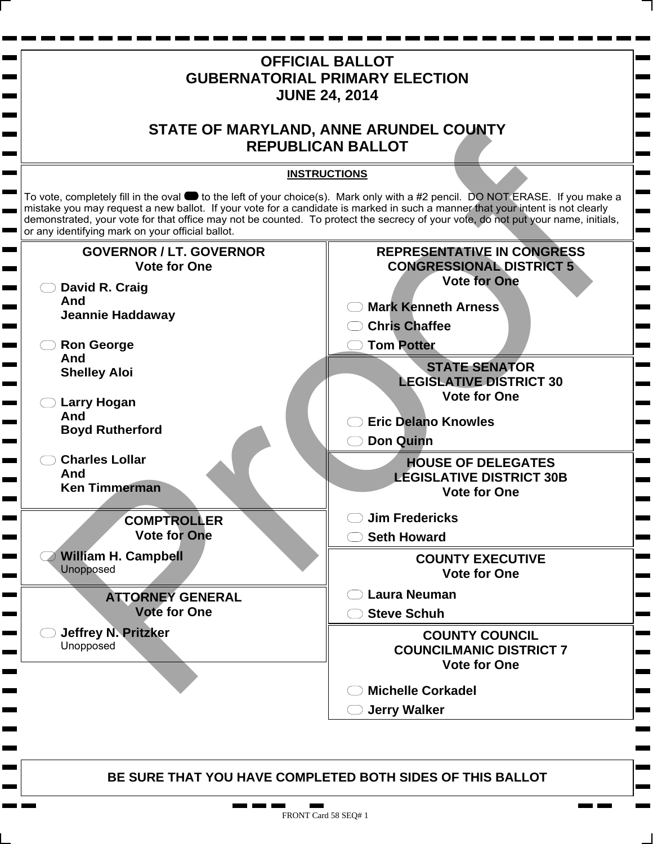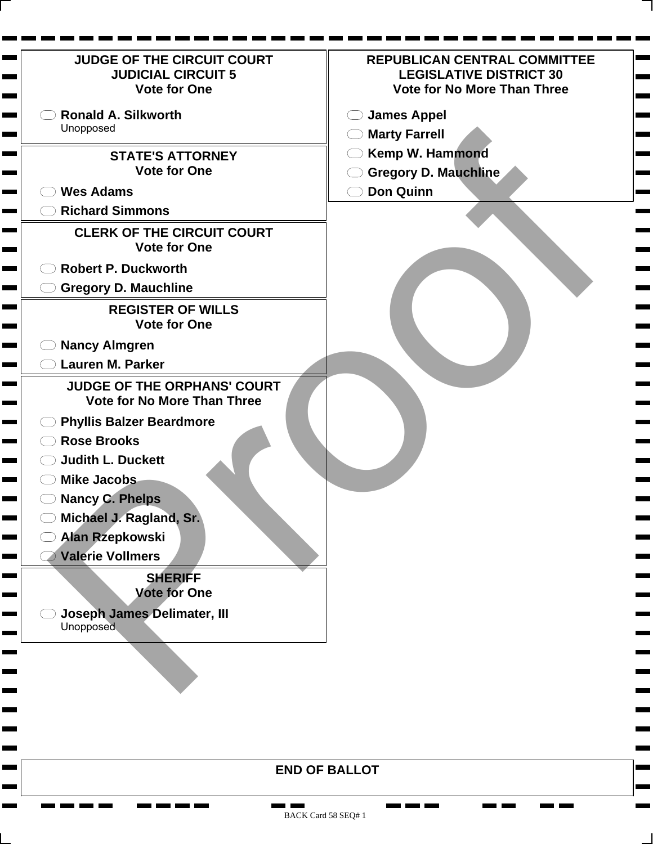| <b>JUDGE OF THE CIRCUIT COURT</b><br><b>REPUBLICAN CENTRAL COMMITTEE</b><br><b>JUDICIAL CIRCUIT 5</b><br><b>LEGISLATIVE DISTRICT 30</b><br><b>Vote for No More Than Three</b><br><b>Vote for One</b><br><b>Ronald A. Silkworth</b><br><b>James Appel</b><br>Unopposed<br>$\bigcirc$ Marty Farrell<br><b>Kemp W. Hammond</b><br><b>STATE'S ATTORNEY</b><br><b>Vote for One</b><br><b>Gregory D. Mauchline</b><br><b>Don Quinn</b><br><b>Wes Adams</b><br><b>Richard Simmons</b><br><b>CLERK OF THE CIRCUIT COURT</b><br><b>Vote for One</b><br><b>Robert P. Duckworth</b><br><b>Gregory D. Mauchline</b><br><b>REGISTER OF WILLS</b><br><b>Vote for One</b><br><b>Nancy Almgren</b><br><b>Lauren M. Parker</b><br><b>JUDGE OF THE ORPHANS' COURT</b><br><b>Vote for No More Than Three</b><br><b>Phyllis Balzer Beardmore</b><br><b>Rose Brooks</b><br><b>Judith L. Duckett</b><br><b>Mike Jacobs</b><br><b>Nancy C. Phelps</b><br>Michael J. Ragland, Sr. |  |
|-----------------------------------------------------------------------------------------------------------------------------------------------------------------------------------------------------------------------------------------------------------------------------------------------------------------------------------------------------------------------------------------------------------------------------------------------------------------------------------------------------------------------------------------------------------------------------------------------------------------------------------------------------------------------------------------------------------------------------------------------------------------------------------------------------------------------------------------------------------------------------------------------------------------------------------------------------------|--|
|                                                                                                                                                                                                                                                                                                                                                                                                                                                                                                                                                                                                                                                                                                                                                                                                                                                                                                                                                           |  |
|                                                                                                                                                                                                                                                                                                                                                                                                                                                                                                                                                                                                                                                                                                                                                                                                                                                                                                                                                           |  |
|                                                                                                                                                                                                                                                                                                                                                                                                                                                                                                                                                                                                                                                                                                                                                                                                                                                                                                                                                           |  |
|                                                                                                                                                                                                                                                                                                                                                                                                                                                                                                                                                                                                                                                                                                                                                                                                                                                                                                                                                           |  |
|                                                                                                                                                                                                                                                                                                                                                                                                                                                                                                                                                                                                                                                                                                                                                                                                                                                                                                                                                           |  |
|                                                                                                                                                                                                                                                                                                                                                                                                                                                                                                                                                                                                                                                                                                                                                                                                                                                                                                                                                           |  |
|                                                                                                                                                                                                                                                                                                                                                                                                                                                                                                                                                                                                                                                                                                                                                                                                                                                                                                                                                           |  |
|                                                                                                                                                                                                                                                                                                                                                                                                                                                                                                                                                                                                                                                                                                                                                                                                                                                                                                                                                           |  |
|                                                                                                                                                                                                                                                                                                                                                                                                                                                                                                                                                                                                                                                                                                                                                                                                                                                                                                                                                           |  |
|                                                                                                                                                                                                                                                                                                                                                                                                                                                                                                                                                                                                                                                                                                                                                                                                                                                                                                                                                           |  |
|                                                                                                                                                                                                                                                                                                                                                                                                                                                                                                                                                                                                                                                                                                                                                                                                                                                                                                                                                           |  |
|                                                                                                                                                                                                                                                                                                                                                                                                                                                                                                                                                                                                                                                                                                                                                                                                                                                                                                                                                           |  |
|                                                                                                                                                                                                                                                                                                                                                                                                                                                                                                                                                                                                                                                                                                                                                                                                                                                                                                                                                           |  |
| <b>Alan Rzepkowski</b><br><b>Valerie Vollmers</b><br><b>SHERIFF</b><br><b>Vote for One</b><br><b>Joseph James Delimater, III</b><br><b>Unopposed</b>                                                                                                                                                                                                                                                                                                                                                                                                                                                                                                                                                                                                                                                                                                                                                                                                      |  |
|                                                                                                                                                                                                                                                                                                                                                                                                                                                                                                                                                                                                                                                                                                                                                                                                                                                                                                                                                           |  |
|                                                                                                                                                                                                                                                                                                                                                                                                                                                                                                                                                                                                                                                                                                                                                                                                                                                                                                                                                           |  |
|                                                                                                                                                                                                                                                                                                                                                                                                                                                                                                                                                                                                                                                                                                                                                                                                                                                                                                                                                           |  |
| <b>END OF BALLOT</b>                                                                                                                                                                                                                                                                                                                                                                                                                                                                                                                                                                                                                                                                                                                                                                                                                                                                                                                                      |  |

BACK Card 58 SEQ# 1

**CONTRACTOR** 

**The Company Company** 

**CONTRACTOR** 

<u>ran ma</u>

**The Second** 

 $\mathbf{r}$ 

<u>man part</u>

<u>ran kan kan kan</u>

**COLOR** 

**COL**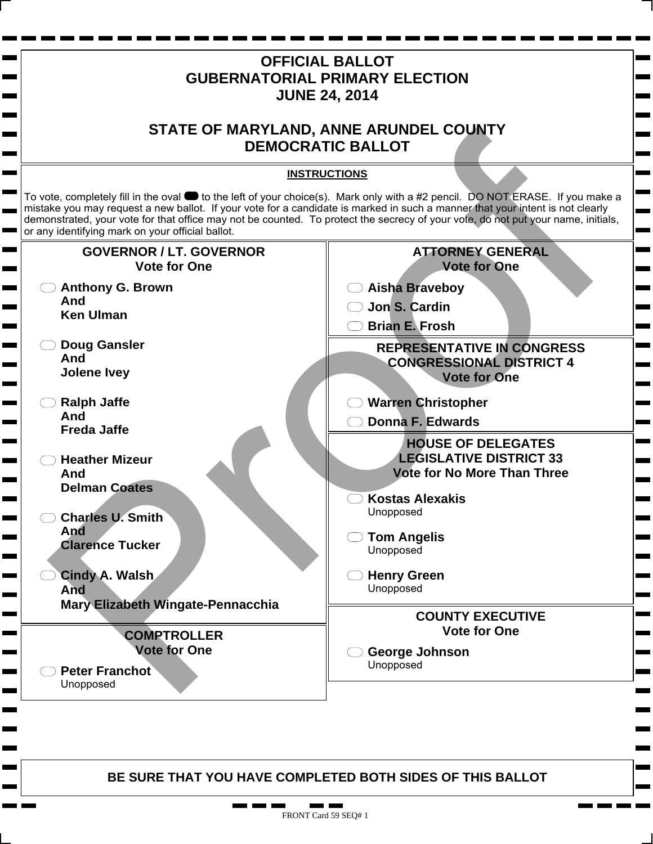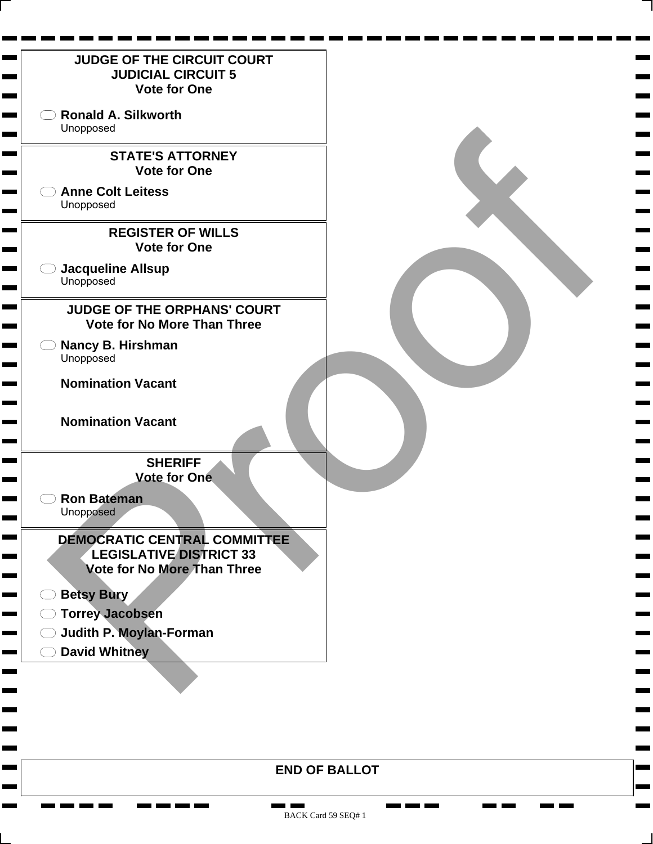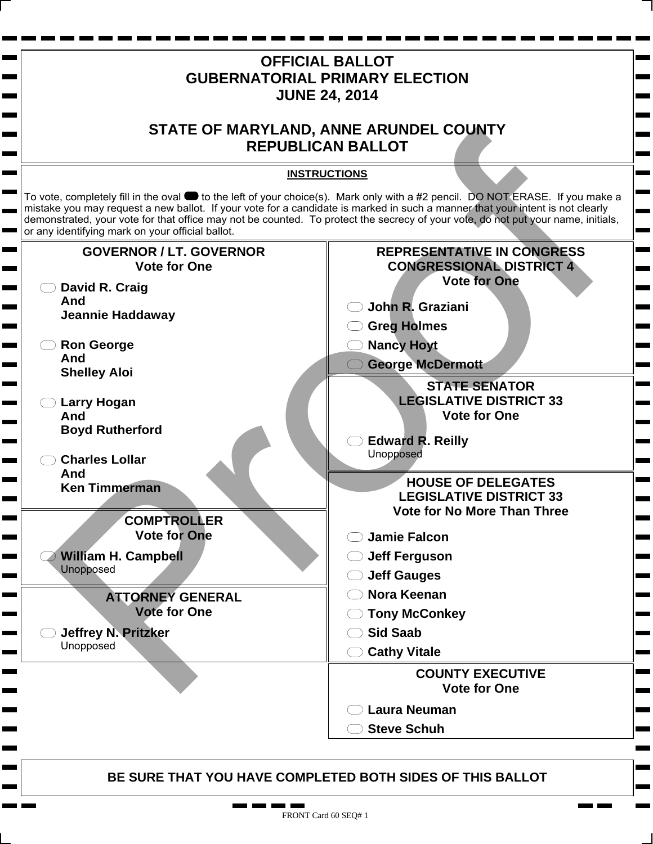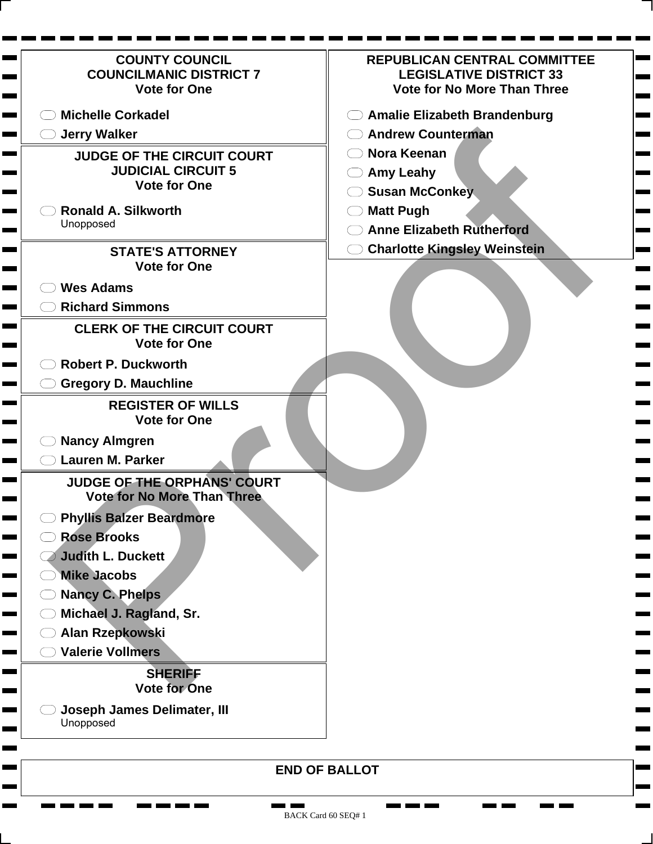| <b>COUNTY COUNCIL</b><br><b>COUNCILMANIC DISTRICT 7</b><br><b>Vote for One</b>        | <b>REPUBLICAN CENTRAL COMMITTEE</b><br><b>LEGISLATIVE DISTRICT 33</b><br><b>Vote for No More Than Three</b> |
|---------------------------------------------------------------------------------------|-------------------------------------------------------------------------------------------------------------|
| <b>Michelle Corkadel</b>                                                              | <b>Amalie Elizabeth Brandenburg</b>                                                                         |
| <b>Jerry Walker</b>                                                                   | <b>Andrew Counterman</b>                                                                                    |
| <b>JUDGE OF THE CIRCUIT COURT</b><br><b>JUDICIAL CIRCUIT 5</b><br><b>Vote for One</b> | Nora Keenan<br><b>Amy Leahy</b>                                                                             |
|                                                                                       | <b>Susan McConkey</b>                                                                                       |
| <b>Ronald A. Silkworth</b><br>Unopposed                                               | <b>Matt Pugh</b>                                                                                            |
|                                                                                       | <b>Anne Elizabeth Rutherford</b>                                                                            |
| <b>STATE'S ATTORNEY</b><br><b>Vote for One</b>                                        | <b>Charlotte Kingsley Weinstein</b>                                                                         |
|                                                                                       |                                                                                                             |
| <b>Wes Adams</b>                                                                      |                                                                                                             |
| <b>Richard Simmons</b>                                                                |                                                                                                             |
| <b>CLERK OF THE CIRCUIT COURT</b><br><b>Vote for One</b>                              |                                                                                                             |
| <b>Robert P. Duckworth</b>                                                            |                                                                                                             |
| <b>Gregory D. Mauchline</b>                                                           |                                                                                                             |
| <b>REGISTER OF WILLS</b><br><b>Vote for One</b>                                       |                                                                                                             |
| <b>Nancy Almgren</b>                                                                  |                                                                                                             |
| <b>Lauren M. Parker</b>                                                               |                                                                                                             |
| JUDGE OF THE ORPHANS' COURT<br><b>Vote for No More Than Three</b>                     |                                                                                                             |
| <b>Phyllis Balzer Beardmore</b>                                                       |                                                                                                             |
| <b>Rose Brooks</b>                                                                    |                                                                                                             |
| <b>Judith L. Duckett</b>                                                              |                                                                                                             |
| <b>Mike Jacobs</b>                                                                    |                                                                                                             |
| <b>Nancy C. Phelps</b>                                                                |                                                                                                             |
| Michael J. Ragland, Sr.                                                               |                                                                                                             |
| Alan Rzepkowski                                                                       |                                                                                                             |
| <b>Valerie Vollmers</b>                                                               |                                                                                                             |
| <b>SHERIFF</b><br><b>Vote for One</b>                                                 |                                                                                                             |
| Joseph James Delimater, III<br>Unopposed                                              |                                                                                                             |
|                                                                                       | <b>END OF BALLOT</b>                                                                                        |

 $\mathbf{r}$ ٠

> . . Ħ.

<u>n men men</u>

**Contract** 

**CONTRACTOR** 

**The Company Company** 

**CONTRACTOR** 

**Bearing Committee**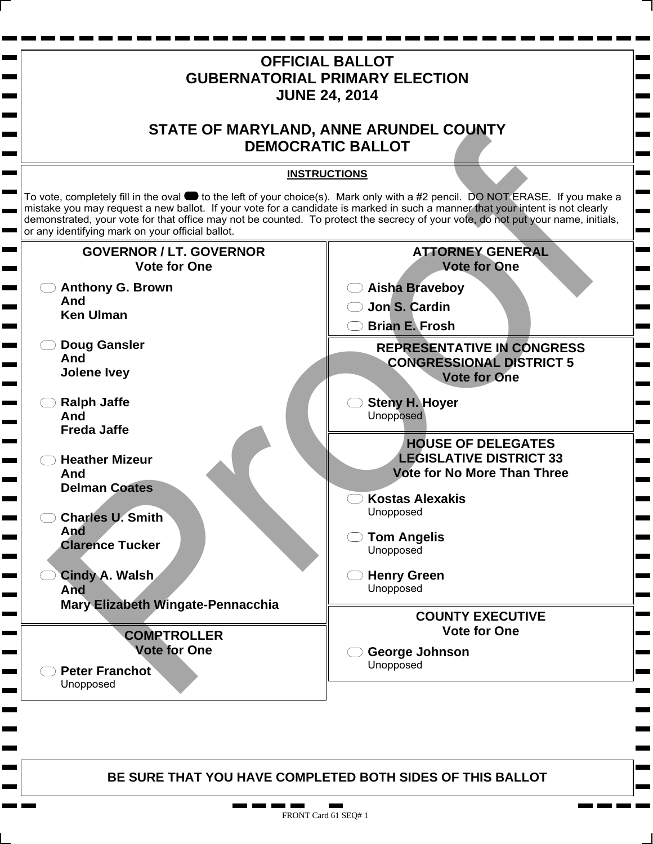

m n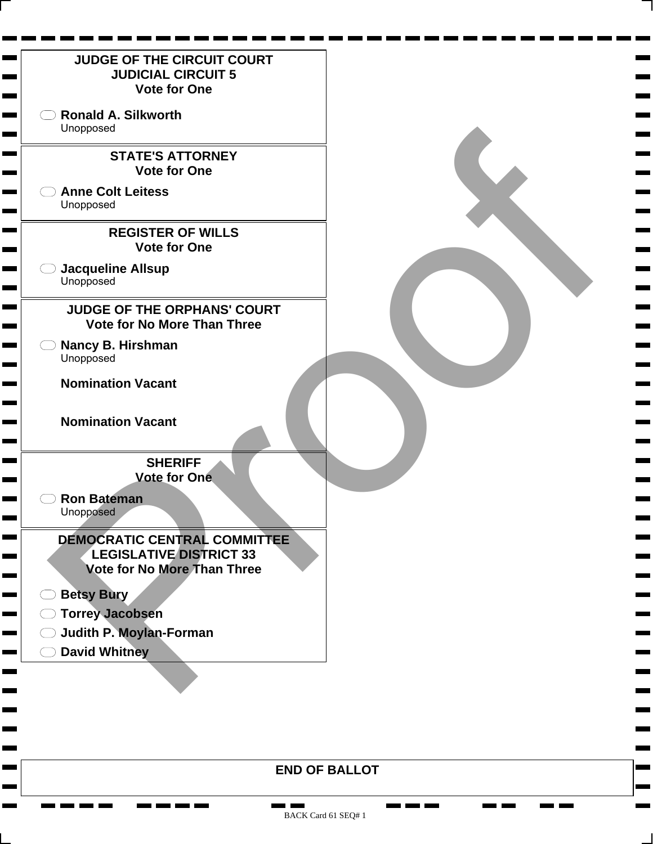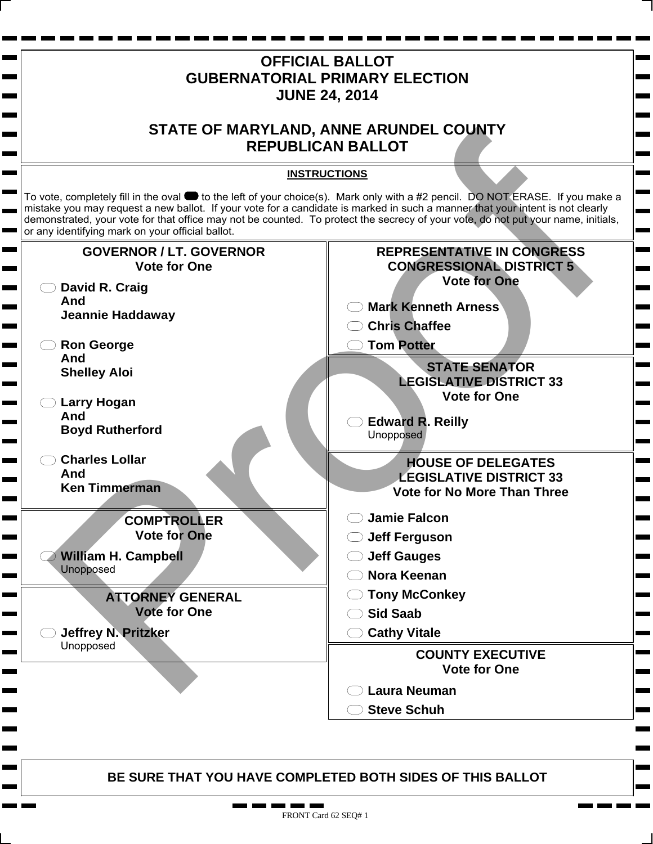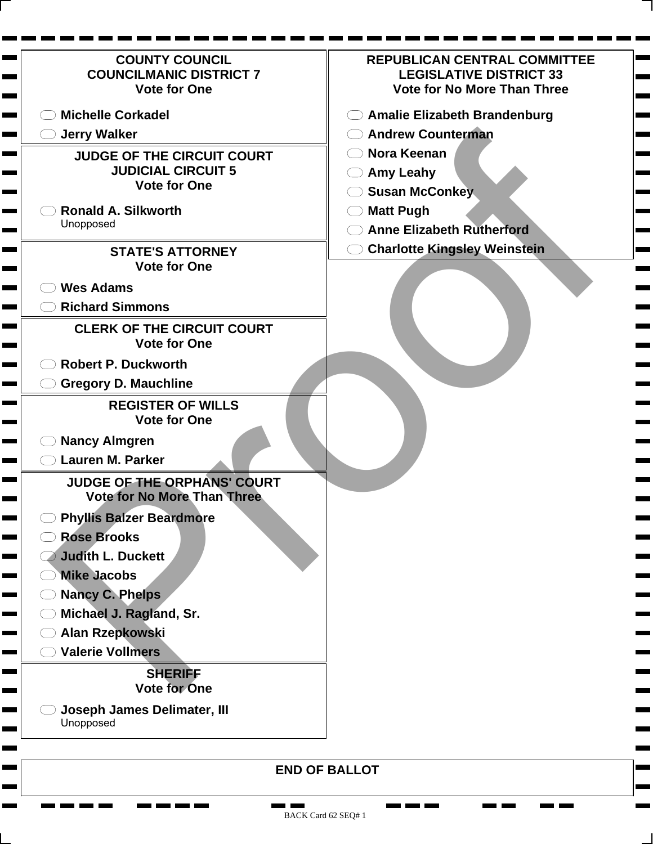| <b>COUNTY COUNCIL</b><br><b>COUNCILMANIC DISTRICT 7</b><br><b>Vote for One</b>        | <b>REPUBLICAN CENTRAL COMMITTEE</b><br><b>LEGISLATIVE DISTRICT 33</b><br><b>Vote for No More Than Three</b> |
|---------------------------------------------------------------------------------------|-------------------------------------------------------------------------------------------------------------|
| <b>Michelle Corkadel</b>                                                              | <b>Amalie Elizabeth Brandenburg</b>                                                                         |
| <b>Jerry Walker</b>                                                                   | <b>Andrew Counterman</b>                                                                                    |
| <b>JUDGE OF THE CIRCUIT COURT</b><br><b>JUDICIAL CIRCUIT 5</b><br><b>Vote for One</b> | Nora Keenan<br><b>Amy Leahy</b>                                                                             |
|                                                                                       | <b>Susan McConkey</b>                                                                                       |
| <b>Ronald A. Silkworth</b><br>Unopposed                                               | <b>Matt Pugh</b>                                                                                            |
|                                                                                       | <b>Anne Elizabeth Rutherford</b>                                                                            |
| <b>STATE'S ATTORNEY</b><br><b>Vote for One</b>                                        | <b>Charlotte Kingsley Weinstein</b>                                                                         |
|                                                                                       |                                                                                                             |
| <b>Wes Adams</b>                                                                      |                                                                                                             |
| <b>Richard Simmons</b>                                                                |                                                                                                             |
| <b>CLERK OF THE CIRCUIT COURT</b><br><b>Vote for One</b>                              |                                                                                                             |
| <b>Robert P. Duckworth</b>                                                            |                                                                                                             |
| <b>Gregory D. Mauchline</b>                                                           |                                                                                                             |
| <b>REGISTER OF WILLS</b><br><b>Vote for One</b>                                       |                                                                                                             |
| <b>Nancy Almgren</b>                                                                  |                                                                                                             |
| <b>Lauren M. Parker</b>                                                               |                                                                                                             |
| JUDGE OF THE ORPHANS' COURT<br><b>Vote for No More Than Three</b>                     |                                                                                                             |
| <b>Phyllis Balzer Beardmore</b>                                                       |                                                                                                             |
| <b>Rose Brooks</b>                                                                    |                                                                                                             |
| <b>Judith L. Duckett</b>                                                              |                                                                                                             |
| <b>Mike Jacobs</b>                                                                    |                                                                                                             |
| <b>Nancy C. Phelps</b>                                                                |                                                                                                             |
| Michael J. Ragland, Sr.                                                               |                                                                                                             |
| Alan Rzepkowski                                                                       |                                                                                                             |
| <b>Valerie Vollmers</b>                                                               |                                                                                                             |
| <b>SHERIFF</b><br><b>Vote for One</b>                                                 |                                                                                                             |
| Joseph James Delimater, III<br>Unopposed                                              |                                                                                                             |
|                                                                                       | <b>END OF BALLOT</b>                                                                                        |

 $\mathbf{r}$ ٠

г

**The Contract of the Contract of the Contract of the Contract of the Contract of the Contract of the Contract o** Ħ. n ben ben i

п ٠ **CONTRACTOR** 

**The Company Company** 

<u>na m</u>

**CONTRACTOR**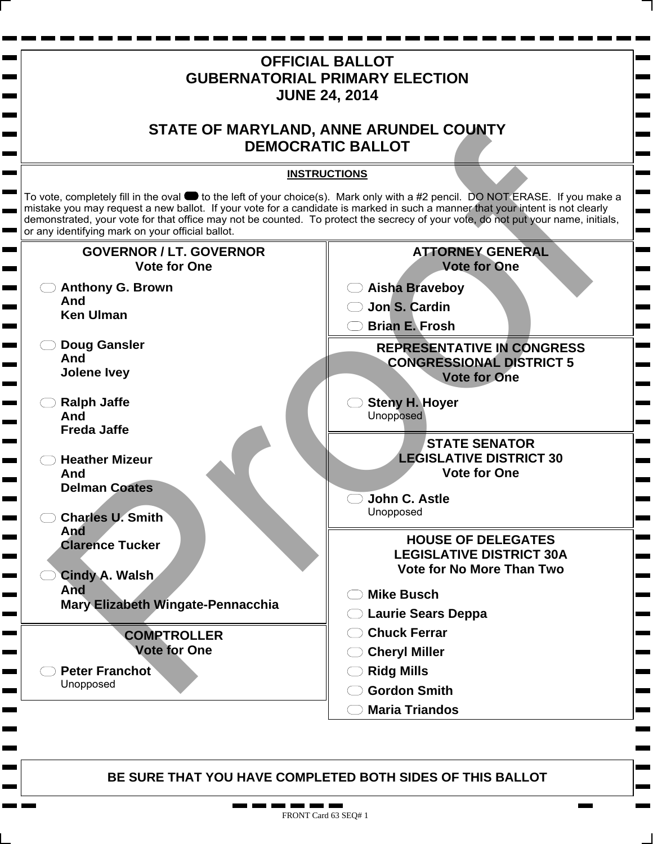

m n п.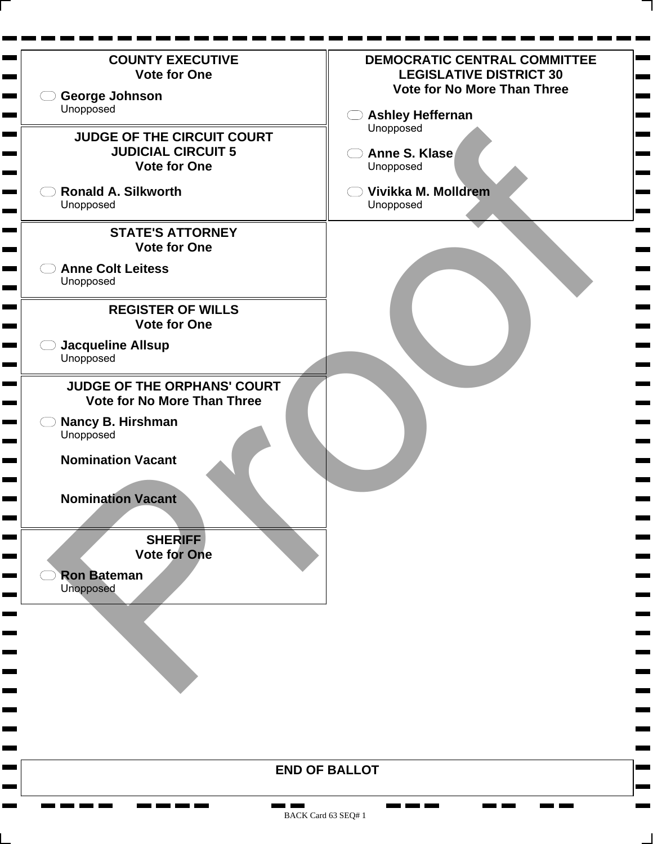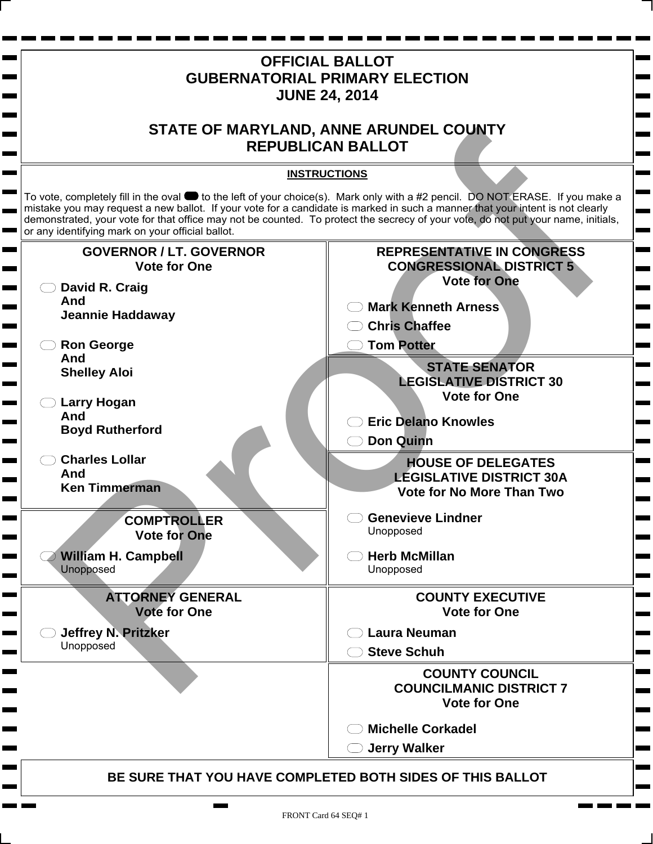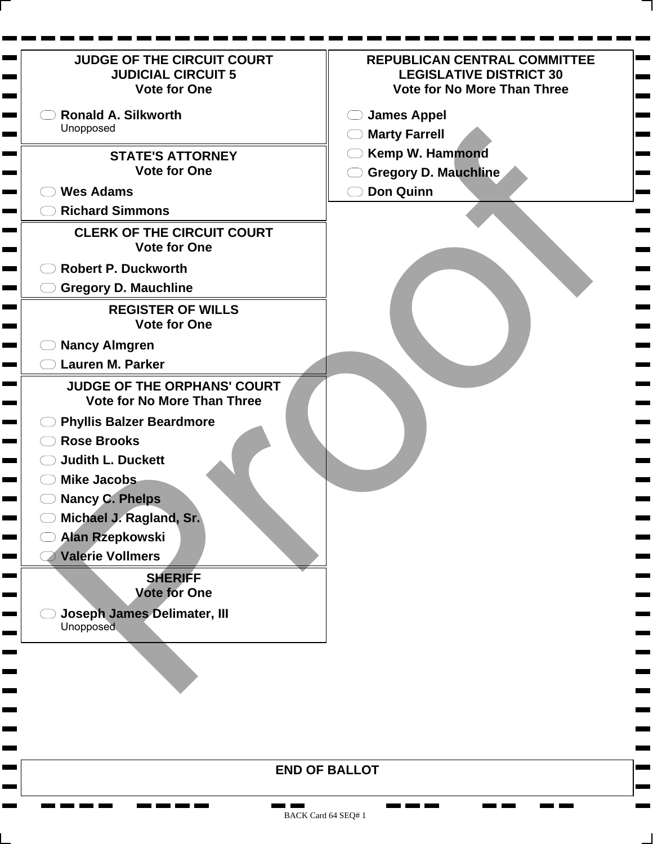| <b>JUDGE OF THE CIRCUIT COURT</b><br><b>JUDICIAL CIRCUIT 5</b><br><b>Vote for One</b>                                                                                                                                                                                                                                                                                                                                                           | <b>REPUBLICAN CENTRAL COMMITTEE</b><br><b>LEGISLATIVE DISTRICT 30</b><br><b>Vote for No More Than Three</b> |
|-------------------------------------------------------------------------------------------------------------------------------------------------------------------------------------------------------------------------------------------------------------------------------------------------------------------------------------------------------------------------------------------------------------------------------------------------|-------------------------------------------------------------------------------------------------------------|
| <b>Ronald A. Silkworth</b>                                                                                                                                                                                                                                                                                                                                                                                                                      | <b>James Appel</b>                                                                                          |
| Unopposed                                                                                                                                                                                                                                                                                                                                                                                                                                       | <b>Marty Farrell</b>                                                                                        |
| <b>STATE'S ATTORNEY</b>                                                                                                                                                                                                                                                                                                                                                                                                                         | <b>Kemp W. Hammond</b>                                                                                      |
| <b>Vote for One</b>                                                                                                                                                                                                                                                                                                                                                                                                                             | <b>Gregory D. Mauchline</b>                                                                                 |
| <b>Wes Adams</b>                                                                                                                                                                                                                                                                                                                                                                                                                                | <b>Don Quinn</b>                                                                                            |
| <b>Richard Simmons</b>                                                                                                                                                                                                                                                                                                                                                                                                                          |                                                                                                             |
|                                                                                                                                                                                                                                                                                                                                                                                                                                                 |                                                                                                             |
| <b>CLERK OF THE CIRCUIT COURT</b><br><b>Vote for One</b>                                                                                                                                                                                                                                                                                                                                                                                        |                                                                                                             |
| <b>Robert P. Duckworth</b>                                                                                                                                                                                                                                                                                                                                                                                                                      |                                                                                                             |
| <b>Gregory D. Mauchline</b>                                                                                                                                                                                                                                                                                                                                                                                                                     |                                                                                                             |
| <b>REGISTER OF WILLS</b>                                                                                                                                                                                                                                                                                                                                                                                                                        |                                                                                                             |
| <b>Vote for One</b>                                                                                                                                                                                                                                                                                                                                                                                                                             |                                                                                                             |
| <b>Nancy Almgren</b><br><b>Contract Contract</b>                                                                                                                                                                                                                                                                                                                                                                                                |                                                                                                             |
| <b>Lauren M. Parker</b>                                                                                                                                                                                                                                                                                                                                                                                                                         |                                                                                                             |
| <b>JUDGE OF THE ORPHANS' COURT</b><br><b>Vote for No More Than Three</b><br><b>Phyllis Balzer Beardmore</b><br><u> Linda k</u><br><b>Rose Brooks</b><br><b>Judith L. Duckett</b><br><b>Mike Jacobs</b><br><b>Nancy C. Phelps</b><br>Michael J. Ragland, Sr.<br><b>Alan Rzepkowski</b><br><b>Valerie Vollmers</b><br><b>Contract Contract</b><br><b>SHERIFF</b><br><b>Vote for One</b><br><b>Joseph James Delimater, III</b><br><b>Unopposed</b> |                                                                                                             |
|                                                                                                                                                                                                                                                                                                                                                                                                                                                 |                                                                                                             |
|                                                                                                                                                                                                                                                                                                                                                                                                                                                 |                                                                                                             |
|                                                                                                                                                                                                                                                                                                                                                                                                                                                 |                                                                                                             |
|                                                                                                                                                                                                                                                                                                                                                                                                                                                 | <b>END OF BALLOT</b>                                                                                        |

BACK Card 64 SEQ# 1

**The Company Company** 

**CONTRACTOR** 

**Contract Contract** 

**The Second** 

**The Second** 

<u>and in the fir</u>

۰

<u>ran kan kan kan</u>

**COLOR** 

**COL**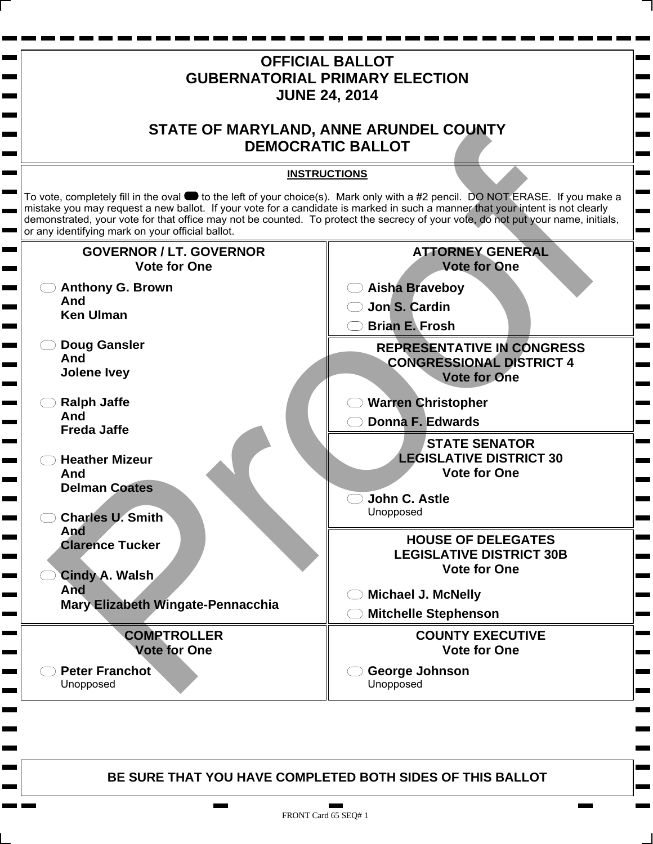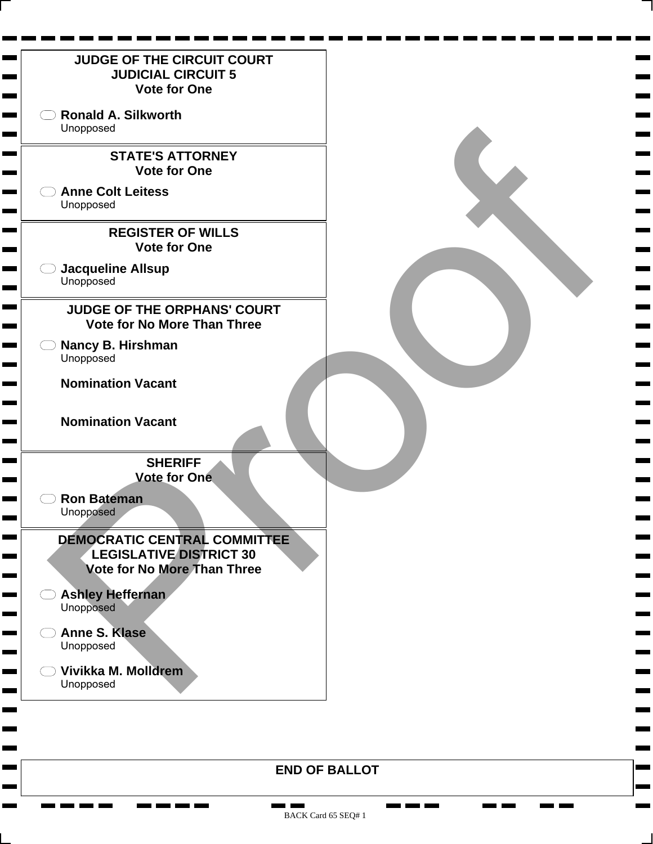

**The Co** 

- 1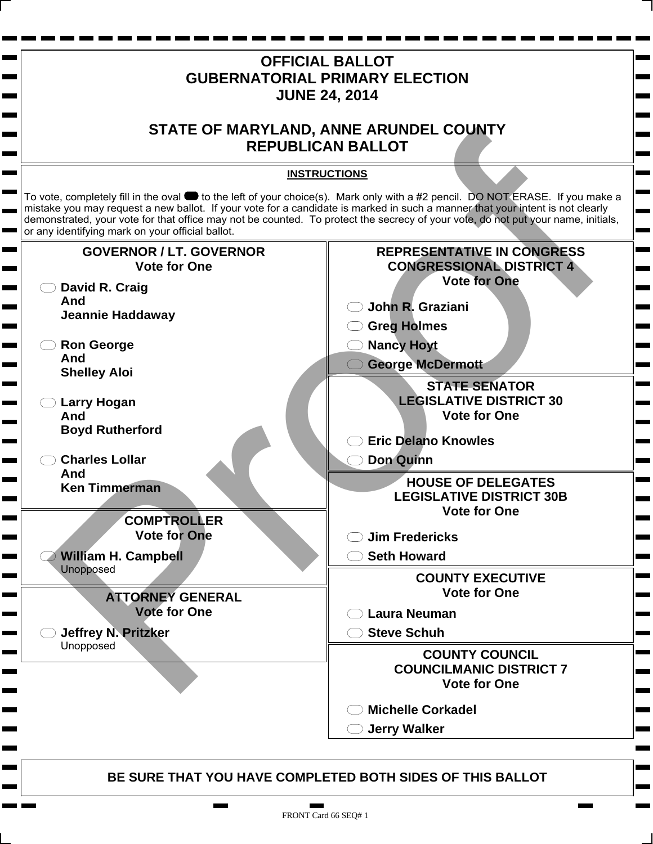